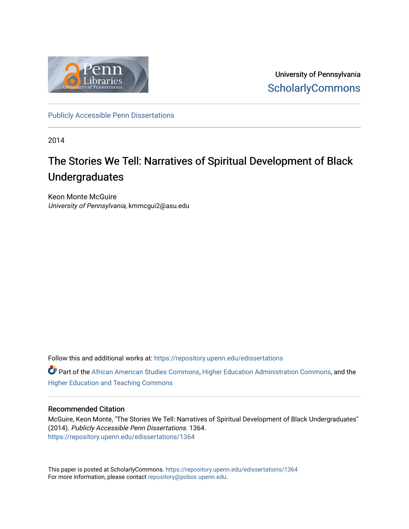

University of Pennsylvania **ScholarlyCommons** 

[Publicly Accessible Penn Dissertations](https://repository.upenn.edu/edissertations)

2014

# The Stories We Tell: Narratives of Spiritual Development of Black Undergraduates

Keon Monte McGuire University of Pennsylvania, kmmcgui2@asu.edu

Follow this and additional works at: [https://repository.upenn.edu/edissertations](https://repository.upenn.edu/edissertations?utm_source=repository.upenn.edu%2Fedissertations%2F1364&utm_medium=PDF&utm_campaign=PDFCoverPages) 

**C** Part of the [African American Studies Commons,](http://network.bepress.com/hgg/discipline/567?utm_source=repository.upenn.edu%2Fedissertations%2F1364&utm_medium=PDF&utm_campaign=PDFCoverPages) [Higher Education Administration Commons,](http://network.bepress.com/hgg/discipline/791?utm_source=repository.upenn.edu%2Fedissertations%2F1364&utm_medium=PDF&utm_campaign=PDFCoverPages) and the [Higher Education and Teaching Commons](http://network.bepress.com/hgg/discipline/806?utm_source=repository.upenn.edu%2Fedissertations%2F1364&utm_medium=PDF&utm_campaign=PDFCoverPages) 

# Recommended Citation

McGuire, Keon Monte, "The Stories We Tell: Narratives of Spiritual Development of Black Undergraduates" (2014). Publicly Accessible Penn Dissertations. 1364. [https://repository.upenn.edu/edissertations/1364](https://repository.upenn.edu/edissertations/1364?utm_source=repository.upenn.edu%2Fedissertations%2F1364&utm_medium=PDF&utm_campaign=PDFCoverPages) 

This paper is posted at ScholarlyCommons.<https://repository.upenn.edu/edissertations/1364> For more information, please contact [repository@pobox.upenn.edu.](mailto:repository@pobox.upenn.edu)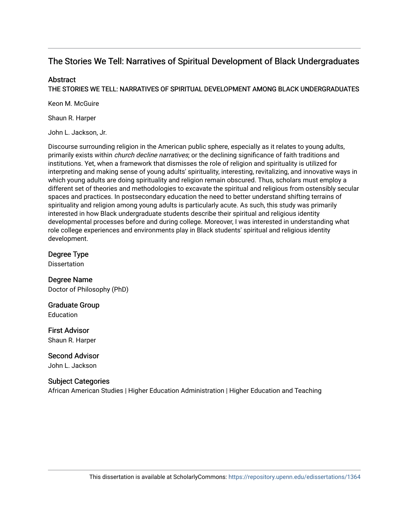# The Stories We Tell: Narratives of Spiritual Development of Black Undergraduates

# **Abstract**

# THE STORIES WE TELL: NARRATIVES OF SPIRITUAL DEVELOPMENT AMONG BLACK UNDERGRADUATES

Keon M. McGuire

Shaun R. Harper

John L. Jackson, Jr.

Discourse surrounding religion in the American public sphere, especially as it relates to young adults, primarily exists within *church decline narratives*; or the declining significance of faith traditions and institutions. Yet, when a framework that dismisses the role of religion and spirituality is utilized for interpreting and making sense of young adults' spirituality, interesting, revitalizing, and innovative ways in which young adults are doing spirituality and religion remain obscured. Thus, scholars must employ a different set of theories and methodologies to excavate the spiritual and religious from ostensibly secular spaces and practices. In postsecondary education the need to better understand shifting terrains of spirituality and religion among young adults is particularly acute. As such, this study was primarily interested in how Black undergraduate students describe their spiritual and religious identity developmental processes before and during college. Moreover, I was interested in understanding what role college experiences and environments play in Black students' spiritual and religious identity development.

Degree Type

Dissertation

Degree Name Doctor of Philosophy (PhD)

Graduate Group **Education** 

First Advisor Shaun R. Harper

Second Advisor John L. Jackson

# Subject Categories

African American Studies | Higher Education Administration | Higher Education and Teaching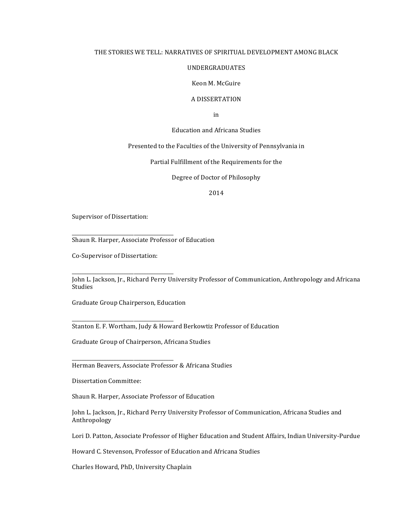### THE STORIES WE TELL: NARRATIVES OF SPIRITUAL DEVELOPMENT AMONG BLACK

#### UNDERGRADUATES

Keon M. McGuire 

### A DISSERTATION

in 

### Education and Africana Studies

#### Presented to the Faculties of the University of Pennsylvania in

Partial Fulfillment of the Requirements for the

Degree of Doctor of Philosophy

2014

Supervisor of Dissertation:

Shaun R. Harper, Associate Professor of Education

Co-Supervisor of Dissertation:

\_\_\_\_\_\_\_\_\_\_\_\_\_\_\_\_\_\_\_\_\_\_\_\_\_\_\_\_\_\_\_\_\_\_\_\_\_\_\_\_\_

\_\_\_\_\_\_\_\_\_\_\_\_\_\_\_\_\_\_\_\_\_\_\_\_\_\_\_\_\_\_\_\_\_\_\_\_\_\_\_\_\_

John L. Jackson, Jr., Richard Perry University Professor of Communication, Anthropology and Africana Studies 

Graduate Group Chairperson, Education

\_\_\_\_\_\_\_\_\_\_\_\_\_\_\_\_\_\_\_\_\_\_\_\_\_\_\_\_\_\_\_\_\_\_\_\_\_\_\_\_\_

\_\_\_\_\_\_\_\_\_\_\_\_\_\_\_\_\_\_\_\_\_\_\_\_\_\_\_\_\_\_\_\_\_\_\_\_\_\_\_\_\_

Stanton E. F. Wortham, Judy & Howard Berkowtiz Professor of Education

Graduate Group of Chairperson, Africana Studies

Herman Beavers, Associate Professor & Africana Studies

Dissertation Committee: 

Shaun R. Harper, Associate Professor of Education

John L. Jackson, Jr., Richard Perry University Professor of Communication, Africana Studies and Anthropology 

Lori D. Patton, Associate Professor of Higher Education and Student Affairs, Indian University-Purdue

Howard C. Stevenson, Professor of Education and Africana Studies

Charles Howard, PhD, University Chaplain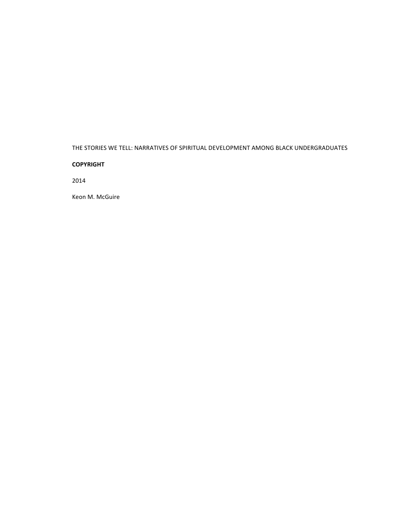THE STORIES WE TELL: NARRATIVES OF SPIRITUAL DEVELOPMENT AMONG BLACK UNDERGRADUATES

**COPYRIGHT**

2014

Keon M. McGuire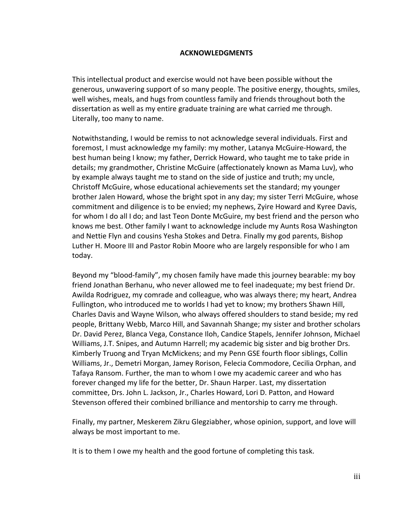# **ACKNOWLEDGMENTS**

This intellectual product and exercise would not have been possible without the generous, unwavering support of so many people. The positive energy, thoughts, smiles, well wishes, meals, and hugs from countless family and friends throughout both the dissertation as well as my entire graduate training are what carried me through. Literally, too many to name.

Notwithstanding, I would be remiss to not acknowledge several individuals. First and foremost, I must acknowledge my family: my mother, Latanya McGuire-Howard, the best human being I know; my father, Derrick Howard, who taught me to take pride in details; my grandmother, Christine McGuire (affectionately known as Mama Luv), who by example always taught me to stand on the side of justice and truth; my uncle, Christoff McGuire, whose educational achievements set the standard; my younger brother Jalen Howard, whose the bright spot in any day; my sister Terri McGuire, whose commitment and diligence is to be envied; my nephews, Zyire Howard and Kyree Davis, for whom I do all I do; and last Teon Donte McGuire, my best friend and the person who knows me best. Other family I want to acknowledge include my Aunts Rosa Washington and Nettie Flyn and cousins Yesha Stokes and Detra. Finally my god parents, Bishop Luther H. Moore III and Pastor Robin Moore who are largely responsible for who I am today. 

Beyond my "blood-family", my chosen family have made this journey bearable: my boy friend Jonathan Berhanu, who never allowed me to feel inadequate; my best friend Dr. Awilda Rodriguez, my comrade and colleague, who was always there; my heart, Andrea Fullington, who introduced me to worlds I had yet to know; my brothers Shawn Hill, Charles Davis and Wayne Wilson, who always offered shoulders to stand beside; my red people, Brittany Webb, Marco Hill, and Savannah Shange; my sister and brother scholars Dr. David Perez, Blanca Vega, Constance Iloh, Candice Stapels, Jennifer Johnson, Michael Williams, J.T. Snipes, and Autumn Harrell; my academic big sister and big brother Drs. Kimberly Truong and Tryan McMickens; and my Penn GSE fourth floor siblings, Collin Williams, Jr., Demetri Morgan, Jamey Rorison, Felecia Commodore, Cecilia Orphan, and Tafaya Ransom. Further, the man to whom I owe my academic career and who has forever changed my life for the better, Dr. Shaun Harper. Last, my dissertation committee, Drs. John L. Jackson, Jr., Charles Howard, Lori D. Patton, and Howard Stevenson offered their combined brilliance and mentorship to carry me through.

Finally, my partner, Meskerem Zikru Glegziabher, whose opinion, support, and love will always be most important to me.

It is to them I owe my health and the good fortune of completing this task.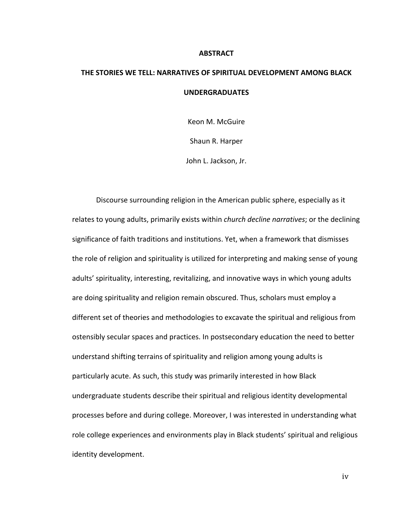#### **ABSTRACT**

# **THE STORIES WE TELL: NARRATIVES OF SPIRITUAL DEVELOPMENT AMONG BLACK UNDERGRADUATES**

Keon M. McGuire Shaun R. Harper John L. Jackson, Jr.

Discourse surrounding religion in the American public sphere, especially as it relates to young adults, primarily exists within *church decline narratives*; or the declining significance of faith traditions and institutions. Yet, when a framework that dismisses the role of religion and spirituality is utilized for interpreting and making sense of young adults' spirituality, interesting, revitalizing, and innovative ways in which young adults are doing spirituality and religion remain obscured. Thus, scholars must employ a different set of theories and methodologies to excavate the spiritual and religious from ostensibly secular spaces and practices. In postsecondary education the need to better understand shifting terrains of spirituality and religion among young adults is particularly acute. As such, this study was primarily interested in how Black undergraduate students describe their spiritual and religious identity developmental processes before and during college. Moreover, I was interested in understanding what role college experiences and environments play in Black students' spiritual and religious identity development.

iv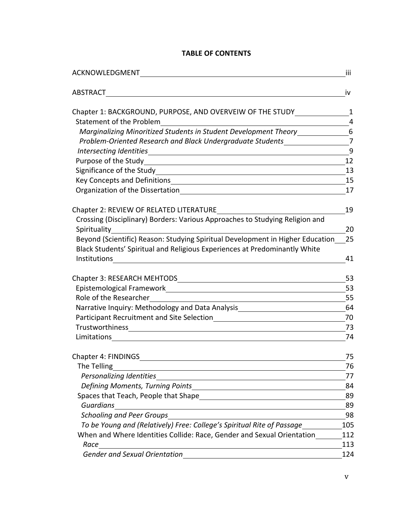# **TABLE OF CONTENTS**

| ACKNOWLEDGMENT                                                                                                                                     | iii |
|----------------------------------------------------------------------------------------------------------------------------------------------------|-----|
| <b>ABSTRACT</b>                                                                                                                                    | iv  |
| Chapter 1: BACKGROUND, PURPOSE, AND OVERVEIW OF THE STUDY                                                                                          | 1   |
| <b>Statement of the Problem</b>                                                                                                                    | 4   |
| Marginalizing Minoritized Students in Student Development Theory                                                                                   | 6   |
| Problem-Oriented Research and Black Undergraduate Students                                                                                         | 7   |
| Intersecting Identities<br><u> 1980 - Andrea Station, amerikansk politik (</u>                                                                     | 9   |
| Purpose of the Study                                                                                                                               | 12  |
| Significance of the Study<br><u> 1989 - Johann Stoff, deutscher Stoffen und der Stoffen und der Stoffen und der Stoffen und der Stoffen und de</u> | 13  |
| <b>Key Concepts and Definitions</b>                                                                                                                | 15  |
| Organization of the Dissertation                                                                                                                   | 17  |
| Chapter 2: REVIEW OF RELATED LITERATURE                                                                                                            | 19  |
| Crossing (Disciplinary) Borders: Various Approaches to Studying Religion and<br>Spirituality                                                       | 20  |
| Beyond (Scientific) Reason: Studying Spiritual Development in Higher Education                                                                     | 25  |
| Black Students' Spiritual and Religious Experiences at Predominantly White<br>Institutions                                                         | 41  |
| Chapter 3: RESEARCH MEHTODS                                                                                                                        | 53  |
| Epistemological Framework                                                                                                                          | 53  |
| Role of the Researcher                                                                                                                             | 55  |
| Narrative Inquiry: Methodology and Data Analysis                                                                                                   | 64  |
| Participant Recruitment and Site Selection                                                                                                         | 70  |
| Trustworthiness                                                                                                                                    | 73  |
| Limitations                                                                                                                                        | 74  |
| <b>Chapter 4: FINDINGS</b>                                                                                                                         | 75  |
| The Telling                                                                                                                                        | 76  |
| Personalizing Identities                                                                                                                           | 77  |
| Defining Moments, Turning Points                                                                                                                   | 84  |
| Spaces that Teach, People that Shape                                                                                                               | 89  |
| <b>Guardians</b>                                                                                                                                   | 89  |
| <b>Schooling and Peer Groups</b>                                                                                                                   | 98  |
| To be Young and (Relatively) Free: College's Spiritual Rite of Passage                                                                             | 105 |
| When and Where Identities Collide: Race, Gender and Sexual Orientation                                                                             | 112 |
| Race                                                                                                                                               | 113 |
| <b>Gender and Sexual Orientation</b>                                                                                                               | 124 |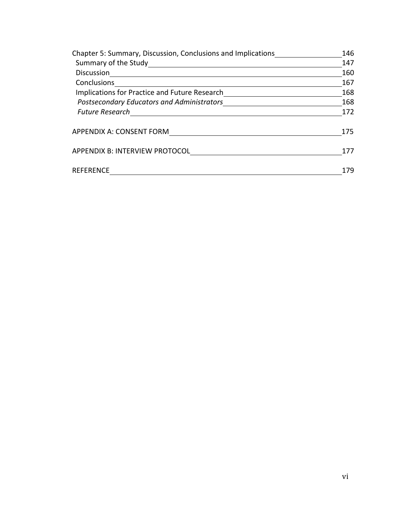| Chapter 5: Summary, Discussion, Conclusions and Implications | 146 |
|--------------------------------------------------------------|-----|
| Summary of the Study                                         | 147 |
| <b>Discussion</b>                                            | 160 |
| Conclusions                                                  | 167 |
| Implications for Practice and Future Research                | 168 |
| <b>Postsecondary Educators and Administrators</b>            | 168 |
| <b>Future Research</b>                                       | 172 |
| <b>APPENDIX A: CONSENT FORM</b>                              | 175 |
| <b>APPENDIX B: INTERVIEW PROTOCOL</b>                        | 177 |
| <b>REFERENCE</b>                                             | 179 |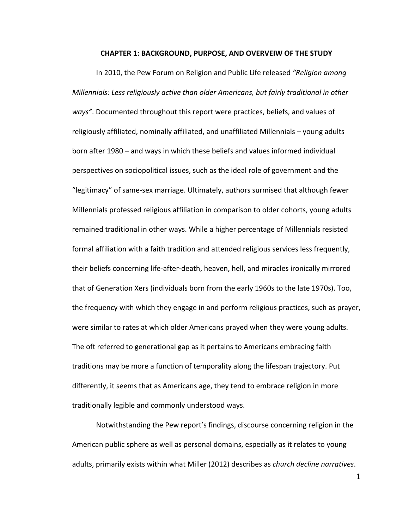### **CHAPTER 1: BACKGROUND, PURPOSE, AND OVERVEIW OF THE STUDY**

In 2010, the Pew Forum on Religion and Public Life released "Religion among *Millennials: Less religiously active than older Americans, but fairly traditional in other* ways". Documented throughout this report were practices, beliefs, and values of religiously affiliated, nominally affiliated, and unaffiliated Millennials – young adults born after 1980 – and ways in which these beliefs and values informed individual perspectives on sociopolitical issues, such as the ideal role of government and the "legitimacy" of same-sex marriage. Ultimately, authors surmised that although fewer Millennials professed religious affiliation in comparison to older cohorts, young adults remained traditional in other ways. While a higher percentage of Millennials resisted formal affiliation with a faith tradition and attended religious services less frequently, their beliefs concerning life-after-death, heaven, hell, and miracles ironically mirrored that of Generation Xers (individuals born from the early 1960s to the late 1970s). Too, the frequency with which they engage in and perform religious practices, such as prayer, were similar to rates at which older Americans prayed when they were young adults. The oft referred to generational gap as it pertains to Americans embracing faith traditions may be more a function of temporality along the lifespan trajectory. Put differently, it seems that as Americans age, they tend to embrace religion in more traditionally legible and commonly understood ways.

Notwithstanding the Pew report's findings, discourse concerning religion in the American public sphere as well as personal domains, especially as it relates to young adults, primarily exists within what Miller (2012) describes as *church decline narratives*.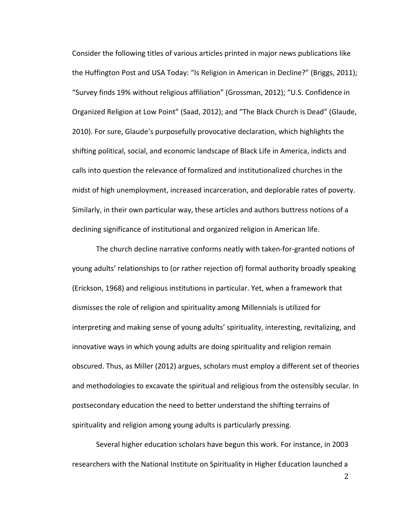Consider the following titles of various articles printed in major news publications like the Huffington Post and USA Today: "Is Religion in American in Decline?" (Briggs, 2011); "Survey finds 19% without religious affiliation" (Grossman, 2012); "U.S. Confidence in Organized Religion at Low Point" (Saad, 2012); and "The Black Church is Dead" (Glaude, 2010). For sure, Glaude's purposefully provocative declaration, which highlights the shifting political, social, and economic landscape of Black Life in America, indicts and calls into question the relevance of formalized and institutionalized churches in the midst of high unemployment, increased incarceration, and deplorable rates of poverty. Similarly, in their own particular way, these articles and authors buttress notions of a declining significance of institutional and organized religion in American life.

The church decline narrative conforms neatly with taken-for-granted notions of young adults' relationships to (or rather rejection of) formal authority broadly speaking (Erickson, 1968) and religious institutions in particular. Yet, when a framework that dismisses the role of religion and spirituality among Millennials is utilized for interpreting and making sense of young adults' spirituality, interesting, revitalizing, and innovative ways in which young adults are doing spirituality and religion remain obscured. Thus, as Miller (2012) argues, scholars must employ a different set of theories and methodologies to excavate the spiritual and religious from the ostensibly secular. In postsecondary education the need to better understand the shifting terrains of spirituality and religion among young adults is particularly pressing.

Several higher education scholars have begun this work. For instance, in 2003 researchers with the National Institute on Spirituality in Higher Education launched a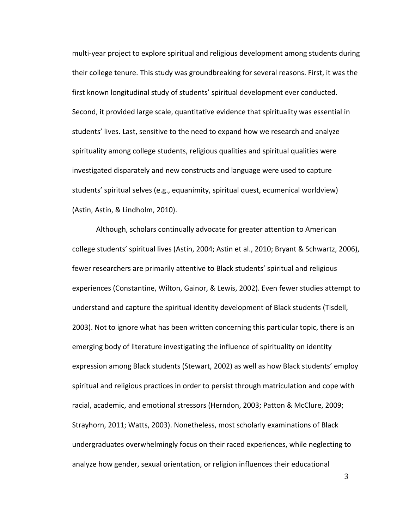multi-year project to explore spiritual and religious development among students during their college tenure. This study was groundbreaking for several reasons. First, it was the first known longitudinal study of students' spiritual development ever conducted. Second, it provided large scale, quantitative evidence that spirituality was essential in students' lives. Last, sensitive to the need to expand how we research and analyze spirituality among college students, religious qualities and spiritual qualities were investigated disparately and new constructs and language were used to capture students' spiritual selves (e.g., equanimity, spiritual quest, ecumenical worldview) (Astin, Astin, & Lindholm, 2010).

Although, scholars continually advocate for greater attention to American college students' spiritual lives (Astin, 2004; Astin et al., 2010; Bryant & Schwartz, 2006), fewer researchers are primarily attentive to Black students' spiritual and religious experiences (Constantine, Wilton, Gainor, & Lewis, 2002). Even fewer studies attempt to understand and capture the spiritual identity development of Black students (Tisdell, 2003). Not to ignore what has been written concerning this particular topic, there is an emerging body of literature investigating the influence of spirituality on identity expression among Black students (Stewart, 2002) as well as how Black students' employ spiritual and religious practices in order to persist through matriculation and cope with racial, academic, and emotional stressors (Herndon, 2003; Patton & McClure, 2009; Strayhorn, 2011; Watts, 2003). Nonetheless, most scholarly examinations of Black undergraduates overwhelmingly focus on their raced experiences, while neglecting to analyze how gender, sexual orientation, or religion influences their educational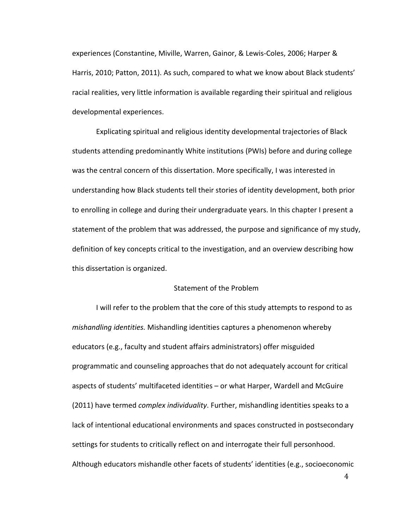experiences (Constantine, Miville, Warren, Gainor, & Lewis-Coles, 2006; Harper & Harris, 2010; Patton, 2011). As such, compared to what we know about Black students' racial realities, very little information is available regarding their spiritual and religious developmental experiences.

Explicating spiritual and religious identity developmental trajectories of Black students attending predominantly White institutions (PWIs) before and during college was the central concern of this dissertation. More specifically, I was interested in understanding how Black students tell their stories of identity development, both prior to enrolling in college and during their undergraduate years. In this chapter I present a statement of the problem that was addressed, the purpose and significance of my study, definition of key concepts critical to the investigation, and an overview describing how this dissertation is organized.

### Statement of the Problem

I will refer to the problem that the core of this study attempts to respond to as *mishandling identities.* Mishandling identities captures a phenomenon whereby educators (e.g., faculty and student affairs administrators) offer misguided programmatic and counseling approaches that do not adequately account for critical aspects of students' multifaceted identities - or what Harper, Wardell and McGuire (2011) have termed *complex individuality*. Further, mishandling identities speaks to a lack of intentional educational environments and spaces constructed in postsecondary settings for students to critically reflect on and interrogate their full personhood. Although educators mishandle other facets of students' identities (e.g., socioeconomic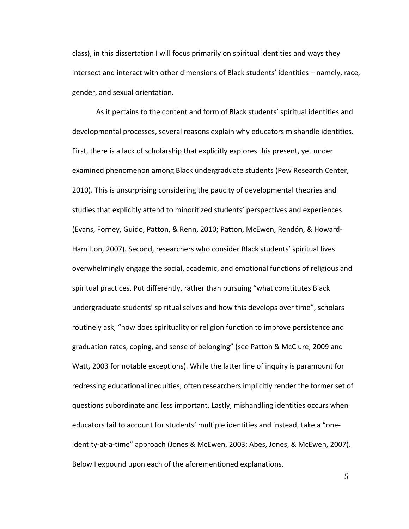class), in this dissertation I will focus primarily on spiritual identities and ways they intersect and interact with other dimensions of Black students' identities – namely, race, gender, and sexual orientation.

As it pertains to the content and form of Black students' spiritual identities and developmental processes, several reasons explain why educators mishandle identities. First, there is a lack of scholarship that explicitly explores this present, yet under examined phenomenon among Black undergraduate students (Pew Research Center, 2010). This is unsurprising considering the paucity of developmental theories and studies that explicitly attend to minoritized students' perspectives and experiences (Evans, Forney, Guido, Patton, & Renn, 2010; Patton, McEwen, Rendón, & Howard-Hamilton, 2007). Second, researchers who consider Black students' spiritual lives overwhelmingly engage the social, academic, and emotional functions of religious and spiritual practices. Put differently, rather than pursuing "what constitutes Black undergraduate students' spiritual selves and how this develops over time", scholars routinely ask, "how does spirituality or religion function to improve persistence and graduation rates, coping, and sense of belonging" (see Patton & McClure, 2009 and Watt, 2003 for notable exceptions). While the latter line of inquiry is paramount for redressing educational inequities, often researchers implicitly render the former set of questions subordinate and less important. Lastly, mishandling identities occurs when educators fail to account for students' multiple identities and instead, take a "oneidentity-at-a-time" approach (Jones & McEwen, 2003; Abes, Jones, & McEwen, 2007). Below I expound upon each of the aforementioned explanations.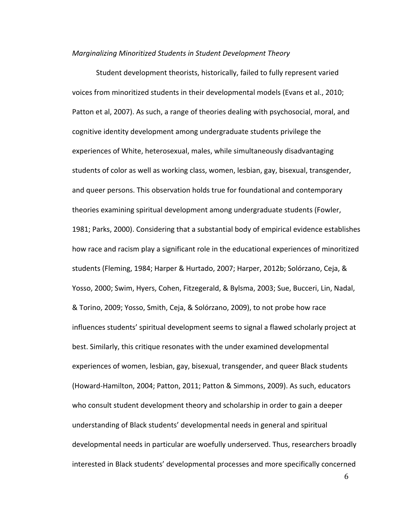### *Marginalizing Minoritized Students in Student Development Theory*

Student development theorists, historically, failed to fully represent varied voices from minoritized students in their developmental models (Evans et al., 2010; Patton et al, 2007). As such, a range of theories dealing with psychosocial, moral, and cognitive identity development among undergraduate students privilege the experiences of White, heterosexual, males, while simultaneously disadvantaging students of color as well as working class, women, lesbian, gay, bisexual, transgender, and queer persons. This observation holds true for foundational and contemporary theories examining spiritual development among undergraduate students (Fowler, 1981; Parks, 2000). Considering that a substantial body of empirical evidence establishes how race and racism play a significant role in the educational experiences of minoritized students (Fleming, 1984; Harper & Hurtado, 2007; Harper, 2012b; Solórzano, Ceja, & Yosso, 2000; Swim, Hyers, Cohen, Fitzegerald, & Bylsma, 2003; Sue, Bucceri, Lin, Nadal, & Torino, 2009; Yosso, Smith, Ceja, & Solórzano, 2009), to not probe how race influences students' spiritual development seems to signal a flawed scholarly project at best. Similarly, this critique resonates with the under examined developmental experiences of women, lesbian, gay, bisexual, transgender, and queer Black students (Howard-Hamilton, 2004; Patton, 2011; Patton & Simmons, 2009). As such, educators who consult student development theory and scholarship in order to gain a deeper understanding of Black students' developmental needs in general and spiritual developmental needs in particular are woefully underserved. Thus, researchers broadly interested in Black students' developmental processes and more specifically concerned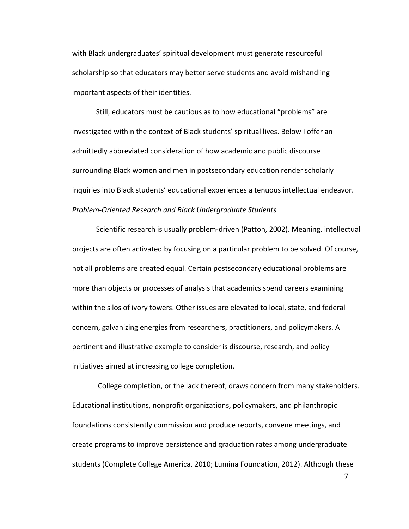with Black undergraduates' spiritual development must generate resourceful scholarship so that educators may better serve students and avoid mishandling important aspects of their identities.

Still, educators must be cautious as to how educational "problems" are investigated within the context of Black students' spiritual lives. Below I offer an admittedly abbreviated consideration of how academic and public discourse surrounding Black women and men in postsecondary education render scholarly inquiries into Black students' educational experiences a tenuous intellectual endeavor. *Problem-Oriented Research and Black Undergraduate Students* 

Scientific research is usually problem-driven (Patton, 2002). Meaning, intellectual projects are often activated by focusing on a particular problem to be solved. Of course, not all problems are created equal. Certain postsecondary educational problems are more than objects or processes of analysis that academics spend careers examining within the silos of ivory towers. Other issues are elevated to local, state, and federal concern, galvanizing energies from researchers, practitioners, and policymakers. A pertinent and illustrative example to consider is discourse, research, and policy initiatives aimed at increasing college completion.

College completion, or the lack thereof, draws concern from many stakeholders. Educational institutions, nonprofit organizations, policymakers, and philanthropic foundations consistently commission and produce reports, convene meetings, and create programs to improve persistence and graduation rates among undergraduate students (Complete College America, 2010; Lumina Foundation, 2012). Although these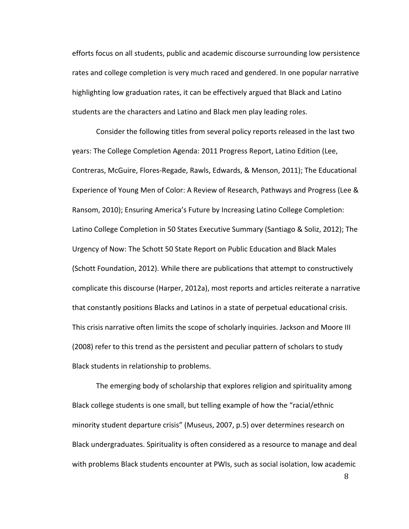efforts focus on all students, public and academic discourse surrounding low persistence rates and college completion is very much raced and gendered. In one popular narrative highlighting low graduation rates, it can be effectively argued that Black and Latino students are the characters and Latino and Black men play leading roles.

Consider the following titles from several policy reports released in the last two years: The College Completion Agenda: 2011 Progress Report, Latino Edition (Lee, Contreras, McGuire, Flores-Regade, Rawls, Edwards, & Menson, 2011); The Educational Experience of Young Men of Color: A Review of Research, Pathways and Progress (Lee & Ransom, 2010); Ensuring America's Future by Increasing Latino College Completion: Latino College Completion in 50 States Executive Summary (Santiago & Soliz, 2012); The Urgency of Now: The Schott 50 State Report on Public Education and Black Males (Schott Foundation, 2012). While there are publications that attempt to constructively complicate this discourse (Harper, 2012a), most reports and articles reiterate a narrative that constantly positions Blacks and Latinos in a state of perpetual educational crisis. This crisis narrative often limits the scope of scholarly inquiries. Jackson and Moore III (2008) refer to this trend as the persistent and peculiar pattern of scholars to study Black students in relationship to problems.

The emerging body of scholarship that explores religion and spirituality among Black college students is one small, but telling example of how the "racial/ethnic minority student departure crisis" (Museus, 2007, p.5) over determines research on Black undergraduates. Spirituality is often considered as a resource to manage and deal with problems Black students encounter at PWIs, such as social isolation, low academic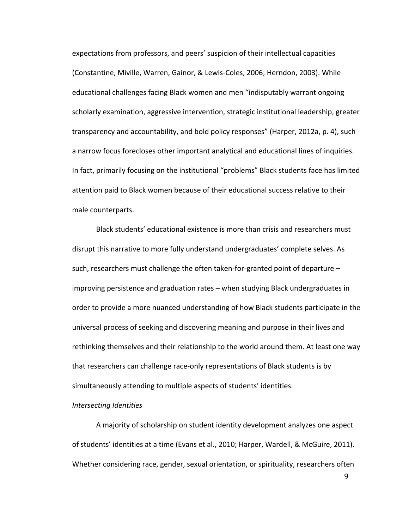expectations from professors, and peers' suspicion of their intellectual capacities (Constantine, Miville, Warren, Gainor, & Lewis-Coles, 2006; Herndon, 2003). While educational challenges facing Black women and men "indisputably warrant ongoing scholarly examination, aggressive intervention, strategic institutional leadership, greater transparency and accountability, and bold policy responses" (Harper, 2012a, p. 4), such a narrow focus forecloses other important analytical and educational lines of inquiries. In fact, primarily focusing on the institutional "problems" Black students face has limited attention paid to Black women because of their educational success relative to their male counterparts.

Black students' educational existence is more than crisis and researchers must disrupt this narrative to more fully understand undergraduates' complete selves. As such, researchers must challenge the often taken-for-granted point of departure  $$ improving persistence and graduation rates – when studying Black undergraduates in order to provide a more nuanced understanding of how Black students participate in the universal process of seeking and discovering meaning and purpose in their lives and rethinking themselves and their relationship to the world around them. At least one way that researchers can challenge race-only representations of Black students is by simultaneously attending to multiple aspects of students' identities.

### *Intersecting Identities*

A majority of scholarship on student identity development analyzes one aspect of students' identities at a time (Evans et al., 2010; Harper, Wardell, & McGuire, 2011). Whether considering race, gender, sexual orientation, or spirituality, researchers often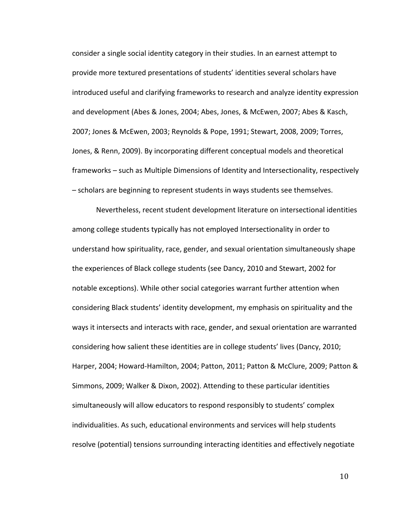consider a single social identity category in their studies. In an earnest attempt to provide more textured presentations of students' identities several scholars have introduced useful and clarifying frameworks to research and analyze identity expression and development (Abes & Jones, 2004; Abes, Jones, & McEwen, 2007; Abes & Kasch, 2007; Jones & McEwen, 2003; Reynolds & Pope, 1991; Stewart, 2008, 2009; Torres, Jones, & Renn, 2009). By incorporating different conceptual models and theoretical frameworks – such as Multiple Dimensions of Identity and Intersectionality, respectively - scholars are beginning to represent students in ways students see themselves.

Nevertheless, recent student development literature on intersectional identities among college students typically has not employed Intersectionality in order to understand how spirituality, race, gender, and sexual orientation simultaneously shape the experiences of Black college students (see Dancy, 2010 and Stewart, 2002 for notable exceptions). While other social categories warrant further attention when considering Black students' identity development, my emphasis on spirituality and the ways it intersects and interacts with race, gender, and sexual orientation are warranted considering how salient these identities are in college students' lives (Dancy, 2010; Harper, 2004; Howard-Hamilton, 2004; Patton, 2011; Patton & McClure, 2009; Patton & Simmons, 2009; Walker & Dixon, 2002). Attending to these particular identities simultaneously will allow educators to respond responsibly to students' complex individualities. As such, educational environments and services will help students resolve (potential) tensions surrounding interacting identities and effectively negotiate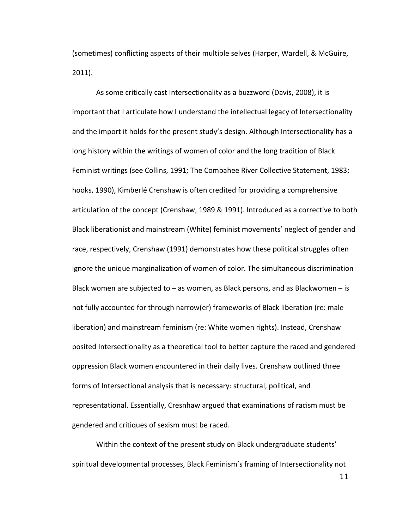(sometimes) conflicting aspects of their multiple selves (Harper, Wardell, & McGuire, 2011). 

As some critically cast Intersectionality as a buzzword (Davis, 2008), it is important that I articulate how I understand the intellectual legacy of Intersectionality and the import it holds for the present study's design. Although Intersectionality has a long history within the writings of women of color and the long tradition of Black Feminist writings (see Collins, 1991; The Combahee River Collective Statement, 1983; hooks, 1990), Kimberlé Crenshaw is often credited for providing a comprehensive articulation of the concept (Crenshaw, 1989 & 1991). Introduced as a corrective to both Black liberationist and mainstream (White) feminist movements' neglect of gender and race, respectively, Crenshaw (1991) demonstrates how these political struggles often ignore the unique marginalization of women of color. The simultaneous discrimination Black women are subjected to  $-$  as women, as Black persons, and as Blackwomen  $-$  is not fully accounted for through narrow(er) frameworks of Black liberation (re: male liberation) and mainstream feminism (re: White women rights). Instead, Crenshaw posited Intersectionality as a theoretical tool to better capture the raced and gendered oppression Black women encountered in their daily lives. Crenshaw outlined three forms of Intersectional analysis that is necessary: structural, political, and representational. Essentially, Cresnhaw argued that examinations of racism must be gendered and critiques of sexism must be raced.

Within the context of the present study on Black undergraduate students' spiritual developmental processes, Black Feminism's framing of Intersectionality not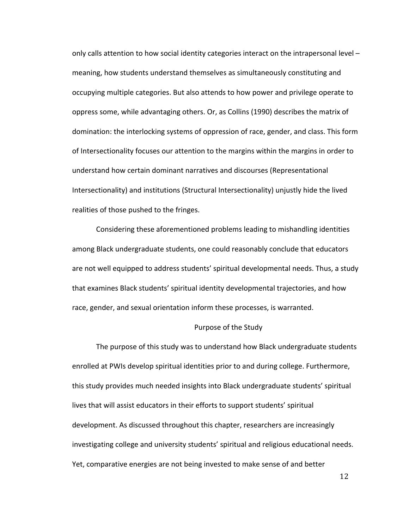only calls attention to how social identity categories interact on the intrapersonal level  $$ meaning, how students understand themselves as simultaneously constituting and occupying multiple categories. But also attends to how power and privilege operate to oppress some, while advantaging others. Or, as Collins (1990) describes the matrix of domination: the interlocking systems of oppression of race, gender, and class. This form of Intersectionality focuses our attention to the margins within the margins in order to understand how certain dominant narratives and discourses (Representational Intersectionality) and institutions (Structural Intersectionality) unjustly hide the lived realities of those pushed to the fringes.

Considering these aforementioned problems leading to mishandling identities among Black undergraduate students, one could reasonably conclude that educators are not well equipped to address students' spiritual developmental needs. Thus, a study that examines Black students' spiritual identity developmental trajectories, and how race, gender, and sexual orientation inform these processes, is warranted.

### Purpose of the Study

The purpose of this study was to understand how Black undergraduate students enrolled at PWIs develop spiritual identities prior to and during college. Furthermore, this study provides much needed insights into Black undergraduate students' spiritual lives that will assist educators in their efforts to support students' spiritual development. As discussed throughout this chapter, researchers are increasingly investigating college and university students' spiritual and religious educational needs. Yet, comparative energies are not being invested to make sense of and better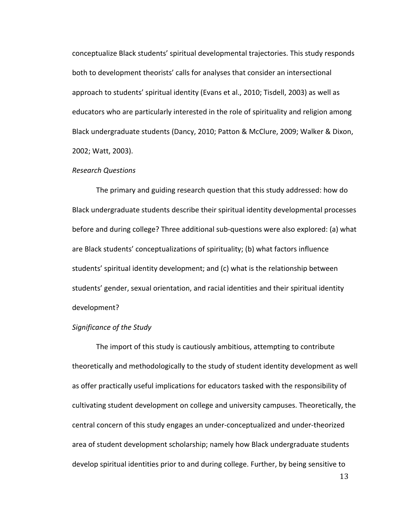conceptualize Black students' spiritual developmental trajectories. This study responds both to development theorists' calls for analyses that consider an intersectional approach to students' spiritual identity (Evans et al., 2010; Tisdell, 2003) as well as educators who are particularly interested in the role of spirituality and religion among Black undergraduate students (Dancy, 2010; Patton & McClure, 2009; Walker & Dixon, 2002; Watt, 2003).

#### *Research Questions*

The primary and guiding research question that this study addressed: how do Black undergraduate students describe their spiritual identity developmental processes before and during college? Three additional sub-questions were also explored: (a) what are Black students' conceptualizations of spirituality; (b) what factors influence students' spiritual identity development; and (c) what is the relationship between students' gender, sexual orientation, and racial identities and their spiritual identity development? 

## *Significance of the Study*

The import of this study is cautiously ambitious, attempting to contribute theoretically and methodologically to the study of student identity development as well as offer practically useful implications for educators tasked with the responsibility of cultivating student development on college and university campuses. Theoretically, the central concern of this study engages an under-conceptualized and under-theorized area of student development scholarship; namely how Black undergraduate students develop spiritual identities prior to and during college. Further, by being sensitive to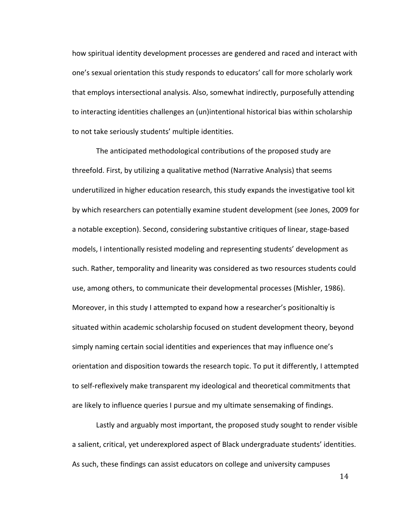how spiritual identity development processes are gendered and raced and interact with one's sexual orientation this study responds to educators' call for more scholarly work that employs intersectional analysis. Also, somewhat indirectly, purposefully attending to interacting identities challenges an (un)intentional historical bias within scholarship to not take seriously students' multiple identities.

The anticipated methodological contributions of the proposed study are threefold. First, by utilizing a qualitative method (Narrative Analysis) that seems underutilized in higher education research, this study expands the investigative tool kit by which researchers can potentially examine student development (see Jones, 2009 for a notable exception). Second, considering substantive critiques of linear, stage-based models, I intentionally resisted modeling and representing students' development as such. Rather, temporality and linearity was considered as two resources students could use, among others, to communicate their developmental processes (Mishler, 1986). Moreover, in this study I attempted to expand how a researcher's positionaltiy is situated within academic scholarship focused on student development theory, beyond simply naming certain social identities and experiences that may influence one's orientation and disposition towards the research topic. To put it differently, I attempted to self-reflexively make transparent my ideological and theoretical commitments that are likely to influence queries I pursue and my ultimate sensemaking of findings.

Lastly and arguably most important, the proposed study sought to render visible a salient, critical, yet underexplored aspect of Black undergraduate students' identities. As such, these findings can assist educators on college and university campuses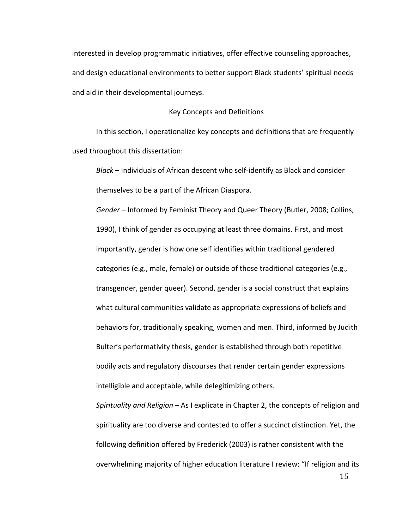interested in develop programmatic initiatives, offer effective counseling approaches, and design educational environments to better support Black students' spiritual needs and aid in their developmental journeys.

### Key Concepts and Definitions

In this section, I operationalize key concepts and definitions that are frequently used throughout this dissertation:

*Black* – Individuals of African descent who self-identify as Black and consider themselves to be a part of the African Diaspora.

*Gender* – Informed by Feminist Theory and Queer Theory (Butler, 2008; Collins, 1990), I think of gender as occupying at least three domains. First, and most importantly, gender is how one self identifies within traditional gendered categories  $(e.g., male, female)$  or outside of those traditional categories  $(e.g.,$ transgender, gender queer). Second, gender is a social construct that explains what cultural communities validate as appropriate expressions of beliefs and behaviors for, traditionally speaking, women and men. Third, informed by Judith Bulter's performativity thesis, gender is established through both repetitive bodily acts and regulatory discourses that render certain gender expressions intelligible and acceptable, while delegitimizing others.

*Spirituality and Religion* – As I explicate in Chapter 2, the concepts of religion and spirituality are too diverse and contested to offer a succinct distinction. Yet, the following definition offered by Frederick (2003) is rather consistent with the overwhelming majority of higher education literature I review: "If religion and its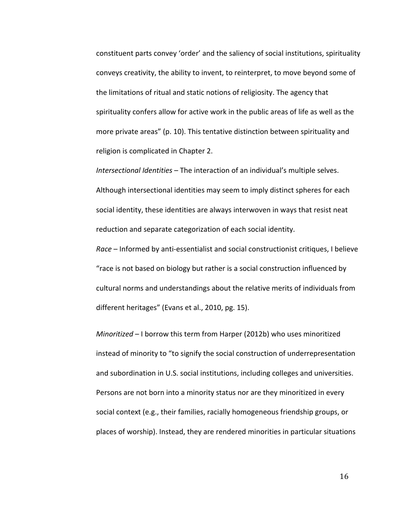constituent parts convey 'order' and the saliency of social institutions, spirituality conveys creativity, the ability to invent, to reinterpret, to move beyond some of the limitations of ritual and static notions of religiosity. The agency that spirituality confers allow for active work in the public areas of life as well as the more private areas" (p. 10). This tentative distinction between spirituality and religion is complicated in Chapter 2.

*Intersectional Identities* – The interaction of an individual's multiple selves. Although intersectional identities may seem to imply distinct spheres for each social identity, these identities are always interwoven in ways that resist neat reduction and separate categorization of each social identity.

*Race* – Informed by anti-essentialist and social constructionist critiques, I believe "race is not based on biology but rather is a social construction influenced by cultural norms and understandings about the relative merits of individuals from different heritages" (Evans et al., 2010, pg. 15).

*Minoritized* – I borrow this term from Harper (2012b) who uses minoritized instead of minority to "to signify the social construction of underrepresentation and subordination in U.S. social institutions, including colleges and universities. Persons are not born into a minority status nor are they minoritized in every social context (e.g., their families, racially homogeneous friendship groups, or places of worship). Instead, they are rendered minorities in particular situations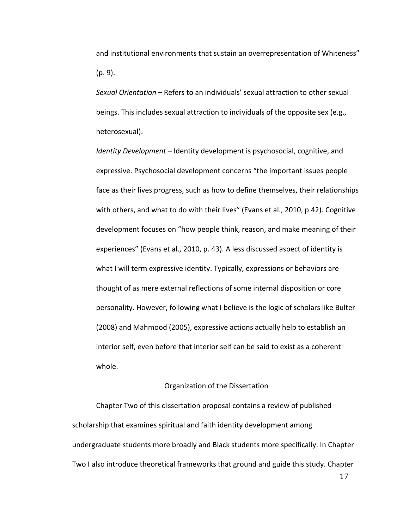and institutional environments that sustain an overrepresentation of Whiteness"  $(p. 9)$ .

*Sexual Orientation* – Refers to an individuals' sexual attraction to other sexual beings. This includes sexual attraction to individuals of the opposite sex (e.g., heterosexual). 

*Identity Development* – Identity development is psychosocial, cognitive, and expressive. Psychosocial development concerns "the important issues people face as their lives progress, such as how to define themselves, their relationships with others, and what to do with their lives" (Evans et al., 2010, p.42). Cognitive development focuses on "how people think, reason, and make meaning of their experiences" (Evans et al., 2010, p. 43). A less discussed aspect of identity is what I will term expressive identity. Typically, expressions or behaviors are thought of as mere external reflections of some internal disposition or core personality. However, following what I believe is the logic of scholars like Bulter (2008) and Mahmood (2005), expressive actions actually help to establish an interior self, even before that interior self can be said to exist as a coherent whole. 

## Organization of the Dissertation

Chapter Two of this dissertation proposal contains a review of published scholarship that examines spiritual and faith identity development among undergraduate students more broadly and Black students more specifically. In Chapter Two I also introduce theoretical frameworks that ground and guide this study. Chapter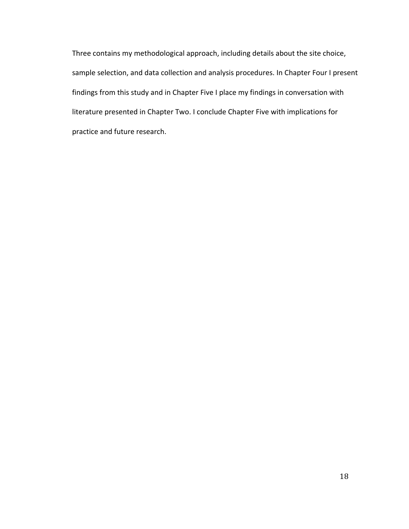Three contains my methodological approach, including details about the site choice, sample selection, and data collection and analysis procedures. In Chapter Four I present findings from this study and in Chapter Five I place my findings in conversation with literature presented in Chapter Two. I conclude Chapter Five with implications for practice and future research.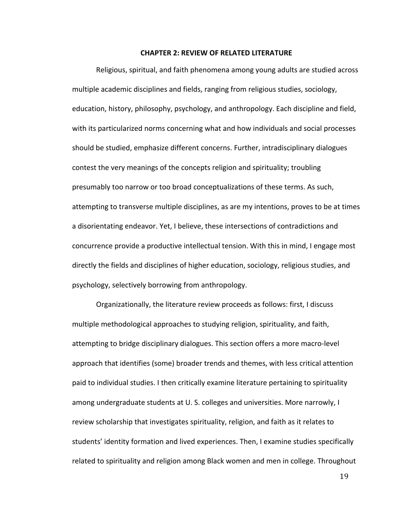### **CHAPTER 2: REVIEW OF RELATED LITERATURE**

Religious, spiritual, and faith phenomena among young adults are studied across multiple academic disciplines and fields, ranging from religious studies, sociology, education, history, philosophy, psychology, and anthropology. Each discipline and field, with its particularized norms concerning what and how individuals and social processes should be studied, emphasize different concerns. Further, intradisciplinary dialogues contest the very meanings of the concepts religion and spirituality; troubling presumably too narrow or too broad conceptualizations of these terms. As such, attempting to transverse multiple disciplines, as are my intentions, proves to be at times a disorientating endeavor. Yet, I believe, these intersections of contradictions and concurrence provide a productive intellectual tension. With this in mind, I engage most directly the fields and disciplines of higher education, sociology, religious studies, and psychology, selectively borrowing from anthropology.

Organizationally, the literature review proceeds as follows: first, I discuss multiple methodological approaches to studying religion, spirituality, and faith, attempting to bridge disciplinary dialogues. This section offers a more macro-level approach that identifies (some) broader trends and themes, with less critical attention paid to individual studies. I then critically examine literature pertaining to spirituality among undergraduate students at U. S. colleges and universities. More narrowly, I review scholarship that investigates spirituality, religion, and faith as it relates to students' identity formation and lived experiences. Then, I examine studies specifically related to spirituality and religion among Black women and men in college. Throughout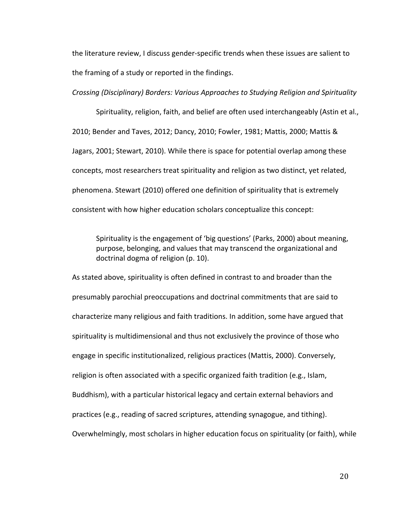the literature review, I discuss gender-specific trends when these issues are salient to the framing of a study or reported in the findings.

*Crossing (Disciplinary)* Borders: Various Approaches to Studying Religion and Spirituality

Spirituality, religion, faith, and belief are often used interchangeably (Astin et al., 2010; Bender and Taves, 2012; Dancy, 2010; Fowler, 1981; Mattis, 2000; Mattis & Jagars, 2001; Stewart, 2010). While there is space for potential overlap among these concepts, most researchers treat spirituality and religion as two distinct, yet related, phenomena. Stewart (2010) offered one definition of spirituality that is extremely consistent with how higher education scholars conceptualize this concept:

Spirituality is the engagement of 'big questions' (Parks, 2000) about meaning, purpose, belonging, and values that may transcend the organizational and doctrinal dogma of religion (p. 10).

As stated above, spirituality is often defined in contrast to and broader than the presumably parochial preoccupations and doctrinal commitments that are said to characterize many religious and faith traditions. In addition, some have argued that spirituality is multidimensional and thus not exclusively the province of those who engage in specific institutionalized, religious practices (Mattis, 2000). Conversely, religion is often associated with a specific organized faith tradition (e.g., Islam, Buddhism), with a particular historical legacy and certain external behaviors and practices (e.g., reading of sacred scriptures, attending synagogue, and tithing). Overwhelmingly, most scholars in higher education focus on spirituality (or faith), while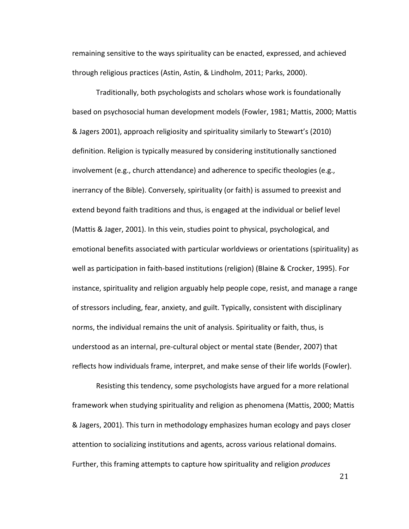remaining sensitive to the ways spirituality can be enacted, expressed, and achieved through religious practices (Astin, Astin, & Lindholm, 2011; Parks, 2000).

Traditionally, both psychologists and scholars whose work is foundationally based on psychosocial human development models (Fowler, 1981; Mattis, 2000; Mattis & Jagers 2001), approach religiosity and spirituality similarly to Stewart's (2010) definition. Religion is typically measured by considering institutionally sanctioned involvement (e.g., church attendance) and adherence to specific theologies (e.g., inerrancy of the Bible). Conversely, spirituality (or faith) is assumed to preexist and extend beyond faith traditions and thus, is engaged at the individual or belief level (Mattis & Jager, 2001). In this vein, studies point to physical, psychological, and emotional benefits associated with particular worldviews or orientations (spirituality) as well as participation in faith-based institutions (religion) (Blaine & Crocker, 1995). For instance, spirituality and religion arguably help people cope, resist, and manage a range of stressors including, fear, anxiety, and guilt. Typically, consistent with disciplinary norms, the individual remains the unit of analysis. Spirituality or faith, thus, is understood as an internal, pre-cultural object or mental state (Bender, 2007) that reflects how individuals frame, interpret, and make sense of their life worlds (Fowler).

Resisting this tendency, some psychologists have argued for a more relational framework when studying spirituality and religion as phenomena (Mattis, 2000; Mattis & Jagers, 2001). This turn in methodology emphasizes human ecology and pays closer attention to socializing institutions and agents, across various relational domains. Further, this framing attempts to capture how spirituality and religion *produces*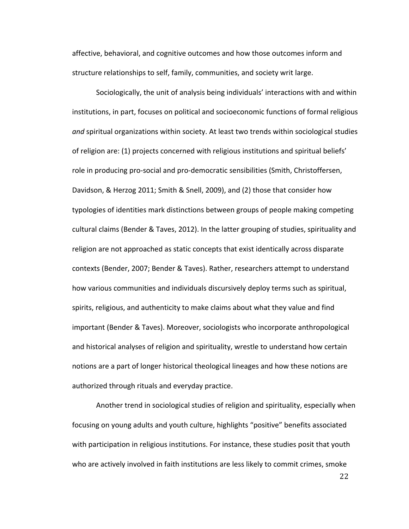affective, behavioral, and cognitive outcomes and how those outcomes inform and structure relationships to self, family, communities, and society writ large.

Sociologically, the unit of analysis being individuals' interactions with and within institutions, in part, focuses on political and socioeconomic functions of formal religious and spiritual organizations within society. At least two trends within sociological studies of religion are: (1) projects concerned with religious institutions and spiritual beliefs' role in producing pro-social and pro-democratic sensibilities (Smith, Christoffersen, Davidson, & Herzog 2011; Smith & Snell, 2009), and (2) those that consider how typologies of identities mark distinctions between groups of people making competing cultural claims (Bender & Taves, 2012). In the latter grouping of studies, spirituality and religion are not approached as static concepts that exist identically across disparate contexts (Bender, 2007; Bender & Taves). Rather, researchers attempt to understand how various communities and individuals discursively deploy terms such as spiritual, spirits, religious, and authenticity to make claims about what they value and find important (Bender & Taves). Moreover, sociologists who incorporate anthropological and historical analyses of religion and spirituality, wrestle to understand how certain notions are a part of longer historical theological lineages and how these notions are authorized through rituals and everyday practice.

Another trend in sociological studies of religion and spirituality, especially when focusing on young adults and youth culture, highlights "positive" benefits associated with participation in religious institutions. For instance, these studies posit that youth who are actively involved in faith institutions are less likely to commit crimes, smoke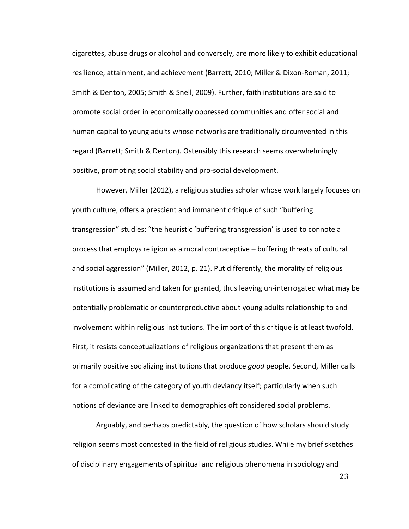cigarettes, abuse drugs or alcohol and conversely, are more likely to exhibit educational resilience, attainment, and achievement (Barrett, 2010; Miller & Dixon-Roman, 2011; Smith & Denton, 2005; Smith & Snell, 2009). Further, faith institutions are said to promote social order in economically oppressed communities and offer social and human capital to young adults whose networks are traditionally circumvented in this regard (Barrett; Smith & Denton). Ostensibly this research seems overwhelmingly positive, promoting social stability and pro-social development.

However, Miller (2012), a religious studies scholar whose work largely focuses on youth culture, offers a prescient and immanent critique of such "buffering transgression" studies: "the heuristic 'buffering transgression' is used to connote a process that employs religion as a moral contraceptive – buffering threats of cultural and social aggression" (Miller, 2012, p. 21). Put differently, the morality of religious institutions is assumed and taken for granted, thus leaving un-interrogated what may be potentially problematic or counterproductive about young adults relationship to and involvement within religious institutions. The import of this critique is at least twofold. First, it resists conceptualizations of religious organizations that present them as primarily positive socializing institutions that produce *good* people. Second, Miller calls for a complicating of the category of youth deviancy itself; particularly when such notions of deviance are linked to demographics oft considered social problems.

Arguably, and perhaps predictably, the question of how scholars should study religion seems most contested in the field of religious studies. While my brief sketches of disciplinary engagements of spiritual and religious phenomena in sociology and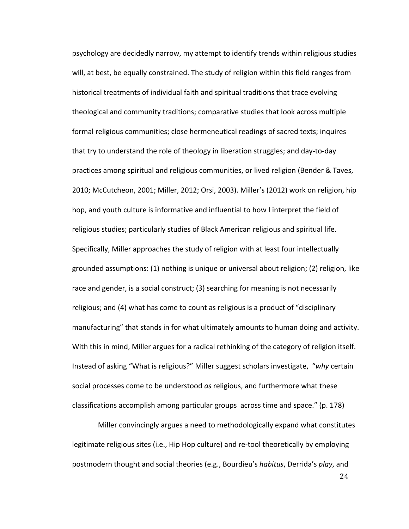psychology are decidedly narrow, my attempt to identify trends within religious studies will, at best, be equally constrained. The study of religion within this field ranges from historical treatments of individual faith and spiritual traditions that trace evolving theological and community traditions; comparative studies that look across multiple formal religious communities; close hermeneutical readings of sacred texts; inquires that try to understand the role of theology in liberation struggles; and day-to-day practices among spiritual and religious communities, or lived religion (Bender & Taves, 2010; McCutcheon, 2001; Miller, 2012; Orsi, 2003). Miller's (2012) work on religion, hip hop, and youth culture is informative and influential to how I interpret the field of religious studies; particularly studies of Black American religious and spiritual life. Specifically, Miller approaches the study of religion with at least four intellectually grounded assumptions:  $(1)$  nothing is unique or universal about religion;  $(2)$  religion, like race and gender, is a social construct; (3) searching for meaning is not necessarily religious; and (4) what has come to count as religious is a product of "disciplinary manufacturing" that stands in for what ultimately amounts to human doing and activity. With this in mind, Miller argues for a radical rethinking of the category of religion itself. Instead of asking "What is religious?" Miller suggest scholars investigate, "why certain social processes come to be understood *as* religious, and furthermore what these classifications accomplish among particular groups across time and space." (p. 178)

24 Miller convincingly argues a need to methodologically expand what constitutes legitimate religious sites (i.e., Hip Hop culture) and re-tool theoretically by employing postmodern thought and social theories (e.g., Bourdieu's *habitus*, Derrida's play, and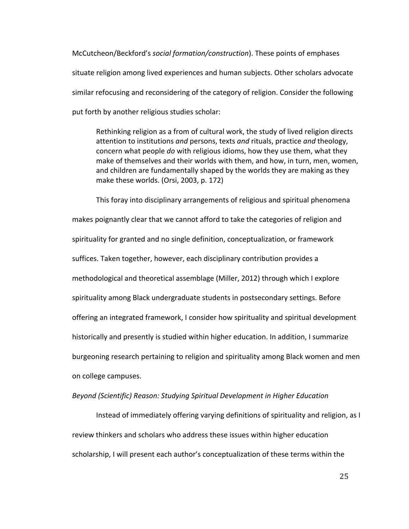McCutcheon/Beckford's *social formation/construction*). These points of emphases situate religion among lived experiences and human subjects. Other scholars advocate similar refocusing and reconsidering of the category of religion. Consider the following put forth by another religious studies scholar:

Rethinking religion as a from of cultural work, the study of lived religion directs attention to institutions *and* persons, texts *and* rituals, practice *and* theology, concern what people *do* with religious idioms, how they use them, what they make of themselves and their worlds with them, and how, in turn, men, women, and children are fundamentally shaped by the worlds they are making as they make these worlds. (Orsi, 2003, p. 172)

This foray into disciplinary arrangements of religious and spiritual phenomena makes poignantly clear that we cannot afford to take the categories of religion and spirituality for granted and no single definition, conceptualization, or framework suffices. Taken together, however, each disciplinary contribution provides a methodological and theoretical assemblage (Miller, 2012) through which I explore spirituality among Black undergraduate students in postsecondary settings. Before offering an integrated framework, I consider how spirituality and spiritual development historically and presently is studied within higher education. In addition, I summarize burgeoning research pertaining to religion and spirituality among Black women and men on college campuses.

### *Beyond (Scientific) Reason: Studying Spiritual Development in Higher Education*

Instead of immediately offering varying definitions of spirituality and religion, as I review thinkers and scholars who address these issues within higher education scholarship, I will present each author's conceptualization of these terms within the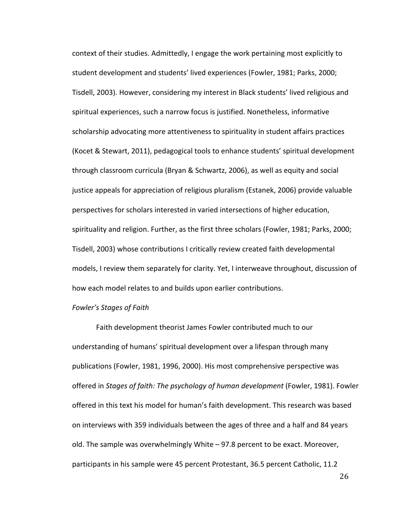context of their studies. Admittedly, I engage the work pertaining most explicitly to student development and students' lived experiences (Fowler, 1981; Parks, 2000; Tisdell, 2003). However, considering my interest in Black students' lived religious and spiritual experiences, such a narrow focus is justified. Nonetheless, informative scholarship advocating more attentiveness to spirituality in student affairs practices (Kocet & Stewart, 2011), pedagogical tools to enhance students' spiritual development through classroom curricula (Bryan & Schwartz, 2006), as well as equity and social justice appeals for appreciation of religious pluralism (Estanek, 2006) provide valuable perspectives for scholars interested in varied intersections of higher education, spirituality and religion. Further, as the first three scholars (Fowler, 1981; Parks, 2000; Tisdell, 2003) whose contributions I critically review created faith developmental models, I review them separately for clarity. Yet, I interweave throughout, discussion of how each model relates to and builds upon earlier contributions.

### *Fowler's Stages of Faith*

Faith development theorist James Fowler contributed much to our understanding of humans' spiritual development over a lifespan through many publications (Fowler, 1981, 1996, 2000). His most comprehensive perspective was offered in *Stages of faith: The psychology of human development* (Fowler, 1981). Fowler offered in this text his model for human's faith development. This research was based on interviews with 359 individuals between the ages of three and a half and 84 years old. The sample was overwhelmingly White  $-97.8$  percent to be exact. Moreover, participants in his sample were 45 percent Protestant, 36.5 percent Catholic, 11.2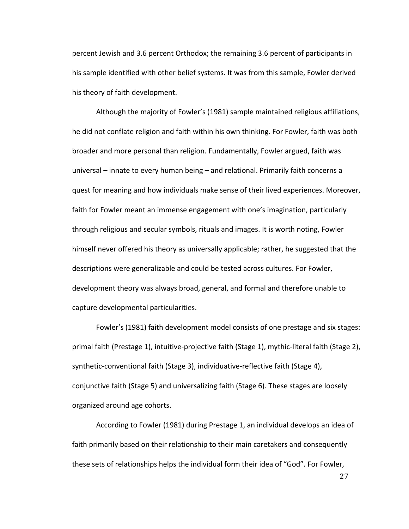percent Jewish and 3.6 percent Orthodox; the remaining 3.6 percent of participants in his sample identified with other belief systems. It was from this sample, Fowler derived his theory of faith development.

Although the majority of Fowler's (1981) sample maintained religious affiliations, he did not conflate religion and faith within his own thinking. For Fowler, faith was both broader and more personal than religion. Fundamentally, Fowler argued, faith was universal – innate to every human being – and relational. Primarily faith concerns a quest for meaning and how individuals make sense of their lived experiences. Moreover, faith for Fowler meant an immense engagement with one's imagination, particularly through religious and secular symbols, rituals and images. It is worth noting, Fowler himself never offered his theory as universally applicable; rather, he suggested that the descriptions were generalizable and could be tested across cultures. For Fowler, development theory was always broad, general, and formal and therefore unable to capture developmental particularities.

Fowler's (1981) faith development model consists of one prestage and six stages: primal faith (Prestage 1), intuitive-projective faith (Stage 1), mythic-literal faith (Stage 2), synthetic-conventional faith (Stage 3), individuative-reflective faith (Stage 4), conjunctive faith (Stage 5) and universalizing faith (Stage 6). These stages are loosely organized around age cohorts. 

According to Fowler (1981) during Prestage 1, an individual develops an idea of faith primarily based on their relationship to their main caretakers and consequently these sets of relationships helps the individual form their idea of "God". For Fowler,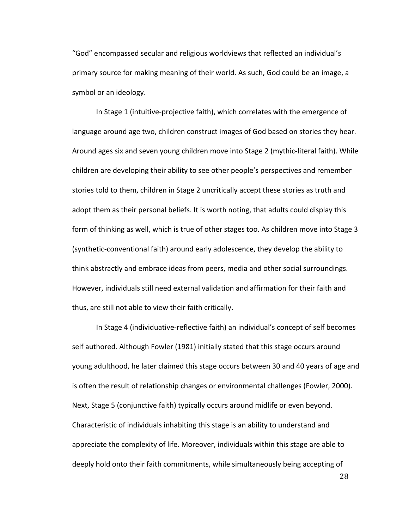"God" encompassed secular and religious worldviews that reflected an individual's primary source for making meaning of their world. As such, God could be an image, a symbol or an ideology.

In Stage 1 (intuitive-projective faith), which correlates with the emergence of language around age two, children construct images of God based on stories they hear. Around ages six and seven young children move into Stage 2 (mythic-literal faith). While children are developing their ability to see other people's perspectives and remember stories told to them, children in Stage 2 uncritically accept these stories as truth and adopt them as their personal beliefs. It is worth noting, that adults could display this form of thinking as well, which is true of other stages too. As children move into Stage 3 (synthetic-conventional faith) around early adolescence, they develop the ability to think abstractly and embrace ideas from peers, media and other social surroundings. However, individuals still need external validation and affirmation for their faith and thus, are still not able to view their faith critically.

In Stage 4 (individuative-reflective faith) an individual's concept of self becomes self authored. Although Fowler (1981) initially stated that this stage occurs around young adulthood, he later claimed this stage occurs between 30 and 40 years of age and is often the result of relationship changes or environmental challenges (Fowler, 2000). Next, Stage 5 (conjunctive faith) typically occurs around midlife or even beyond. Characteristic of individuals inhabiting this stage is an ability to understand and appreciate the complexity of life. Moreover, individuals within this stage are able to deeply hold onto their faith commitments, while simultaneously being accepting of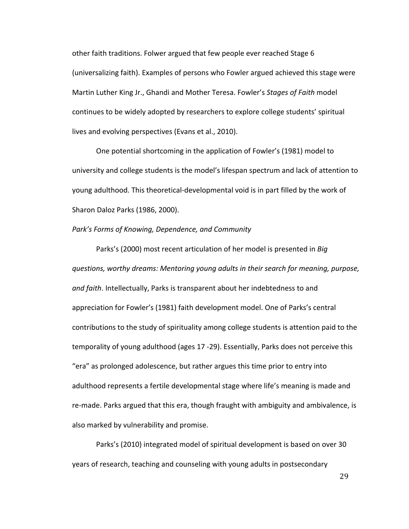other faith traditions. Folwer argued that few people ever reached Stage 6 (universalizing faith). Examples of persons who Fowler argued achieved this stage were Martin Luther King Jr., Ghandi and Mother Teresa. Fowler's Stages of Faith model continues to be widely adopted by researchers to explore college students' spiritual lives and evolving perspectives (Evans et al., 2010).

One potential shortcoming in the application of Fowler's (1981) model to university and college students is the model's lifespan spectrum and lack of attention to young adulthood. This theoretical-developmental void is in part filled by the work of Sharon Daloz Parks (1986, 2000).

## Park's Forms of Knowing, Dependence, and Community

Parks's (2000) most recent articulation of her model is presented in *Big questions, worthy dreams: Mentoring young adults in their search for meaning, purpose,* and faith. Intellectually, Parks is transparent about her indebtedness to and appreciation for Fowler's (1981) faith development model. One of Parks's central contributions to the study of spirituality among college students is attention paid to the temporality of young adulthood (ages 17 -29). Essentially, Parks does not perceive this "era" as prolonged adolescence, but rather argues this time prior to entry into adulthood represents a fertile developmental stage where life's meaning is made and re-made. Parks argued that this era, though fraught with ambiguity and ambivalence, is also marked by vulnerability and promise.

Parks's (2010) integrated model of spiritual development is based on over 30 years of research, teaching and counseling with young adults in postsecondary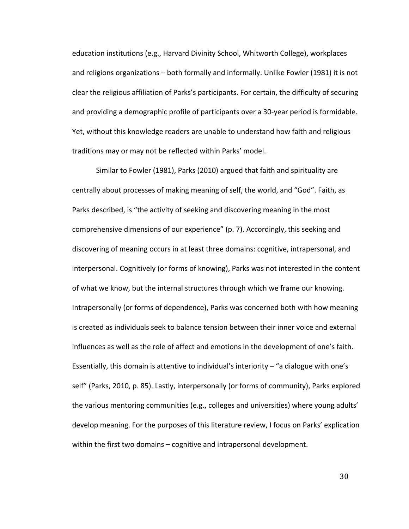education institutions (e.g., Harvard Divinity School, Whitworth College), workplaces and religions organizations  $-$  both formally and informally. Unlike Fowler (1981) it is not clear the religious affiliation of Parks's participants. For certain, the difficulty of securing and providing a demographic profile of participants over a 30-year period is formidable. Yet, without this knowledge readers are unable to understand how faith and religious traditions may or may not be reflected within Parks' model.

Similar to Fowler (1981), Parks (2010) argued that faith and spirituality are centrally about processes of making meaning of self, the world, and "God". Faith, as Parks described, is "the activity of seeking and discovering meaning in the most comprehensive dimensions of our experience" (p. 7). Accordingly, this seeking and discovering of meaning occurs in at least three domains: cognitive, intrapersonal, and interpersonal. Cognitively (or forms of knowing), Parks was not interested in the content of what we know, but the internal structures through which we frame our knowing. Intrapersonally (or forms of dependence), Parks was concerned both with how meaning is created as individuals seek to balance tension between their inner voice and external influences as well as the role of affect and emotions in the development of one's faith. Essentially, this domain is attentive to individual's interiority  $-$  "a dialogue with one's self" (Parks, 2010, p. 85). Lastly, interpersonally (or forms of community), Parks explored the various mentoring communities (e.g., colleges and universities) where young adults' develop meaning. For the purposes of this literature review, I focus on Parks' explication within the first two domains – cognitive and intrapersonal development.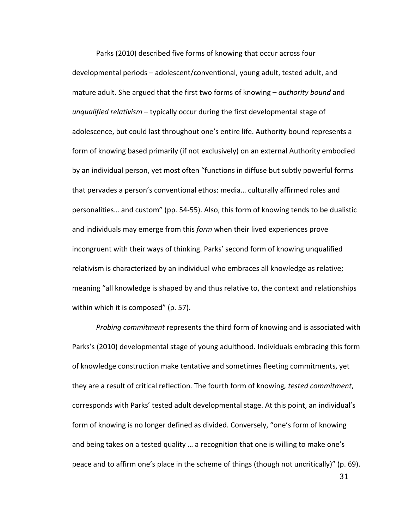Parks (2010) described five forms of knowing that occur across four developmental periods – adolescent/conventional, young adult, tested adult, and mature adult. She argued that the first two forms of knowing – *authority bound* and *unqualified relativism* – typically occur during the first developmental stage of adolescence, but could last throughout one's entire life. Authority bound represents a form of knowing based primarily (if not exclusively) on an external Authority embodied by an individual person, yet most often "functions in diffuse but subtly powerful forms that pervades a person's conventional ethos: media... culturally affirmed roles and personalities... and custom" (pp. 54-55). Also, this form of knowing tends to be dualistic and individuals may emerge from this *form* when their lived experiences prove incongruent with their ways of thinking. Parks' second form of knowing unqualified relativism is characterized by an individual who embraces all knowledge as relative; meaning "all knowledge is shaped by and thus relative to, the context and relationships within which it is composed"  $(p. 57)$ .

*Probing commitment* represents the third form of knowing and is associated with Parks's (2010) developmental stage of young adulthood. Individuals embracing this form of knowledge construction make tentative and sometimes fleeting commitments, yet they are a result of critical reflection. The fourth form of knowing, tested commitment, corresponds with Parks' tested adult developmental stage. At this point, an individual's form of knowing is no longer defined as divided. Conversely, "one's form of knowing and being takes on a tested quality ... a recognition that one is willing to make one's peace and to affirm one's place in the scheme of things (though not uncritically)" (p. 69).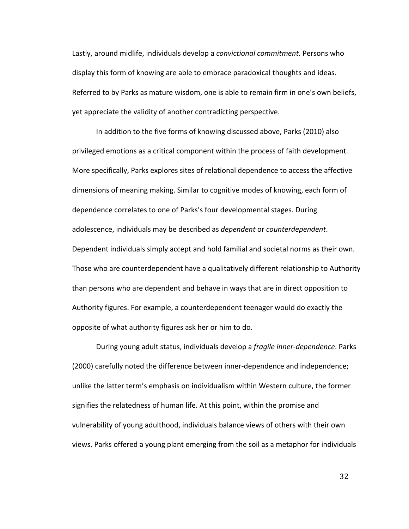Lastly, around midlife, individuals develop a *convictional commitment*. Persons who display this form of knowing are able to embrace paradoxical thoughts and ideas. Referred to by Parks as mature wisdom, one is able to remain firm in one's own beliefs, yet appreciate the validity of another contradicting perspective.

In addition to the five forms of knowing discussed above, Parks (2010) also privileged emotions as a critical component within the process of faith development. More specifically, Parks explores sites of relational dependence to access the affective dimensions of meaning making. Similar to cognitive modes of knowing, each form of dependence correlates to one of Parks's four developmental stages. During adolescence, individuals may be described as *dependent* or *counterdependent*. Dependent individuals simply accept and hold familial and societal norms as their own. Those who are counterdependent have a qualitatively different relationship to Authority than persons who are dependent and behave in ways that are in direct opposition to Authority figures. For example, a counterdependent teenager would do exactly the opposite of what authority figures ask her or him to do.

During young adult status, individuals develop a *fragile inner-dependence*. Parks (2000) carefully noted the difference between inner-dependence and independence; unlike the latter term's emphasis on individualism within Western culture, the former signifies the relatedness of human life. At this point, within the promise and vulnerability of young adulthood, individuals balance views of others with their own views. Parks offered a young plant emerging from the soil as a metaphor for individuals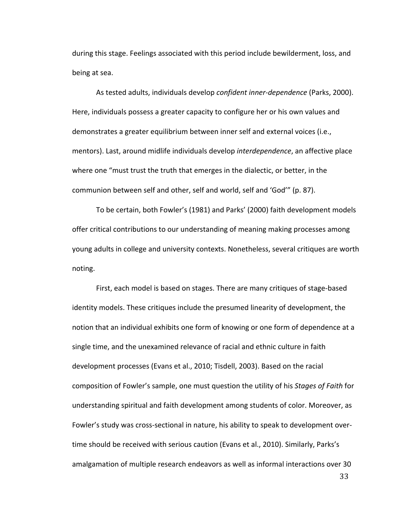during this stage. Feelings associated with this period include bewilderment, loss, and being at sea.

As tested adults, individuals develop *confident inner-dependence* (Parks, 2000). Here, individuals possess a greater capacity to configure her or his own values and demonstrates a greater equilibrium between inner self and external voices (i.e., mentors). Last, around midlife individuals develop *interdependence*, an affective place where one "must trust the truth that emerges in the dialectic, or better, in the communion between self and other, self and world, self and 'God'" (p. 87).

To be certain, both Fowler's (1981) and Parks' (2000) faith development models offer critical contributions to our understanding of meaning making processes among young adults in college and university contexts. Nonetheless, several critiques are worth noting. 

First, each model is based on stages. There are many critiques of stage-based identity models. These critiques include the presumed linearity of development, the notion that an individual exhibits one form of knowing or one form of dependence at a single time, and the unexamined relevance of racial and ethnic culture in faith development processes (Evans et al., 2010; Tisdell, 2003). Based on the racial composition of Fowler's sample, one must question the utility of his *Stages of Faith* for understanding spiritual and faith development among students of color. Moreover, as Fowler's study was cross-sectional in nature, his ability to speak to development overtime should be received with serious caution (Evans et al., 2010). Similarly, Parks's amalgamation of multiple research endeavors as well as informal interactions over 30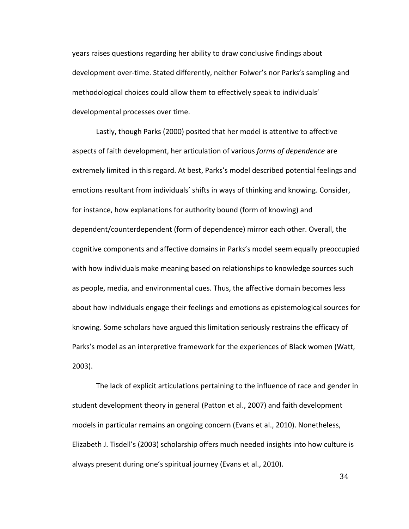years raises questions regarding her ability to draw conclusive findings about development over-time. Stated differently, neither Folwer's nor Parks's sampling and methodological choices could allow them to effectively speak to individuals' developmental processes over time.

Lastly, though Parks (2000) posited that her model is attentive to affective aspects of faith development, her articulation of various *forms of dependence* are extremely limited in this regard. At best, Parks's model described potential feelings and emotions resultant from individuals' shifts in ways of thinking and knowing. Consider, for instance, how explanations for authority bound (form of knowing) and dependent/counterdependent (form of dependence) mirror each other. Overall, the cognitive components and affective domains in Parks's model seem equally preoccupied with how individuals make meaning based on relationships to knowledge sources such as people, media, and environmental cues. Thus, the affective domain becomes less about how individuals engage their feelings and emotions as epistemological sources for knowing. Some scholars have argued this limitation seriously restrains the efficacy of Parks's model as an interpretive framework for the experiences of Black women (Watt, 2003). 

The lack of explicit articulations pertaining to the influence of race and gender in student development theory in general (Patton et al., 2007) and faith development models in particular remains an ongoing concern (Evans et al., 2010). Nonetheless, Elizabeth J. Tisdell's (2003) scholarship offers much needed insights into how culture is always present during one's spiritual journey (Evans et al., 2010).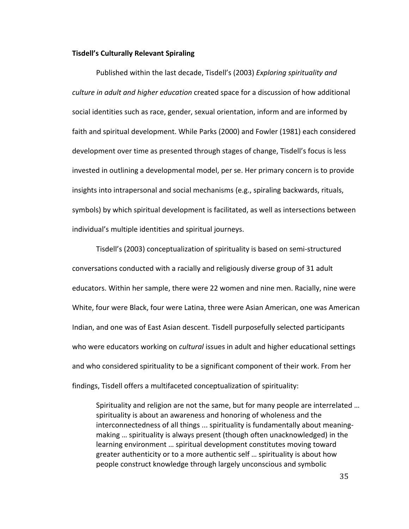## **Tisdell's Culturally Relevant Spiraling**

Published within the last decade, Tisdell's (2003) *Exploring spirituality and culture in adult and higher education* created space for a discussion of how additional social identities such as race, gender, sexual orientation, inform and are informed by faith and spiritual development. While Parks (2000) and Fowler (1981) each considered development over time as presented through stages of change, Tisdell's focus is less invested in outlining a developmental model, per se. Her primary concern is to provide insights into intrapersonal and social mechanisms (e.g., spiraling backwards, rituals, symbols) by which spiritual development is facilitated, as well as intersections between individual's multiple identities and spiritual journeys.

Tisdell's (2003) conceptualization of spirituality is based on semi-structured conversations conducted with a racially and religiously diverse group of 31 adult educators. Within her sample, there were 22 women and nine men. Racially, nine were White, four were Black, four were Latina, three were Asian American, one was American Indian, and one was of East Asian descent. Tisdell purposefully selected participants who were educators working on *cultural* issues in adult and higher educational settings and who considered spirituality to be a significant component of their work. From her findings, Tisdell offers a multifaceted conceptualization of spirituality:

Spirituality and religion are not the same, but for many people are interrelated ... spirituality is about an awareness and honoring of wholeness and the interconnectedness of all things ... spirituality is fundamentally about meaningmaking ... spirituality is always present (though often unacknowledged) in the learning environment ... spiritual development constitutes moving toward greater authenticity or to a more authentic self ... spirituality is about how people construct knowledge through largely unconscious and symbolic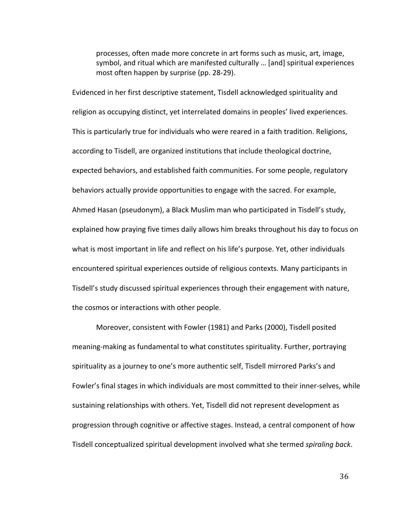processes, often made more concrete in art forms such as music, art, image, symbol, and ritual which are manifested culturally ... [and] spiritual experiences most often happen by surprise (pp. 28-29).

Evidenced in her first descriptive statement, Tisdell acknowledged spirituality and religion as occupying distinct, yet interrelated domains in peoples' lived experiences. This is particularly true for individuals who were reared in a faith tradition. Religions, according to Tisdell, are organized institutions that include theological doctrine, expected behaviors, and established faith communities. For some people, regulatory behaviors actually provide opportunities to engage with the sacred. For example, Ahmed Hasan (pseudonym), a Black Muslim man who participated in Tisdell's study, explained how praying five times daily allows him breaks throughout his day to focus on what is most important in life and reflect on his life's purpose. Yet, other individuals encountered spiritual experiences outside of religious contexts. Many participants in Tisdell's study discussed spiritual experiences through their engagement with nature, the cosmos or interactions with other people.

Moreover, consistent with Fowler (1981) and Parks (2000), Tisdell posited meaning-making as fundamental to what constitutes spirituality. Further, portraying spirituality as a journey to one's more authentic self, Tisdell mirrored Parks's and Fowler's final stages in which individuals are most committed to their inner-selves, while sustaining relationships with others. Yet, Tisdell did not represent development as progression through cognitive or affective stages. Instead, a central component of how Tisdell conceptualized spiritual development involved what she termed *spiraling back*.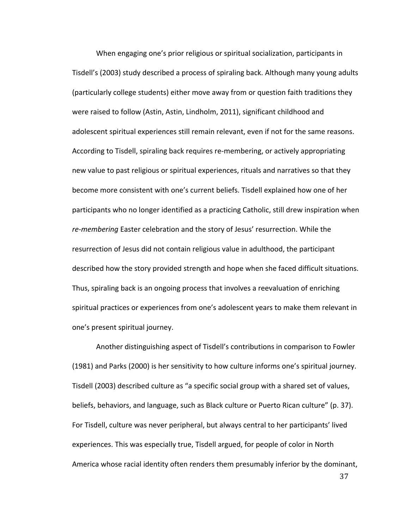When engaging one's prior religious or spiritual socialization, participants in Tisdell's (2003) study described a process of spiraling back. Although many young adults (particularly college students) either move away from or question faith traditions they were raised to follow (Astin, Astin, Lindholm, 2011), significant childhood and adolescent spiritual experiences still remain relevant, even if not for the same reasons. According to Tisdell, spiraling back requires re-membering, or actively appropriating new value to past religious or spiritual experiences, rituals and narratives so that they become more consistent with one's current beliefs. Tisdell explained how one of her participants who no longer identified as a practicing Catholic, still drew inspiration when re-membering Easter celebration and the story of Jesus' resurrection. While the resurrection of Jesus did not contain religious value in adulthood, the participant described how the story provided strength and hope when she faced difficult situations. Thus, spiraling back is an ongoing process that involves a reevaluation of enriching spiritual practices or experiences from one's adolescent years to make them relevant in one's present spiritual journey.

Another distinguishing aspect of Tisdell's contributions in comparison to Fowler (1981) and Parks (2000) is her sensitivity to how culture informs one's spiritual journey. Tisdell (2003) described culture as "a specific social group with a shared set of values, beliefs, behaviors, and language, such as Black culture or Puerto Rican culture" (p. 37). For Tisdell, culture was never peripheral, but always central to her participants' lived experiences. This was especially true, Tisdell argued, for people of color in North America whose racial identity often renders them presumably inferior by the dominant,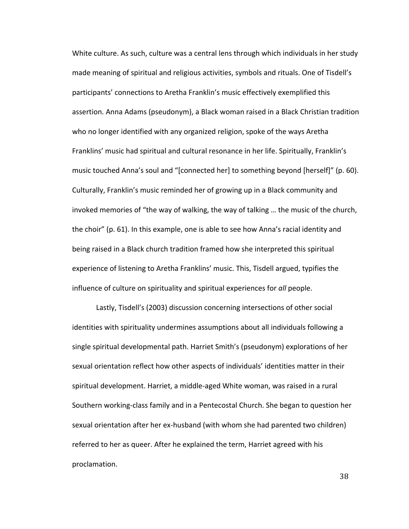White culture. As such, culture was a central lens through which individuals in her study made meaning of spiritual and religious activities, symbols and rituals. One of Tisdell's participants' connections to Aretha Franklin's music effectively exemplified this assertion. Anna Adams (pseudonym), a Black woman raised in a Black Christian tradition who no longer identified with any organized religion, spoke of the ways Aretha Franklins' music had spiritual and cultural resonance in her life. Spiritually, Franklin's music touched Anna's soul and "[connected her] to something beyond [herself]" (p. 60). Culturally, Franklin's music reminded her of growing up in a Black community and invoked memories of "the way of walking, the way of talking  $\ldots$  the music of the church, the choir"  $(p. 61)$ . In this example, one is able to see how Anna's racial identity and being raised in a Black church tradition framed how she interpreted this spiritual experience of listening to Aretha Franklins' music. This, Tisdell argued, typifies the influence of culture on spirituality and spiritual experiences for all people.

Lastly, Tisdell's (2003) discussion concerning intersections of other social identities with spirituality undermines assumptions about all individuals following a single spiritual developmental path. Harriet Smith's (pseudonym) explorations of her sexual orientation reflect how other aspects of individuals' identities matter in their spiritual development. Harriet, a middle-aged White woman, was raised in a rural Southern working-class family and in a Pentecostal Church. She began to question her sexual orientation after her ex-husband (with whom she had parented two children) referred to her as queer. After he explained the term, Harriet agreed with his proclamation.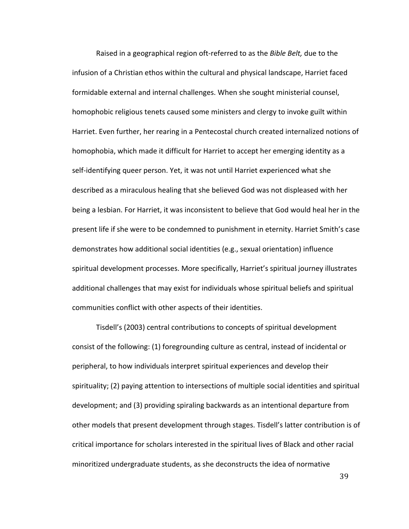Raised in a geographical region oft-referred to as the *Bible Belt*, due to the infusion of a Christian ethos within the cultural and physical landscape, Harriet faced formidable external and internal challenges. When she sought ministerial counsel, homophobic religious tenets caused some ministers and clergy to invoke guilt within Harriet. Even further, her rearing in a Pentecostal church created internalized notions of homophobia, which made it difficult for Harriet to accept her emerging identity as a self-identifying queer person. Yet, it was not until Harriet experienced what she described as a miraculous healing that she believed God was not displeased with her being a lesbian. For Harriet, it was inconsistent to believe that God would heal her in the present life if she were to be condemned to punishment in eternity. Harriet Smith's case demonstrates how additional social identities (e.g., sexual orientation) influence spiritual development processes. More specifically, Harriet's spiritual journey illustrates additional challenges that may exist for individuals whose spiritual beliefs and spiritual communities conflict with other aspects of their identities.

Tisdell's (2003) central contributions to concepts of spiritual development consist of the following: (1) foregrounding culture as central, instead of incidental or peripheral, to how individuals interpret spiritual experiences and develop their spirituality; (2) paying attention to intersections of multiple social identities and spiritual development; and (3) providing spiraling backwards as an intentional departure from other models that present development through stages. Tisdell's latter contribution is of critical importance for scholars interested in the spiritual lives of Black and other racial minoritized undergraduate students, as she deconstructs the idea of normative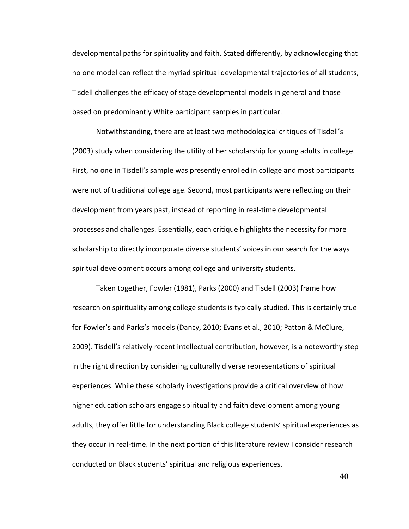developmental paths for spirituality and faith. Stated differently, by acknowledging that no one model can reflect the myriad spiritual developmental trajectories of all students, Tisdell challenges the efficacy of stage developmental models in general and those based on predominantly White participant samples in particular.

Notwithstanding, there are at least two methodological critiques of Tisdell's (2003) study when considering the utility of her scholarship for young adults in college. First, no one in Tisdell's sample was presently enrolled in college and most participants were not of traditional college age. Second, most participants were reflecting on their development from years past, instead of reporting in real-time developmental processes and challenges. Essentially, each critique highlights the necessity for more scholarship to directly incorporate diverse students' voices in our search for the ways spiritual development occurs among college and university students.

Taken together, Fowler (1981), Parks (2000) and Tisdell (2003) frame how research on spirituality among college students is typically studied. This is certainly true for Fowler's and Parks's models (Dancy, 2010; Evans et al., 2010; Patton & McClure, 2009). Tisdell's relatively recent intellectual contribution, however, is a noteworthy step in the right direction by considering culturally diverse representations of spiritual experiences. While these scholarly investigations provide a critical overview of how higher education scholars engage spirituality and faith development among young adults, they offer little for understanding Black college students' spiritual experiences as they occur in real-time. In the next portion of this literature review I consider research conducted on Black students' spiritual and religious experiences.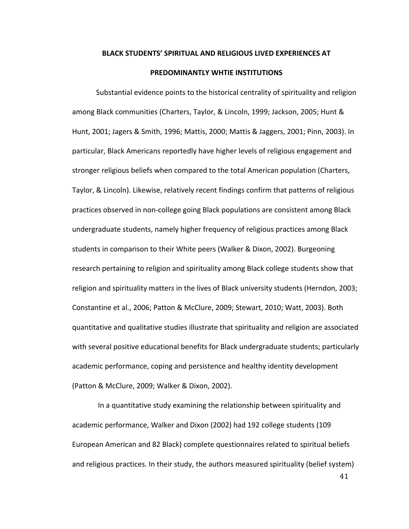# **BLACK STUDENTS' SPIRITUAL AND RELIGIOUS LIVED EXPERIENCES AT PREDOMINANTLY WHTIE INSTITUTIONS**

Substantial evidence points to the historical centrality of spirituality and religion among Black communities (Charters, Taylor, & Lincoln, 1999; Jackson, 2005; Hunt & Hunt, 2001; Jagers & Smith, 1996; Mattis, 2000; Mattis & Jaggers, 2001; Pinn, 2003). In particular, Black Americans reportedly have higher levels of religious engagement and stronger religious beliefs when compared to the total American population (Charters, Taylor, & Lincoln). Likewise, relatively recent findings confirm that patterns of religious practices observed in non-college going Black populations are consistent among Black undergraduate students, namely higher frequency of religious practices among Black students in comparison to their White peers (Walker & Dixon, 2002). Burgeoning research pertaining to religion and spirituality among Black college students show that religion and spirituality matters in the lives of Black university students (Herndon, 2003; Constantine et al., 2006; Patton & McClure, 2009; Stewart, 2010; Watt, 2003). Both quantitative and qualitative studies illustrate that spirituality and religion are associated with several positive educational benefits for Black undergraduate students; particularly academic performance, coping and persistence and healthy identity development (Patton & McClure, 2009; Walker & Dixon, 2002).

In a quantitative study examining the relationship between spirituality and academic performance, Walker and Dixon (2002) had 192 college students (109 European American and 82 Black) complete questionnaires related to spiritual beliefs and religious practices. In their study, the authors measured spirituality (belief system)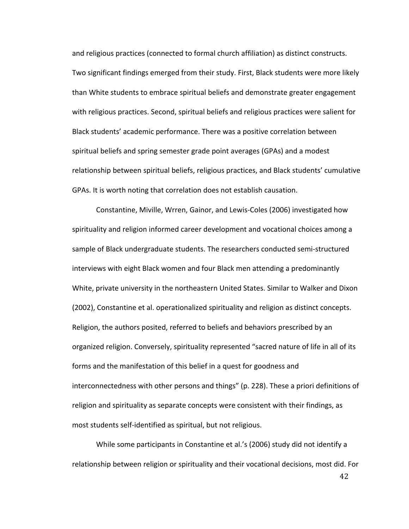and religious practices (connected to formal church affiliation) as distinct constructs. Two significant findings emerged from their study. First, Black students were more likely than White students to embrace spiritual beliefs and demonstrate greater engagement with religious practices. Second, spiritual beliefs and religious practices were salient for Black students' academic performance. There was a positive correlation between spiritual beliefs and spring semester grade point averages (GPAs) and a modest relationship between spiritual beliefs, religious practices, and Black students' cumulative GPAs. It is worth noting that correlation does not establish causation.

Constantine, Miville, Wrren, Gainor, and Lewis-Coles (2006) investigated how spirituality and religion informed career development and vocational choices among a sample of Black undergraduate students. The researchers conducted semi-structured interviews with eight Black women and four Black men attending a predominantly White, private university in the northeastern United States. Similar to Walker and Dixon (2002), Constantine et al. operationalized spirituality and religion as distinct concepts. Religion, the authors posited, referred to beliefs and behaviors prescribed by an organized religion. Conversely, spirituality represented "sacred nature of life in all of its forms and the manifestation of this belief in a quest for goodness and interconnectedness with other persons and things" (p. 228). These a priori definitions of religion and spirituality as separate concepts were consistent with their findings, as most students self-identified as spiritual, but not religious.

While some participants in Constantine et al.'s (2006) study did not identify a relationship between religion or spirituality and their vocational decisions, most did. For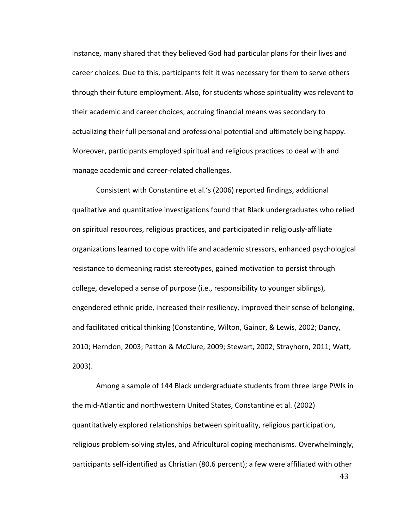instance, many shared that they believed God had particular plans for their lives and career choices. Due to this, participants felt it was necessary for them to serve others through their future employment. Also, for students whose spirituality was relevant to their academic and career choices, accruing financial means was secondary to actualizing their full personal and professional potential and ultimately being happy. Moreover, participants employed spiritual and religious practices to deal with and manage academic and career-related challenges.

Consistent with Constantine et al.'s (2006) reported findings, additional qualitative and quantitative investigations found that Black undergraduates who relied on spiritual resources, religious practices, and participated in religiously-affiliate organizations learned to cope with life and academic stressors, enhanced psychological resistance to demeaning racist stereotypes, gained motivation to persist through college, developed a sense of purpose (i.e., responsibility to younger siblings), engendered ethnic pride, increased their resiliency, improved their sense of belonging, and facilitated critical thinking (Constantine, Wilton, Gainor, & Lewis, 2002; Dancy, 2010; Herndon, 2003; Patton & McClure, 2009; Stewart, 2002; Strayhorn, 2011; Watt, 2003). 

Among a sample of 144 Black undergraduate students from three large PWIs in the mid-Atlantic and northwestern United States, Constantine et al. (2002) quantitatively explored relationships between spirituality, religious participation, religious problem-solving styles, and Africultural coping mechanisms. Overwhelmingly, participants self-identified as Christian (80.6 percent); a few were affiliated with other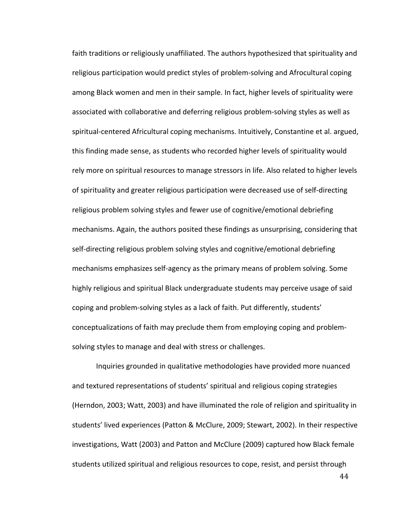faith traditions or religiously unaffiliated. The authors hypothesized that spirituality and religious participation would predict styles of problem-solving and Afrocultural coping among Black women and men in their sample. In fact, higher levels of spirituality were associated with collaborative and deferring religious problem-solving styles as well as spiritual-centered Africultural coping mechanisms. Intuitively, Constantine et al. argued, this finding made sense, as students who recorded higher levels of spirituality would rely more on spiritual resources to manage stressors in life. Also related to higher levels of spirituality and greater religious participation were decreased use of self-directing religious problem solving styles and fewer use of cognitive/emotional debriefing mechanisms. Again, the authors posited these findings as unsurprising, considering that self-directing religious problem solving styles and cognitive/emotional debriefing mechanisms emphasizes self-agency as the primary means of problem solving. Some highly religious and spiritual Black undergraduate students may perceive usage of said coping and problem-solving styles as a lack of faith. Put differently, students' conceptualizations of faith may preclude them from employing coping and problemsolving styles to manage and deal with stress or challenges.

Inquiries grounded in qualitative methodologies have provided more nuanced and textured representations of students' spiritual and religious coping strategies (Herndon, 2003; Watt, 2003) and have illuminated the role of religion and spirituality in students' lived experiences (Patton & McClure, 2009; Stewart, 2002). In their respective investigations, Watt (2003) and Patton and McClure (2009) captured how Black female students utilized spiritual and religious resources to cope, resist, and persist through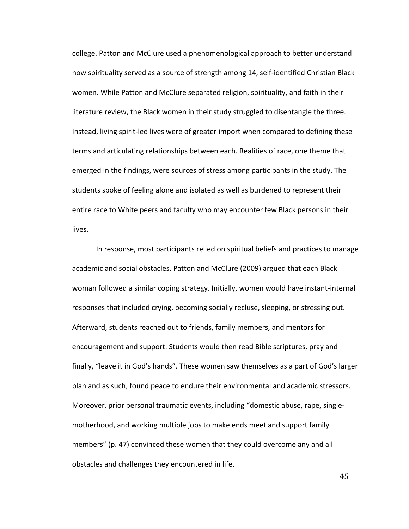college. Patton and McClure used a phenomenological approach to better understand how spirituality served as a source of strength among 14, self-identified Christian Black women. While Patton and McClure separated religion, spirituality, and faith in their literature review, the Black women in their study struggled to disentangle the three. Instead, living spirit-led lives were of greater import when compared to defining these terms and articulating relationships between each. Realities of race, one theme that emerged in the findings, were sources of stress among participants in the study. The students spoke of feeling alone and isolated as well as burdened to represent their entire race to White peers and faculty who may encounter few Black persons in their lives. 

In response, most participants relied on spiritual beliefs and practices to manage academic and social obstacles. Patton and McClure (2009) argued that each Black woman followed a similar coping strategy. Initially, women would have instant-internal responses that included crying, becoming socially recluse, sleeping, or stressing out. Afterward, students reached out to friends, family members, and mentors for encouragement and support. Students would then read Bible scriptures, pray and finally, "leave it in God's hands". These women saw themselves as a part of God's larger plan and as such, found peace to endure their environmental and academic stressors. Moreover, prior personal traumatic events, including "domestic abuse, rape, singlemotherhood, and working multiple jobs to make ends meet and support family members" (p. 47) convinced these women that they could overcome any and all obstacles and challenges they encountered in life.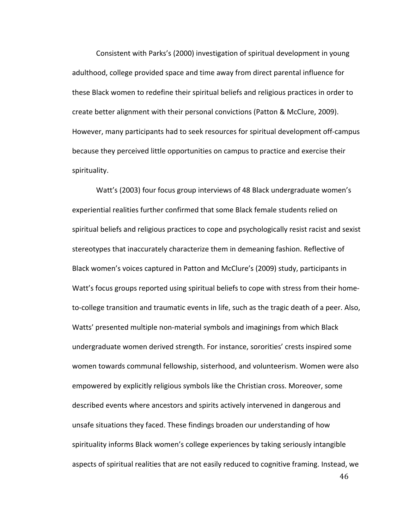Consistent with Parks's (2000) investigation of spiritual development in young adulthood, college provided space and time away from direct parental influence for these Black women to redefine their spiritual beliefs and religious practices in order to create better alignment with their personal convictions (Patton & McClure, 2009). However, many participants had to seek resources for spiritual development off-campus because they perceived little opportunities on campus to practice and exercise their spirituality. 

Watt's (2003) four focus group interviews of 48 Black undergraduate women's experiential realities further confirmed that some Black female students relied on spiritual beliefs and religious practices to cope and psychologically resist racist and sexist stereotypes that inaccurately characterize them in demeaning fashion. Reflective of Black women's voices captured in Patton and McClure's (2009) study, participants in Watt's focus groups reported using spiritual beliefs to cope with stress from their hometo-college transition and traumatic events in life, such as the tragic death of a peer. Also, Watts' presented multiple non-material symbols and imaginings from which Black undergraduate women derived strength. For instance, sororities' crests inspired some women towards communal fellowship, sisterhood, and volunteerism. Women were also empowered by explicitly religious symbols like the Christian cross. Moreover, some described events where ancestors and spirits actively intervened in dangerous and unsafe situations they faced. These findings broaden our understanding of how spirituality informs Black women's college experiences by taking seriously intangible aspects of spiritual realities that are not easily reduced to cognitive framing. Instead, we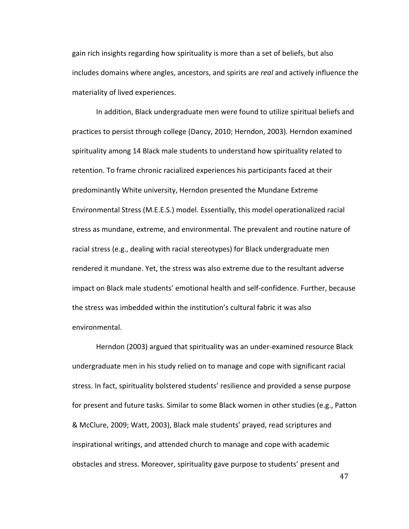gain rich insights regarding how spirituality is more than a set of beliefs, but also includes domains where angles, ancestors, and spirits are *real* and actively influence the materiality of lived experiences.

In addition, Black undergraduate men were found to utilize spiritual beliefs and practices to persist through college (Dancy, 2010; Herndon, 2003). Herndon examined spirituality among 14 Black male students to understand how spirituality related to retention. To frame chronic racialized experiences his participants faced at their predominantly White university, Herndon presented the Mundane Extreme Environmental Stress (M.E.E.S.) model. Essentially, this model operationalized racial stress as mundane, extreme, and environmental. The prevalent and routine nature of racial stress (e.g., dealing with racial stereotypes) for Black undergraduate men rendered it mundane. Yet, the stress was also extreme due to the resultant adverse impact on Black male students' emotional health and self-confidence. Further, because the stress was imbedded within the institution's cultural fabric it was also environmental. 

Herndon (2003) argued that spirituality was an under-examined resource Black undergraduate men in his study relied on to manage and cope with significant racial stress. In fact, spirituality bolstered students' resilience and provided a sense purpose for present and future tasks. Similar to some Black women in other studies (e.g., Patton & McClure, 2009; Watt, 2003), Black male students' prayed, read scriptures and inspirational writings, and attended church to manage and cope with academic obstacles and stress. Moreover, spirituality gave purpose to students' present and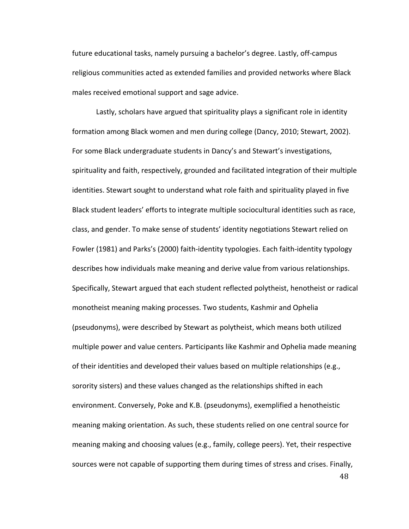future educational tasks, namely pursuing a bachelor's degree. Lastly, off-campus religious communities acted as extended families and provided networks where Black males received emotional support and sage advice.

Lastly, scholars have argued that spirituality plays a significant role in identity formation among Black women and men during college (Dancy, 2010; Stewart, 2002). For some Black undergraduate students in Dancy's and Stewart's investigations, spirituality and faith, respectively, grounded and facilitated integration of their multiple identities. Stewart sought to understand what role faith and spirituality played in five Black student leaders' efforts to integrate multiple sociocultural identities such as race, class, and gender. To make sense of students' identity negotiations Stewart relied on Fowler (1981) and Parks's (2000) faith-identity typologies. Each faith-identity typology describes how individuals make meaning and derive value from various relationships. Specifically, Stewart argued that each student reflected polytheist, henotheist or radical monotheist meaning making processes. Two students, Kashmir and Ophelia (pseudonyms), were described by Stewart as polytheist, which means both utilized multiple power and value centers. Participants like Kashmir and Ophelia made meaning of their identities and developed their values based on multiple relationships (e.g., sorority sisters) and these values changed as the relationships shifted in each environment. Conversely, Poke and K.B. (pseudonyms), exemplified a henotheistic meaning making orientation. As such, these students relied on one central source for meaning making and choosing values (e.g., family, college peers). Yet, their respective sources were not capable of supporting them during times of stress and crises. Finally,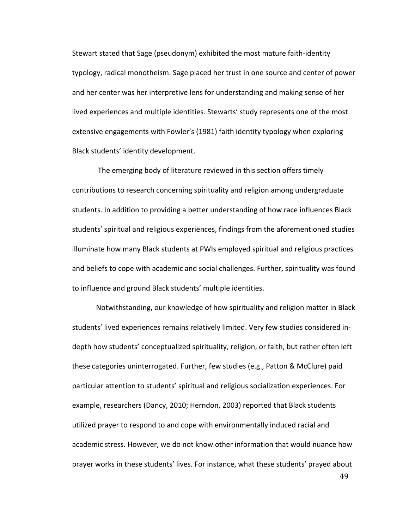Stewart stated that Sage (pseudonym) exhibited the most mature faith-identity typology, radical monotheism. Sage placed her trust in one source and center of power and her center was her interpretive lens for understanding and making sense of her lived experiences and multiple identities. Stewarts' study represents one of the most extensive engagements with Fowler's (1981) faith identity typology when exploring Black students' identity development.

The emerging body of literature reviewed in this section offers timely contributions to research concerning spirituality and religion among undergraduate students. In addition to providing a better understanding of how race influences Black students' spiritual and religious experiences, findings from the aforementioned studies illuminate how many Black students at PWIs employed spiritual and religious practices and beliefs to cope with academic and social challenges. Further, spirituality was found to influence and ground Black students' multiple identities.

49 Notwithstanding, our knowledge of how spirituality and religion matter in Black students' lived experiences remains relatively limited. Very few studies considered indepth how students' conceptualized spirituality, religion, or faith, but rather often left these categories uninterrogated. Further, few studies (e.g., Patton & McClure) paid particular attention to students' spiritual and religious socialization experiences. For example, researchers (Dancy, 2010; Herndon, 2003) reported that Black students utilized prayer to respond to and cope with environmentally induced racial and academic stress. However, we do not know other information that would nuance how prayer works in these students' lives. For instance, what these students' prayed about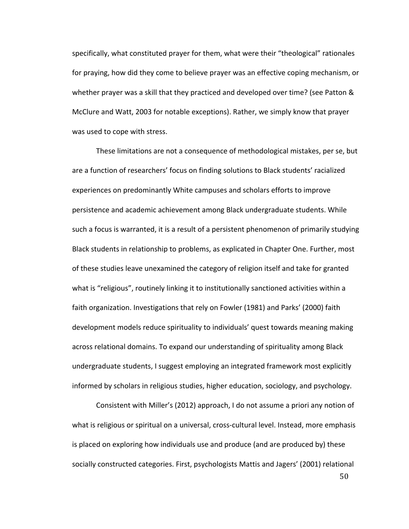specifically, what constituted prayer for them, what were their "theological" rationales for praying, how did they come to believe prayer was an effective coping mechanism, or whether prayer was a skill that they practiced and developed over time? (see Patton & McClure and Watt, 2003 for notable exceptions). Rather, we simply know that prayer was used to cope with stress.

These limitations are not a consequence of methodological mistakes, per se, but are a function of researchers' focus on finding solutions to Black students' racialized experiences on predominantly White campuses and scholars efforts to improve persistence and academic achievement among Black undergraduate students. While such a focus is warranted, it is a result of a persistent phenomenon of primarily studying Black students in relationship to problems, as explicated in Chapter One. Further, most of these studies leave unexamined the category of religion itself and take for granted what is "religious", routinely linking it to institutionally sanctioned activities within a faith organization. Investigations that rely on Fowler (1981) and Parks' (2000) faith development models reduce spirituality to individuals' quest towards meaning making across relational domains. To expand our understanding of spirituality among Black undergraduate students, I suggest employing an integrated framework most explicitly informed by scholars in religious studies, higher education, sociology, and psychology.

50 Consistent with Miller's (2012) approach, I do not assume a priori any notion of what is religious or spiritual on a universal, cross-cultural level. Instead, more emphasis is placed on exploring how individuals use and produce (and are produced by) these socially constructed categories. First, psychologists Mattis and Jagers' (2001) relational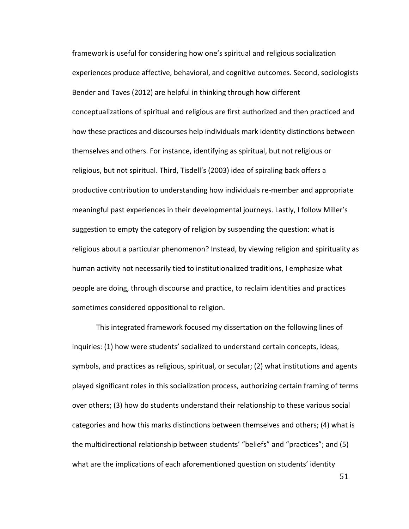framework is useful for considering how one's spiritual and religious socialization experiences produce affective, behavioral, and cognitive outcomes. Second, sociologists Bender and Taves (2012) are helpful in thinking through how different conceptualizations of spiritual and religious are first authorized and then practiced and how these practices and discourses help individuals mark identity distinctions between themselves and others. For instance, identifying as spiritual, but not religious or religious, but not spiritual. Third, Tisdell's (2003) idea of spiraling back offers a productive contribution to understanding how individuals re-member and appropriate meaningful past experiences in their developmental journeys. Lastly, I follow Miller's suggestion to empty the category of religion by suspending the question: what is religious about a particular phenomenon? Instead, by viewing religion and spirituality as human activity not necessarily tied to institutionalized traditions, I emphasize what people are doing, through discourse and practice, to reclaim identities and practices sometimes considered oppositional to religion.

This integrated framework focused my dissertation on the following lines of inquiries: (1) how were students' socialized to understand certain concepts, ideas, symbols, and practices as religious, spiritual, or secular; (2) what institutions and agents played significant roles in this socialization process, authorizing certain framing of terms over others; (3) how do students understand their relationship to these various social categories and how this marks distinctions between themselves and others; (4) what is the multidirectional relationship between students' "beliefs" and "practices"; and (5) what are the implications of each aforementioned question on students' identity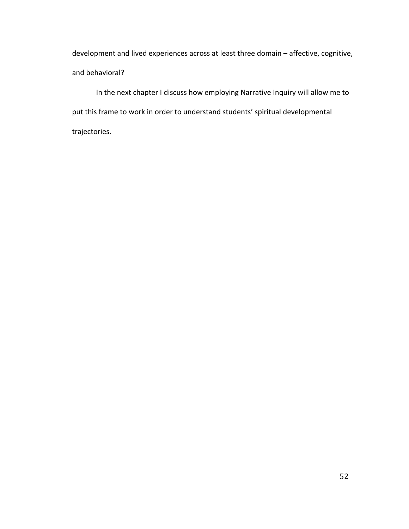development and lived experiences across at least three domain - affective, cognitive, and behavioral?

In the next chapter I discuss how employing Narrative Inquiry will allow me to put this frame to work in order to understand students' spiritual developmental trajectories.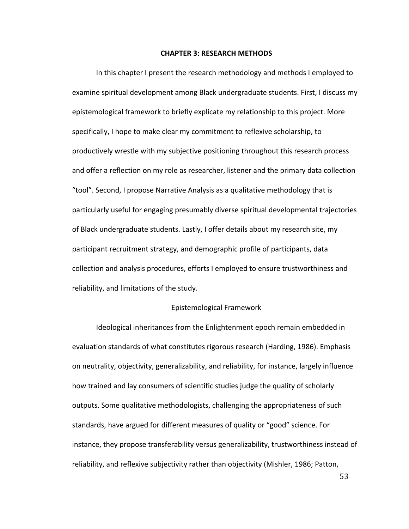#### **CHAPTER 3: RESEARCH METHODS**

In this chapter I present the research methodology and methods I employed to examine spiritual development among Black undergraduate students. First, I discuss my epistemological framework to briefly explicate my relationship to this project. More specifically, I hope to make clear my commitment to reflexive scholarship, to productively wrestle with my subjective positioning throughout this research process and offer a reflection on my role as researcher, listener and the primary data collection "tool". Second, I propose Narrative Analysis as a qualitative methodology that is particularly useful for engaging presumably diverse spiritual developmental trajectories of Black undergraduate students. Lastly, I offer details about my research site, my participant recruitment strategy, and demographic profile of participants, data collection and analysis procedures, efforts I employed to ensure trustworthiness and reliability, and limitations of the study.

## Epistemological Framework

Ideological inheritances from the Enlightenment epoch remain embedded in evaluation standards of what constitutes rigorous research (Harding, 1986). Emphasis on neutrality, objectivity, generalizability, and reliability, for instance, largely influence how trained and lay consumers of scientific studies judge the quality of scholarly outputs. Some qualitative methodologists, challenging the appropriateness of such standards, have argued for different measures of quality or "good" science. For instance, they propose transferability versus generalizability, trustworthiness instead of reliability, and reflexive subjectivity rather than objectivity (Mishler, 1986; Patton,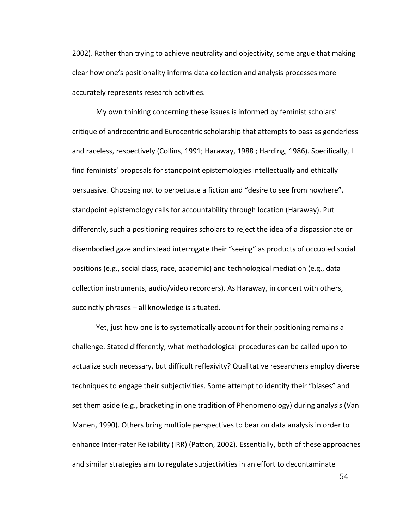2002). Rather than trying to achieve neutrality and objectivity, some argue that making clear how one's positionality informs data collection and analysis processes more accurately represents research activities.

My own thinking concerning these issues is informed by feminist scholars' critique of androcentric and Eurocentric scholarship that attempts to pass as genderless and raceless, respectively (Collins, 1991; Haraway, 1988 ; Harding, 1986). Specifically, I find feminists' proposals for standpoint epistemologies intellectually and ethically persuasive. Choosing not to perpetuate a fiction and "desire to see from nowhere", standpoint epistemology calls for accountability through location (Haraway). Put differently, such a positioning requires scholars to reject the idea of a dispassionate or disembodied gaze and instead interrogate their "seeing" as products of occupied social positions (e.g., social class, race, academic) and technological mediation (e.g., data collection instruments, audio/video recorders). As Haraway, in concert with others, succinctly  $phrases - all knowledge is situated.$ 

Yet, just how one is to systematically account for their positioning remains a challenge. Stated differently, what methodological procedures can be called upon to actualize such necessary, but difficult reflexivity? Qualitative researchers employ diverse techniques to engage their subjectivities. Some attempt to identify their "biases" and set them aside (e.g., bracketing in one tradition of Phenomenology) during analysis (Van Manen, 1990). Others bring multiple perspectives to bear on data analysis in order to enhance Inter-rater Reliability (IRR) (Patton, 2002). Essentially, both of these approaches and similar strategies aim to regulate subjectivities in an effort to decontaminate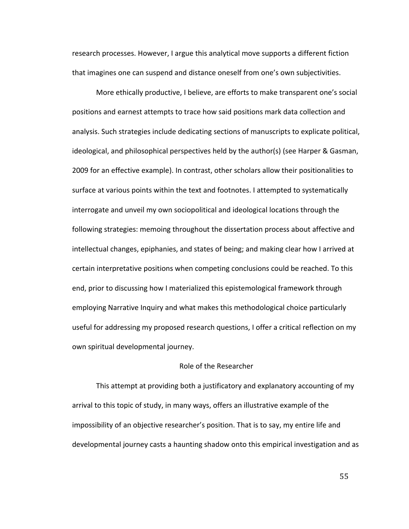research processes. However, I argue this analytical move supports a different fiction that imagines one can suspend and distance oneself from one's own subjectivities.

More ethically productive, I believe, are efforts to make transparent one's social positions and earnest attempts to trace how said positions mark data collection and analysis. Such strategies include dedicating sections of manuscripts to explicate political, ideological, and philosophical perspectives held by the author(s) (see Harper & Gasman, 2009 for an effective example). In contrast, other scholars allow their positionalities to surface at various points within the text and footnotes. I attempted to systematically interrogate and unveil my own sociopolitical and ideological locations through the following strategies: memoing throughout the dissertation process about affective and intellectual changes, epiphanies, and states of being; and making clear how I arrived at certain interpretative positions when competing conclusions could be reached. To this end, prior to discussing how I materialized this epistemological framework through employing Narrative Inquiry and what makes this methodological choice particularly useful for addressing my proposed research questions, I offer a critical reflection on my own spiritual developmental journey.

# Role of the Researcher

This attempt at providing both a justificatory and explanatory accounting of my arrival to this topic of study, in many ways, offers an illustrative example of the impossibility of an objective researcher's position. That is to say, my entire life and developmental journey casts a haunting shadow onto this empirical investigation and as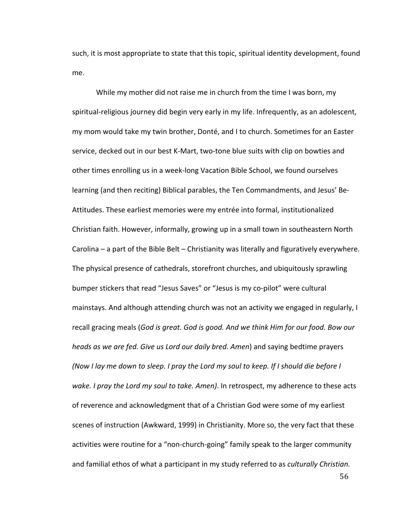such, it is most appropriate to state that this topic, spiritual identity development, found me. 

While my mother did not raise me in church from the time I was born, my spiritual-religious journey did begin very early in my life. Infrequently, as an adolescent, my mom would take my twin brother, Donté, and I to church. Sometimes for an Easter service, decked out in our best K-Mart, two-tone blue suits with clip on bowties and other times enrolling us in a week-long Vacation Bible School, we found ourselves learning (and then reciting) Biblical parables, the Ten Commandments, and Jesus' Be-Attitudes. These earliest memories were my entrée into formal, institutionalized Christian faith. However, informally, growing up in a small town in southeastern North Carolina – a part of the Bible Belt – Christianity was literally and figuratively everywhere. The physical presence of cathedrals, storefront churches, and ubiquitously sprawling bumper stickers that read "Jesus Saves" or "Jesus is my co-pilot" were cultural mainstays. And although attending church was not an activity we engaged in regularly, I recall gracing meals (God is great. God is good. And we think Him for our food. Bow our *heads as we are fed. Give us Lord our daily bred. Amen*) and saying bedtime prayers *(Now I lay me down to sleep. I pray the Lord my soul to keep. If I should die before I* wake. I pray the Lord my soul to take. Amen). In retrospect, my adherence to these acts of reverence and acknowledgment that of a Christian God were some of my earliest scenes of instruction (Awkward, 1999) in Christianity. More so, the very fact that these activities were routine for a "non-church-going" family speak to the larger community and familial ethos of what a participant in my study referred to as *culturally Christian.*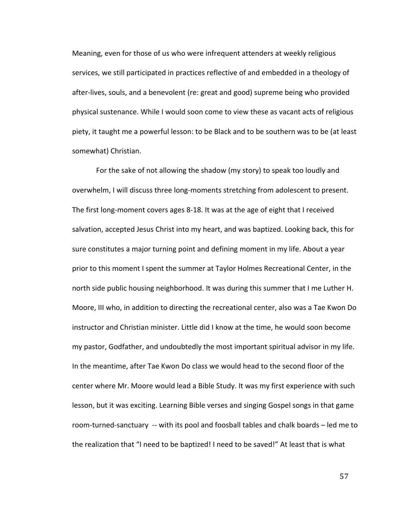Meaning, even for those of us who were infrequent attenders at weekly religious services, we still participated in practices reflective of and embedded in a theology of after-lives, souls, and a benevolent (re: great and good) supreme being who provided physical sustenance. While I would soon come to view these as vacant acts of religious piety, it taught me a powerful lesson: to be Black and to be southern was to be (at least somewhat) Christian.

For the sake of not allowing the shadow (my story) to speak too loudly and overwhelm, I will discuss three long-moments stretching from adolescent to present. The first long-moment covers ages 8-18. It was at the age of eight that I received salvation, accepted Jesus Christ into my heart, and was baptized. Looking back, this for sure constitutes a major turning point and defining moment in my life. About a year prior to this moment I spent the summer at Taylor Holmes Recreational Center, in the north side public housing neighborhood. It was during this summer that I me Luther H. Moore, III who, in addition to directing the recreational center, also was a Tae Kwon Do instructor and Christian minister. Little did I know at the time, he would soon become my pastor, Godfather, and undoubtedly the most important spiritual advisor in my life. In the meantime, after Tae Kwon Do class we would head to the second floor of the center where Mr. Moore would lead a Bible Study. It was my first experience with such lesson, but it was exciting. Learning Bible verses and singing Gospel songs in that game room-turned-sanctuary -- with its pool and foosball tables and chalk boards – led me to the realization that "I need to be baptized! I need to be saved!" At least that is what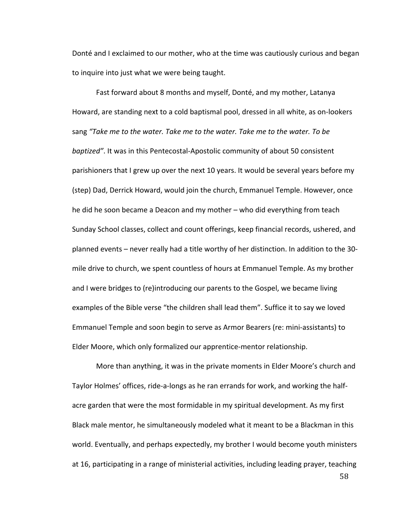Donté and I exclaimed to our mother, who at the time was cautiously curious and began to inquire into just what we were being taught.

Fast forward about 8 months and myself, Donté, and my mother, Latanya Howard, are standing next to a cold baptismal pool, dressed in all white, as on-lookers sang "Take me to the water. Take me to the water. Take me to the water. To be *baptized"*. It was in this Pentecostal-Apostolic community of about 50 consistent parishioners that I grew up over the next 10 years. It would be several years before my (step) Dad, Derrick Howard, would join the church, Emmanuel Temple. However, once he did he soon became a Deacon and my mother – who did everything from teach Sunday School classes, collect and count offerings, keep financial records, ushered, and planned events – never really had a title worthy of her distinction. In addition to the 30mile drive to church, we spent countless of hours at Emmanuel Temple. As my brother and I were bridges to (re)introducing our parents to the Gospel, we became living examples of the Bible verse "the children shall lead them". Suffice it to say we loved Emmanuel Temple and soon begin to serve as Armor Bearers (re: mini-assistants) to Elder Moore, which only formalized our apprentice-mentor relationship.

58 More than anything, it was in the private moments in Elder Moore's church and Taylor Holmes' offices, ride-a-longs as he ran errands for work, and working the halfacre garden that were the most formidable in my spiritual development. As my first Black male mentor, he simultaneously modeled what it meant to be a Blackman in this world. Eventually, and perhaps expectedly, my brother I would become youth ministers at 16, participating in a range of ministerial activities, including leading prayer, teaching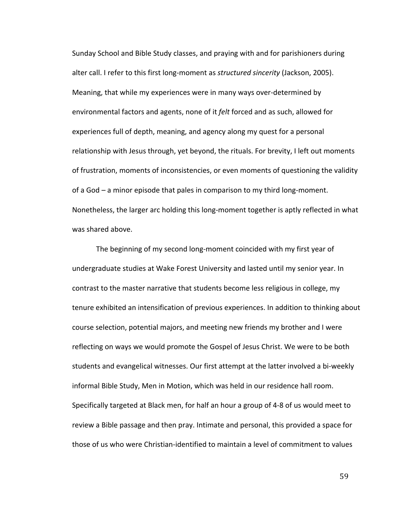Sunday School and Bible Study classes, and praying with and for parishioners during alter call. I refer to this first long-moment as *structured sincerity* (Jackson, 2005). Meaning, that while my experiences were in many ways over-determined by environmental factors and agents, none of it *felt* forced and as such, allowed for experiences full of depth, meaning, and agency along my quest for a personal relationship with Jesus through, yet beyond, the rituals. For brevity, I left out moments of frustration, moments of inconsistencies, or even moments of questioning the validity of a God – a minor episode that pales in comparison to my third long-moment. Nonetheless, the larger arc holding this long-moment together is aptly reflected in what was shared above.

The beginning of my second long-moment coincided with my first year of undergraduate studies at Wake Forest University and lasted until my senior year. In contrast to the master narrative that students become less religious in college, my tenure exhibited an intensification of previous experiences. In addition to thinking about course selection, potential majors, and meeting new friends my brother and I were reflecting on ways we would promote the Gospel of Jesus Christ. We were to be both students and evangelical witnesses. Our first attempt at the latter involved a bi-weekly informal Bible Study, Men in Motion, which was held in our residence hall room. Specifically targeted at Black men, for half an hour a group of 4-8 of us would meet to review a Bible passage and then pray. Intimate and personal, this provided a space for those of us who were Christian-identified to maintain a level of commitment to values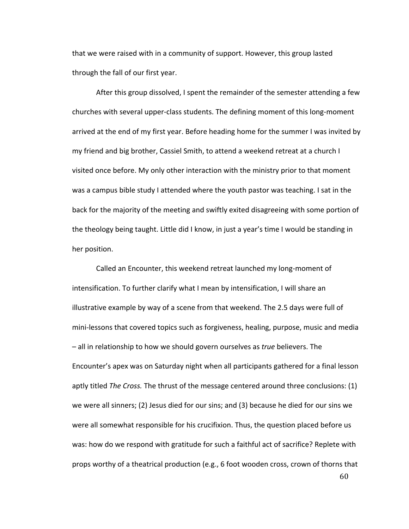that we were raised with in a community of support. However, this group lasted through the fall of our first year.

After this group dissolved, I spent the remainder of the semester attending a few churches with several upper-class students. The defining moment of this long-moment arrived at the end of my first year. Before heading home for the summer I was invited by my friend and big brother, Cassiel Smith, to attend a weekend retreat at a church I visited once before. My only other interaction with the ministry prior to that moment was a campus bible study I attended where the youth pastor was teaching. I sat in the back for the majority of the meeting and swiftly exited disagreeing with some portion of the theology being taught. Little did I know, in just a year's time I would be standing in her position.

60 Called an Encounter, this weekend retreat launched my long-moment of intensification. To further clarify what I mean by intensification, I will share an illustrative example by way of a scene from that weekend. The 2.5 days were full of mini-lessons that covered topics such as forgiveness, healing, purpose, music and media  $-$  all in relationship to how we should govern ourselves as *true* believers. The Encounter's apex was on Saturday night when all participants gathered for a final lesson aptly titled *The Cross*. The thrust of the message centered around three conclusions: (1) we were all sinners; (2) Jesus died for our sins; and (3) because he died for our sins we were all somewhat responsible for his crucifixion. Thus, the question placed before us was: how do we respond with gratitude for such a faithful act of sacrifice? Replete with props worthy of a theatrical production (e.g., 6 foot wooden cross, crown of thorns that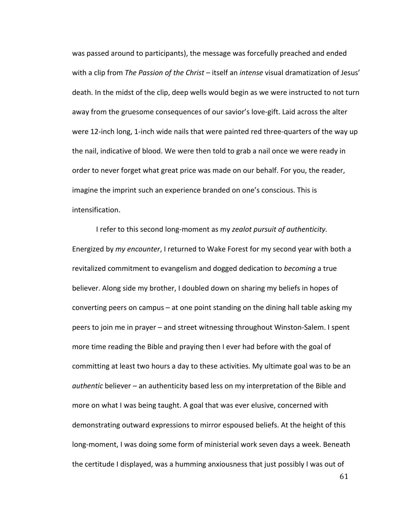was passed around to participants), the message was forcefully preached and ended with a clip from *The Passion of the Christ* – itself an *intense* visual dramatization of Jesus' death. In the midst of the clip, deep wells would begin as we were instructed to not turn away from the gruesome consequences of our savior's love-gift. Laid across the alter were 12-inch long, 1-inch wide nails that were painted red three-quarters of the way up the nail, indicative of blood. We were then told to grab a nail once we were ready in order to never forget what great price was made on our behalf. For you, the reader, imagine the imprint such an experience branded on one's conscious. This is intensification. 

I refer to this second long-moment as my *zealot pursuit of authenticity*. Energized by *my encounter*, I returned to Wake Forest for my second year with both a revitalized commitment to evangelism and dogged dedication to *becoming* a true believer. Along side my brother, I doubled down on sharing my beliefs in hopes of converting peers on campus  $-$  at one point standing on the dining hall table asking my peers to join me in prayer – and street witnessing throughout Winston-Salem. I spent more time reading the Bible and praying then I ever had before with the goal of committing at least two hours a day to these activities. My ultimate goal was to be an authentic believer – an authenticity based less on my interpretation of the Bible and more on what I was being taught. A goal that was ever elusive, concerned with demonstrating outward expressions to mirror espoused beliefs. At the height of this long-moment, I was doing some form of ministerial work seven days a week. Beneath the certitude I displayed, was a humming anxiousness that just possibly I was out of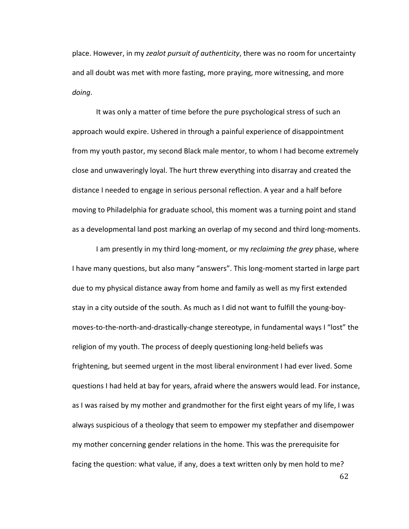place. However, in my *zealot pursuit of authenticity*, there was no room for uncertainty and all doubt was met with more fasting, more praying, more witnessing, and more *doing*. 

It was only a matter of time before the pure psychological stress of such an approach would expire. Ushered in through a painful experience of disappointment from my youth pastor, my second Black male mentor, to whom I had become extremely close and unwaveringly loyal. The hurt threw everything into disarray and created the distance I needed to engage in serious personal reflection. A year and a half before moving to Philadelphia for graduate school, this moment was a turning point and stand as a developmental land post marking an overlap of my second and third long-moments.

I am presently in my third long-moment, or my *reclaiming the grey* phase, where I have many questions, but also many "answers". This long-moment started in large part due to my physical distance away from home and family as well as my first extended stay in a city outside of the south. As much as I did not want to fulfill the young-boymoves-to-the-north-and-drastically-change stereotype, in fundamental ways I "lost" the religion of my youth. The process of deeply questioning long-held beliefs was frightening, but seemed urgent in the most liberal environment I had ever lived. Some questions I had held at bay for years, afraid where the answers would lead. For instance, as I was raised by my mother and grandmother for the first eight years of my life, I was always suspicious of a theology that seem to empower my stepfather and disempower my mother concerning gender relations in the home. This was the prerequisite for facing the question: what value, if any, does a text written only by men hold to me?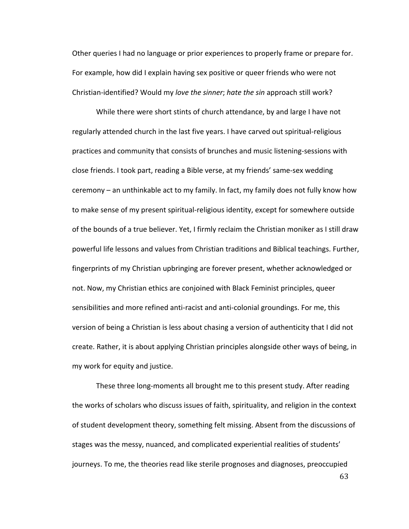Other queries I had no language or prior experiences to properly frame or prepare for. For example, how did I explain having sex positive or queer friends who were not Christian-identified? Would my love the sinner; hate the sin approach still work?

While there were short stints of church attendance, by and large I have not regularly attended church in the last five years. I have carved out spiritual-religious practices and community that consists of brunches and music listening-sessions with close friends. I took part, reading a Bible verse, at my friends' same-sex wedding ceremony – an unthinkable act to my family. In fact, my family does not fully know how to make sense of my present spiritual-religious identity, except for somewhere outside of the bounds of a true believer. Yet, I firmly reclaim the Christian moniker as I still draw powerful life lessons and values from Christian traditions and Biblical teachings. Further, fingerprints of my Christian upbringing are forever present, whether acknowledged or not. Now, my Christian ethics are conjoined with Black Feminist principles, queer sensibilities and more refined anti-racist and anti-colonial groundings. For me, this version of being a Christian is less about chasing a version of authenticity that I did not create. Rather, it is about applying Christian principles alongside other ways of being, in my work for equity and justice.

These three long-moments all brought me to this present study. After reading the works of scholars who discuss issues of faith, spirituality, and religion in the context of student development theory, something felt missing. Absent from the discussions of stages was the messy, nuanced, and complicated experiential realities of students' journeys. To me, the theories read like sterile prognoses and diagnoses, preoccupied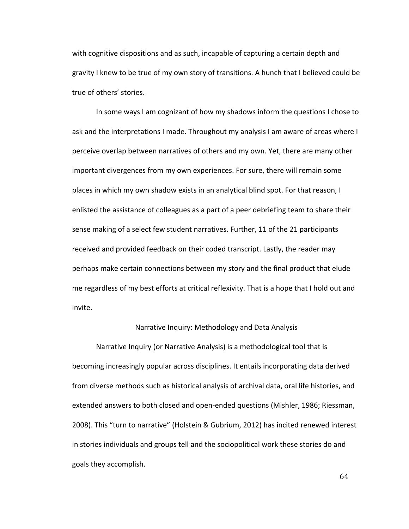with cognitive dispositions and as such, incapable of capturing a certain depth and gravity I knew to be true of my own story of transitions. A hunch that I believed could be true of others' stories.

In some ways I am cognizant of how my shadows inform the questions I chose to ask and the interpretations I made. Throughout my analysis I am aware of areas where I perceive overlap between narratives of others and my own. Yet, there are many other important divergences from my own experiences. For sure, there will remain some places in which my own shadow exists in an analytical blind spot. For that reason, I enlisted the assistance of colleagues as a part of a peer debriefing team to share their sense making of a select few student narratives. Further, 11 of the 21 participants received and provided feedback on their coded transcript. Lastly, the reader may perhaps make certain connections between my story and the final product that elude me regardless of my best efforts at critical reflexivity. That is a hope that I hold out and invite. 

# Narrative Inquiry: Methodology and Data Analysis

Narrative Inquiry (or Narrative Analysis) is a methodological tool that is becoming increasingly popular across disciplines. It entails incorporating data derived from diverse methods such as historical analysis of archival data, oral life histories, and extended answers to both closed and open-ended questions (Mishler, 1986; Riessman, 2008). This "turn to narrative" (Holstein & Gubrium, 2012) has incited renewed interest in stories individuals and groups tell and the sociopolitical work these stories do and goals they accomplish.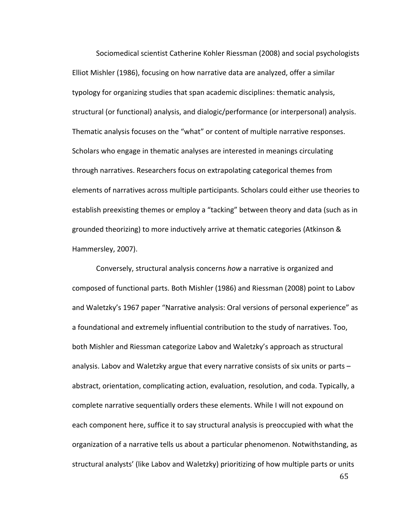Sociomedical scientist Catherine Kohler Riessman (2008) and social psychologists Elliot Mishler (1986), focusing on how narrative data are analyzed, offer a similar typology for organizing studies that span academic disciplines: thematic analysis, structural (or functional) analysis, and dialogic/performance (or interpersonal) analysis. Thematic analysis focuses on the "what" or content of multiple narrative responses. Scholars who engage in thematic analyses are interested in meanings circulating through narratives. Researchers focus on extrapolating categorical themes from elements of narratives across multiple participants. Scholars could either use theories to establish preexisting themes or employ a "tacking" between theory and data (such as in grounded theorizing) to more inductively arrive at thematic categories (Atkinson & Hammersley, 2007). 

Conversely, structural analysis concerns *how* a narrative is organized and composed of functional parts. Both Mishler (1986) and Riessman (2008) point to Labov and Waletzky's 1967 paper "Narrative analysis: Oral versions of personal experience" as a foundational and extremely influential contribution to the study of narratives. Too, both Mishler and Riessman categorize Labov and Waletzky's approach as structural analysis. Labov and Waletzky argue that every narrative consists of six units or parts  $$ abstract, orientation, complicating action, evaluation, resolution, and coda. Typically, a complete narrative sequentially orders these elements. While I will not expound on each component here, suffice it to say structural analysis is preoccupied with what the organization of a narrative tells us about a particular phenomenon. Notwithstanding, as structural analysts' (like Labov and Waletzky) prioritizing of how multiple parts or units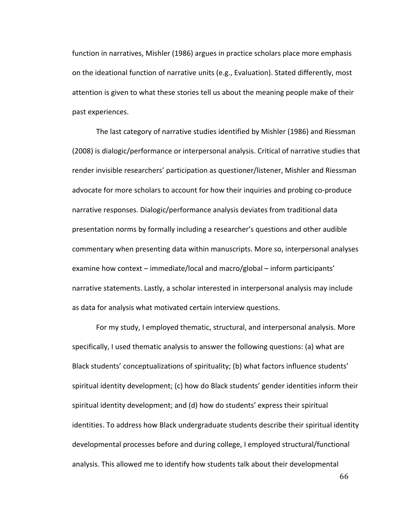function in narratives, Mishler (1986) argues in practice scholars place more emphasis on the ideational function of narrative units (e.g., Evaluation). Stated differently, most attention is given to what these stories tell us about the meaning people make of their past experiences.

The last category of narrative studies identified by Mishler (1986) and Riessman (2008) is dialogic/performance or interpersonal analysis. Critical of narrative studies that render invisible researchers' participation as questioner/listener, Mishler and Riessman advocate for more scholars to account for how their inquiries and probing co-produce narrative responses. Dialogic/performance analysis deviates from traditional data presentation norms by formally including a researcher's questions and other audible commentary when presenting data within manuscripts. More so, interpersonal analyses examine how context – immediate/local and macro/global – inform participants' narrative statements. Lastly, a scholar interested in interpersonal analysis may include as data for analysis what motivated certain interview questions.

For my study, I employed thematic, structural, and interpersonal analysis. More specifically, I used thematic analysis to answer the following questions: (a) what are Black students' conceptualizations of spirituality; (b) what factors influence students' spiritual identity development; (c) how do Black students' gender identities inform their spiritual identity development; and (d) how do students' express their spiritual identities. To address how Black undergraduate students describe their spiritual identity developmental processes before and during college, I employed structural/functional analysis. This allowed me to identify how students talk about their developmental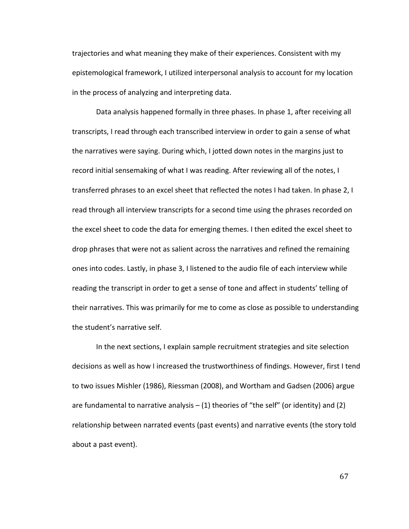trajectories and what meaning they make of their experiences. Consistent with my epistemological framework, I utilized interpersonal analysis to account for my location in the process of analyzing and interpreting data.

Data analysis happened formally in three phases. In phase 1, after receiving all transcripts, I read through each transcribed interview in order to gain a sense of what the narratives were saying. During which, I jotted down notes in the margins just to record initial sensemaking of what I was reading. After reviewing all of the notes, I transferred phrases to an excel sheet that reflected the notes I had taken. In phase 2, I read through all interview transcripts for a second time using the phrases recorded on the excel sheet to code the data for emerging themes. I then edited the excel sheet to drop phrases that were not as salient across the narratives and refined the remaining ones into codes. Lastly, in phase 3, I listened to the audio file of each interview while reading the transcript in order to get a sense of tone and affect in students' telling of their narratives. This was primarily for me to come as close as possible to understanding the student's narrative self.

In the next sections, I explain sample recruitment strategies and site selection decisions as well as how I increased the trustworthiness of findings. However, first I tend to two issues Mishler (1986), Riessman (2008), and Wortham and Gadsen (2006) argue are fundamental to narrative analysis – (1) theories of "the self" (or identity) and (2) relationship between narrated events (past events) and narrative events (the story told about a past event).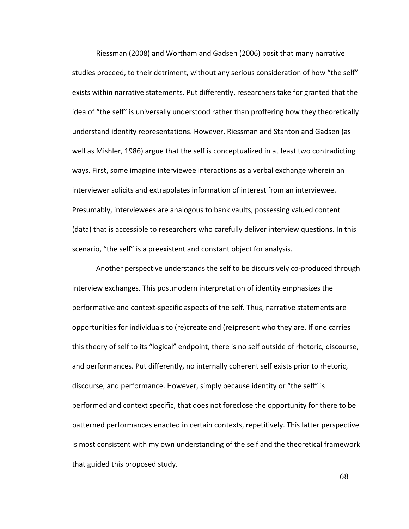Riessman (2008) and Wortham and Gadsen (2006) posit that many narrative studies proceed, to their detriment, without any serious consideration of how "the self" exists within narrative statements. Put differently, researchers take for granted that the idea of "the self" is universally understood rather than proffering how they theoretically understand identity representations. However, Riessman and Stanton and Gadsen (as well as Mishler, 1986) argue that the self is conceptualized in at least two contradicting ways. First, some imagine interviewee interactions as a verbal exchange wherein an interviewer solicits and extrapolates information of interest from an interviewee. Presumably, interviewees are analogous to bank vaults, possessing valued content (data) that is accessible to researchers who carefully deliver interview questions. In this scenario, "the self" is a preexistent and constant object for analysis.

Another perspective understands the self to be discursively co-produced through interview exchanges. This postmodern interpretation of identity emphasizes the performative and context-specific aspects of the self. Thus, narrative statements are opportunities for individuals to (re)create and (re)present who they are. If one carries this theory of self to its "logical" endpoint, there is no self outside of rhetoric, discourse, and performances. Put differently, no internally coherent self exists prior to rhetoric, discourse, and performance. However, simply because identity or "the self" is performed and context specific, that does not foreclose the opportunity for there to be patterned performances enacted in certain contexts, repetitively. This latter perspective is most consistent with my own understanding of the self and the theoretical framework that guided this proposed study.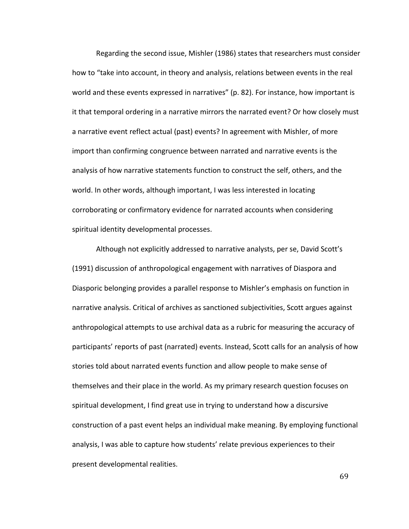Regarding the second issue, Mishler (1986) states that researchers must consider how to "take into account, in theory and analysis, relations between events in the real world and these events expressed in narratives" (p. 82). For instance, how important is it that temporal ordering in a narrative mirrors the narrated event? Or how closely must a narrative event reflect actual (past) events? In agreement with Mishler, of more import than confirming congruence between narrated and narrative events is the analysis of how narrative statements function to construct the self, others, and the world. In other words, although important, I was less interested in locating corroborating or confirmatory evidence for narrated accounts when considering spiritual identity developmental processes.

Although not explicitly addressed to narrative analysts, per se, David Scott's (1991) discussion of anthropological engagement with narratives of Diaspora and Diasporic belonging provides a parallel response to Mishler's emphasis on function in narrative analysis. Critical of archives as sanctioned subjectivities, Scott argues against anthropological attempts to use archival data as a rubric for measuring the accuracy of participants' reports of past (narrated) events. Instead, Scott calls for an analysis of how stories told about narrated events function and allow people to make sense of themselves and their place in the world. As my primary research question focuses on spiritual development, I find great use in trying to understand how a discursive construction of a past event helps an individual make meaning. By employing functional analysis, I was able to capture how students' relate previous experiences to their present developmental realities.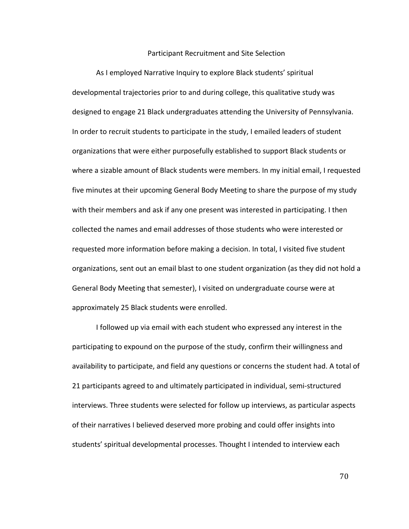#### Participant Recruitment and Site Selection

As I employed Narrative Inquiry to explore Black students' spiritual developmental trajectories prior to and during college, this qualitative study was designed to engage 21 Black undergraduates attending the University of Pennsylvania. In order to recruit students to participate in the study, I emailed leaders of student organizations that were either purposefully established to support Black students or where a sizable amount of Black students were members. In my initial email, I requested five minutes at their upcoming General Body Meeting to share the purpose of my study with their members and ask if any one present was interested in participating. I then collected the names and email addresses of those students who were interested or requested more information before making a decision. In total, I visited five student organizations, sent out an email blast to one student organization (as they did not hold a General Body Meeting that semester), I visited on undergraduate course were at approximately 25 Black students were enrolled.

I followed up via email with each student who expressed any interest in the participating to expound on the purpose of the study, confirm their willingness and availability to participate, and field any questions or concerns the student had. A total of 21 participants agreed to and ultimately participated in individual, semi-structured interviews. Three students were selected for follow up interviews, as particular aspects of their narratives I believed deserved more probing and could offer insights into students' spiritual developmental processes. Thought I intended to interview each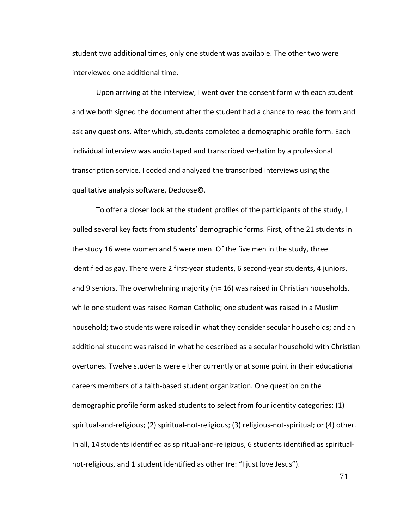student two additional times, only one student was available. The other two were interviewed one additional time.

Upon arriving at the interview, I went over the consent form with each student and we both signed the document after the student had a chance to read the form and ask any questions. After which, students completed a demographic profile form. Each individual interview was audio taped and transcribed verbatim by a professional transcription service. I coded and analyzed the transcribed interviews using the qualitative analysis software, Dedoose©.

To offer a closer look at the student profiles of the participants of the study, I pulled several key facts from students' demographic forms. First, of the 21 students in the study 16 were women and 5 were men. Of the five men in the study, three identified as gay. There were 2 first-year students, 6 second-year students, 4 juniors, and 9 seniors. The overwhelming majority ( $n=16$ ) was raised in Christian households, while one student was raised Roman Catholic; one student was raised in a Muslim household; two students were raised in what they consider secular households; and an additional student was raised in what he described as a secular household with Christian overtones. Twelve students were either currently or at some point in their educational careers members of a faith-based student organization. One question on the demographic profile form asked students to select from four identity categories: (1) spiritual-and-religious; (2) spiritual-not-religious; (3) religious-not-spiritual; or (4) other. In all, 14 students identified as spiritual-and-religious, 6 students identified as spiritualnot-religious, and 1 student identified as other (re: "I just love Jesus").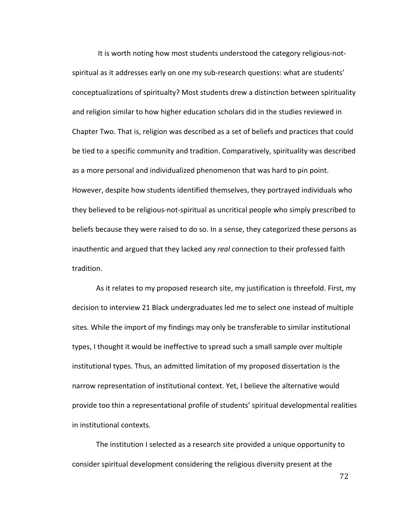It is worth noting how most students understood the category religious-notspiritual as it addresses early on one my sub-research questions: what are students' conceptualizations of spiritualty? Most students drew a distinction between spirituality and religion similar to how higher education scholars did in the studies reviewed in Chapter Two. That is, religion was described as a set of beliefs and practices that could be tied to a specific community and tradition. Comparatively, spirituality was described as a more personal and individualized phenomenon that was hard to pin point. However, despite how students identified themselves, they portrayed individuals who they believed to be religious-not-spiritual as uncritical people who simply prescribed to beliefs because they were raised to do so. In a sense, they categorized these persons as inauthentic and argued that they lacked any *real* connection to their professed faith tradition. 

As it relates to my proposed research site, my justification is threefold. First, my decision to interview 21 Black undergraduates led me to select one instead of multiple sites. While the import of my findings may only be transferable to similar institutional types, I thought it would be ineffective to spread such a small sample over multiple institutional types. Thus, an admitted limitation of my proposed dissertation is the narrow representation of institutional context. Yet, I believe the alternative would provide too thin a representational profile of students' spiritual developmental realities in institutional contexts.

The institution I selected as a research site provided a unique opportunity to consider spiritual development considering the religious diversity present at the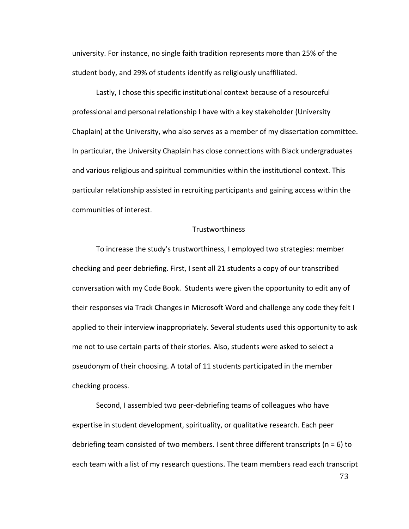university. For instance, no single faith tradition represents more than 25% of the student body, and 29% of students identify as religiously unaffiliated.

Lastly, I chose this specific institutional context because of a resourceful professional and personal relationship I have with a key stakeholder (University Chaplain) at the University, who also serves as a member of my dissertation committee. In particular, the University Chaplain has close connections with Black undergraduates and various religious and spiritual communities within the institutional context. This particular relationship assisted in recruiting participants and gaining access within the communities of interest.

# Trustworthiness

To increase the study's trustworthiness, I employed two strategies: member checking and peer debriefing. First, I sent all 21 students a copy of our transcribed conversation with my Code Book. Students were given the opportunity to edit any of their responses via Track Changes in Microsoft Word and challenge any code they felt I applied to their interview inappropriately. Several students used this opportunity to ask me not to use certain parts of their stories. Also, students were asked to select a pseudonym of their choosing. A total of 11 students participated in the member checking process.

Second, I assembled two peer-debriefing teams of colleagues who have expertise in student development, spirituality, or qualitative research. Each peer debriefing team consisted of two members. I sent three different transcripts ( $n = 6$ ) to each team with a list of my research questions. The team members read each transcript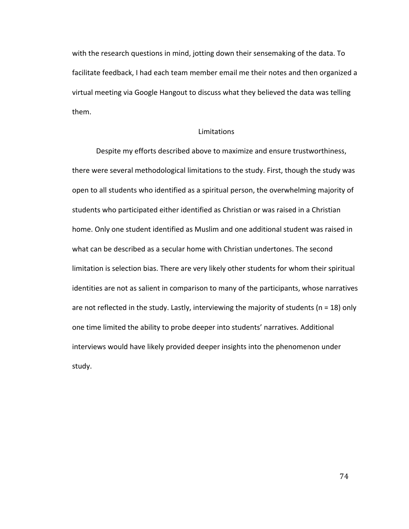with the research questions in mind, jotting down their sensemaking of the data. To facilitate feedback, I had each team member email me their notes and then organized a virtual meeting via Google Hangout to discuss what they believed the data was telling them. 

## Limitations

Despite my efforts described above to maximize and ensure trustworthiness, there were several methodological limitations to the study. First, though the study was open to all students who identified as a spiritual person, the overwhelming majority of students who participated either identified as Christian or was raised in a Christian home. Only one student identified as Muslim and one additional student was raised in what can be described as a secular home with Christian undertones. The second limitation is selection bias. There are very likely other students for whom their spiritual identities are not as salient in comparison to many of the participants, whose narratives are not reflected in the study. Lastly, interviewing the majority of students ( $n = 18$ ) only one time limited the ability to probe deeper into students' narratives. Additional interviews would have likely provided deeper insights into the phenomenon under study.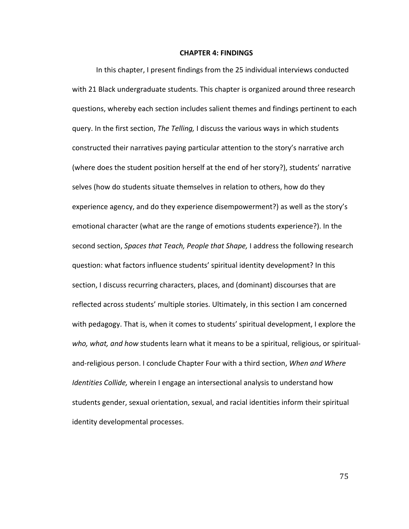#### **CHAPTER 4: FINDINGS**

In this chapter, I present findings from the 25 individual interviews conducted with 21 Black undergraduate students. This chapter is organized around three research questions, whereby each section includes salient themes and findings pertinent to each query. In the first section, *The Telling*, I discuss the various ways in which students constructed their narratives paying particular attention to the story's narrative arch (where does the student position herself at the end of her story?), students' narrative selves (how do students situate themselves in relation to others, how do they experience agency, and do they experience disempowerment?) as well as the story's emotional character (what are the range of emotions students experience?). In the second section, Spaces that Teach, People that Shape, I address the following research question: what factors influence students' spiritual identity development? In this section, I discuss recurring characters, places, and (dominant) discourses that are reflected across students' multiple stories. Ultimately, in this section I am concerned with pedagogy. That is, when it comes to students' spiritual development, I explore the who, what, and how students learn what it means to be a spiritual, religious, or spiritualand-religious person. I conclude Chapter Four with a third section, When and Where *Identities Collide,* wherein I engage an intersectional analysis to understand how students gender, sexual orientation, sexual, and racial identities inform their spiritual identity developmental processes.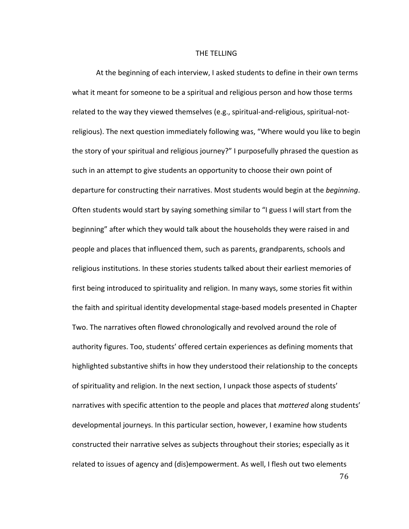#### THE TELLING

At the beginning of each interview, I asked students to define in their own terms what it meant for someone to be a spiritual and religious person and how those terms related to the way they viewed themselves (e.g., spiritual-and-religious, spiritual-notreligious). The next question immediately following was, "Where would you like to begin the story of your spiritual and religious journey?" I purposefully phrased the question as such in an attempt to give students an opportunity to choose their own point of departure for constructing their narratives. Most students would begin at the *beginning*. Often students would start by saying something similar to "I guess I will start from the beginning" after which they would talk about the households they were raised in and people and places that influenced them, such as parents, grandparents, schools and religious institutions. In these stories students talked about their earliest memories of first being introduced to spirituality and religion. In many ways, some stories fit within the faith and spiritual identity developmental stage-based models presented in Chapter Two. The narratives often flowed chronologically and revolved around the role of authority figures. Too, students' offered certain experiences as defining moments that highlighted substantive shifts in how they understood their relationship to the concepts of spirituality and religion. In the next section, I unpack those aspects of students' narratives with specific attention to the people and places that *mattered* along students' developmental journeys. In this particular section, however, I examine how students constructed their narrative selves as subjects throughout their stories; especially as it related to issues of agency and (dis)empowerment. As well, I flesh out two elements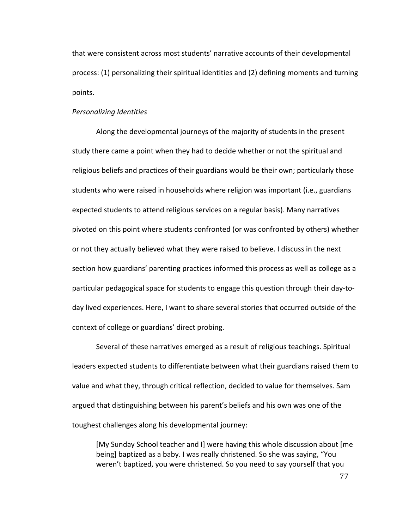that were consistent across most students' narrative accounts of their developmental process: (1) personalizing their spiritual identities and (2) defining moments and turning points. 

#### *Personalizing Identities*

Along the developmental journeys of the majority of students in the present study there came a point when they had to decide whether or not the spiritual and religious beliefs and practices of their guardians would be their own; particularly those students who were raised in households where religion was important (i.e., guardians expected students to attend religious services on a regular basis). Many narratives pivoted on this point where students confronted (or was confronted by others) whether or not they actually believed what they were raised to believe. I discuss in the next section how guardians' parenting practices informed this process as well as college as a particular pedagogical space for students to engage this question through their day-today lived experiences. Here, I want to share several stories that occurred outside of the context of college or guardians' direct probing.

Several of these narratives emerged as a result of religious teachings. Spiritual leaders expected students to differentiate between what their guardians raised them to value and what they, through critical reflection, decided to value for themselves. Sam argued that distinguishing between his parent's beliefs and his own was one of the toughest challenges along his developmental journey:

[My Sunday School teacher and I] were having this whole discussion about [me being] baptized as a baby. I was really christened. So she was saying, "You weren't baptized, you were christened. So you need to say yourself that you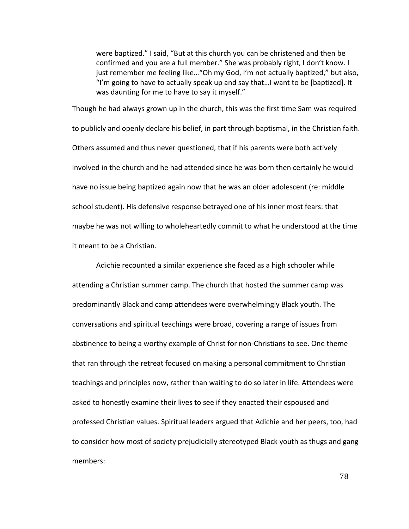were baptized." I said, "But at this church you can be christened and then be confirmed and you are a full member." She was probably right, I don't know. I just remember me feeling like..."Oh my God, I'm not actually baptized," but also, "I'm going to have to actually speak up and say that...I want to be [baptized]. It was daunting for me to have to say it myself."

Though he had always grown up in the church, this was the first time Sam was required to publicly and openly declare his belief, in part through baptismal, in the Christian faith. Others assumed and thus never questioned, that if his parents were both actively involved in the church and he had attended since he was born then certainly he would have no issue being baptized again now that he was an older adolescent (re: middle school student). His defensive response betrayed one of his inner most fears: that maybe he was not willing to wholeheartedly commit to what he understood at the time it meant to be a Christian.

Adichie recounted a similar experience she faced as a high schooler while attending a Christian summer camp. The church that hosted the summer camp was predominantly Black and camp attendees were overwhelmingly Black youth. The conversations and spiritual teachings were broad, covering a range of issues from abstinence to being a worthy example of Christ for non-Christians to see. One theme that ran through the retreat focused on making a personal commitment to Christian teachings and principles now, rather than waiting to do so later in life. Attendees were asked to honestly examine their lives to see if they enacted their espoused and professed Christian values. Spiritual leaders argued that Adichie and her peers, too, had to consider how most of society prejudicially stereotyped Black youth as thugs and gang members: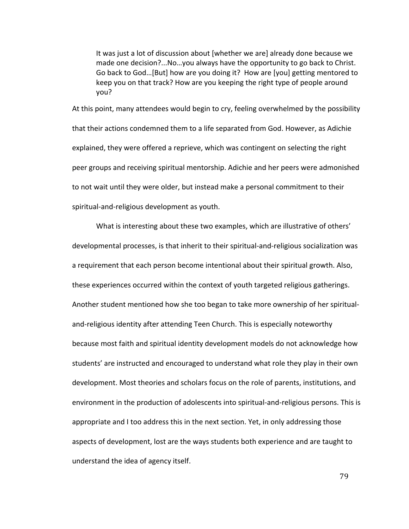It was just a lot of discussion about [whether we are] already done because we made one decision?...No...you always have the opportunity to go back to Christ. Go back to God...[But] how are you doing it? How are [you] getting mentored to keep you on that track? How are you keeping the right type of people around you? 

At this point, many attendees would begin to cry, feeling overwhelmed by the possibility that their actions condemned them to a life separated from God. However, as Adichie explained, they were offered a reprieve, which was contingent on selecting the right peer groups and receiving spiritual mentorship. Adichie and her peers were admonished to not wait until they were older, but instead make a personal commitment to their spiritual-and-religious development as youth.

What is interesting about these two examples, which are illustrative of others' developmental processes, is that inherit to their spiritual-and-religious socialization was a requirement that each person become intentional about their spiritual growth. Also, these experiences occurred within the context of youth targeted religious gatherings. Another student mentioned how she too began to take more ownership of her spiritualand-religious identity after attending Teen Church. This is especially noteworthy because most faith and spiritual identity development models do not acknowledge how students' are instructed and encouraged to understand what role they play in their own development. Most theories and scholars focus on the role of parents, institutions, and environment in the production of adolescents into spiritual-and-religious persons. This is appropriate and I too address this in the next section. Yet, in only addressing those aspects of development, lost are the ways students both experience and are taught to understand the idea of agency itself.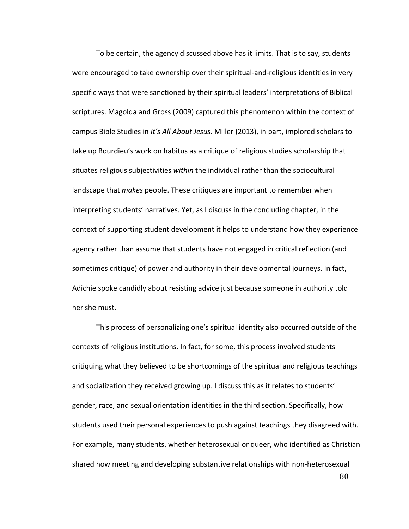To be certain, the agency discussed above has it limits. That is to say, students were encouraged to take ownership over their spiritual-and-religious identities in very specific ways that were sanctioned by their spiritual leaders' interpretations of Biblical scriptures. Magolda and Gross (2009) captured this phenomenon within the context of campus Bible Studies in *It's All About Jesus*. Miller (2013), in part, implored scholars to take up Bourdieu's work on habitus as a critique of religious studies scholarship that situates religious subjectivities *within* the individual rather than the sociocultural landscape that *makes* people. These critiques are important to remember when interpreting students' narratives. Yet, as I discuss in the concluding chapter, in the context of supporting student development it helps to understand how they experience agency rather than assume that students have not engaged in critical reflection (and sometimes critique) of power and authority in their developmental journeys. In fact, Adichie spoke candidly about resisting advice just because someone in authority told her she must.

This process of personalizing one's spiritual identity also occurred outside of the contexts of religious institutions. In fact, for some, this process involved students critiquing what they believed to be shortcomings of the spiritual and religious teachings and socialization they received growing up. I discuss this as it relates to students' gender, race, and sexual orientation identities in the third section. Specifically, how students used their personal experiences to push against teachings they disagreed with. For example, many students, whether heterosexual or queer, who identified as Christian shared how meeting and developing substantive relationships with non-heterosexual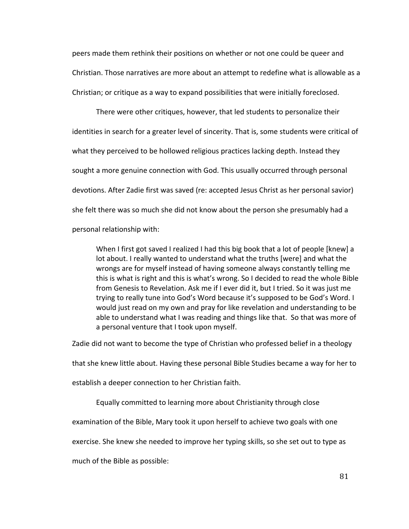peers made them rethink their positions on whether or not one could be queer and Christian. Those narratives are more about an attempt to redefine what is allowable as a Christian; or critique as a way to expand possibilities that were initially foreclosed.

There were other critiques, however, that led students to personalize their identities in search for a greater level of sincerity. That is, some students were critical of what they perceived to be hollowed religious practices lacking depth. Instead they sought a more genuine connection with God. This usually occurred through personal devotions. After Zadie first was saved (re: accepted Jesus Christ as her personal savior) she felt there was so much she did not know about the person she presumably had a personal relationship with:

When I first got saved I realized I had this big book that a lot of people [knew] a lot about. I really wanted to understand what the truths [were] and what the wrongs are for myself instead of having someone always constantly telling me this is what is right and this is what's wrong. So I decided to read the whole Bible from Genesis to Revelation. Ask me if I ever did it, but I tried. So it was just me trying to really tune into God's Word because it's supposed to be God's Word. I would just read on my own and pray for like revelation and understanding to be able to understand what I was reading and things like that. So that was more of a personal venture that I took upon myself.

Zadie did not want to become the type of Christian who professed belief in a theology

that she knew little about. Having these personal Bible Studies became a way for her to

establish a deeper connection to her Christian faith.

Equally committed to learning more about Christianity through close

examination of the Bible, Mary took it upon herself to achieve two goals with one

exercise. She knew she needed to improve her typing skills, so she set out to type as

much of the Bible as possible: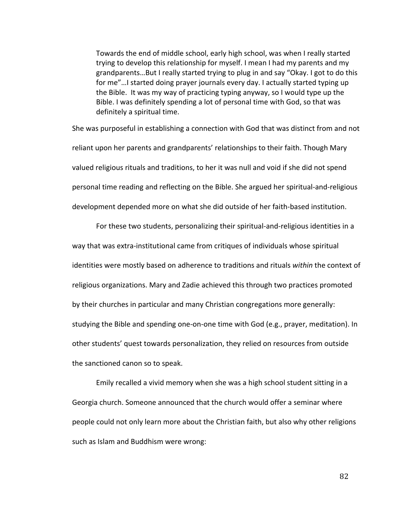Towards the end of middle school, early high school, was when I really started trying to develop this relationship for myself. I mean I had my parents and my grandparents...But I really started trying to plug in and say "Okay. I got to do this for me"...I started doing prayer journals every day. I actually started typing up the Bible. It was my way of practicing typing anyway, so I would type up the Bible. I was definitely spending a lot of personal time with God, so that was definitely a spiritual time.

She was purposeful in establishing a connection with God that was distinct from and not reliant upon her parents and grandparents' relationships to their faith. Though Mary valued religious rituals and traditions, to her it was null and void if she did not spend personal time reading and reflecting on the Bible. She argued her spiritual-and-religious development depended more on what she did outside of her faith-based institution.

For these two students, personalizing their spiritual-and-religious identities in a way that was extra-institutional came from critiques of individuals whose spiritual identities were mostly based on adherence to traditions and rituals within the context of religious organizations. Mary and Zadie achieved this through two practices promoted by their churches in particular and many Christian congregations more generally: studying the Bible and spending one-on-one time with God (e.g., prayer, meditation). In other students' quest towards personalization, they relied on resources from outside the sanctioned canon so to speak.

Emily recalled a vivid memory when she was a high school student sitting in a Georgia church. Someone announced that the church would offer a seminar where people could not only learn more about the Christian faith, but also why other religions such as Islam and Buddhism were wrong: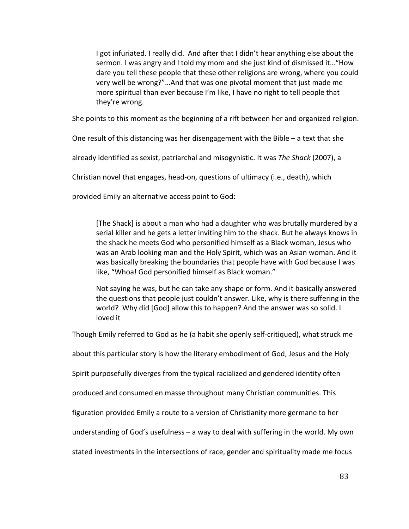I got infuriated. I really did. And after that I didn't hear anything else about the sermon. I was angry and I told my mom and she just kind of dismissed it... "How dare you tell these people that these other religions are wrong, where you could very well be wrong?"...And that was one pivotal moment that just made me more spiritual than ever because I'm like, I have no right to tell people that they're wrong.

She points to this moment as the beginning of a rift between her and organized religion.

One result of this distancing was her disengagement with the Bible  $-$  a text that she

already identified as sexist, patriarchal and misogynistic. It was The Shack (2007), a

Christian novel that engages, head-on, questions of ultimacy (i.e., death), which

provided Emily an alternative access point to God:

[The Shack] is about a man who had a daughter who was brutally murdered by a serial killer and he gets a letter inviting him to the shack. But he always knows in the shack he meets God who personified himself as a Black woman, Jesus who was an Arab looking man and the Holy Spirit, which was an Asian woman. And it was basically breaking the boundaries that people have with God because I was like, "Whoa! God personified himself as Black woman."

Not saying he was, but he can take any shape or form. And it basically answered the questions that people just couldn't answer. Like, why is there suffering in the world? Why did [God] allow this to happen? And the answer was so solid. I loved it

Though Emily referred to God as he (a habit she openly self-critiqued), what struck me

about this particular story is how the literary embodiment of God, Jesus and the Holy

Spirit purposefully diverges from the typical racialized and gendered identity often

produced and consumed en masse throughout many Christian communities. This

figuration provided Emily a route to a version of Christianity more germane to her

understanding of God's usefulness  $-$  a way to deal with suffering in the world. My own

stated investments in the intersections of race, gender and spirituality made me focus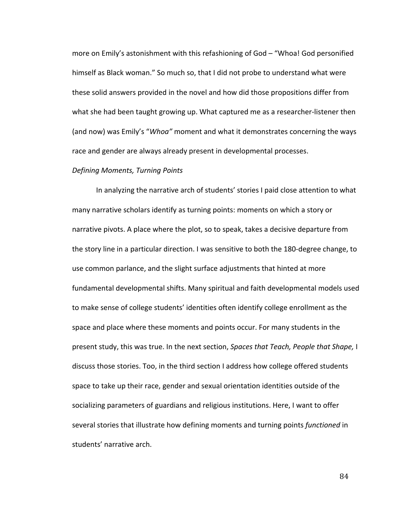more on Emily's astonishment with this refashioning of  $God - "Whoa! God$  personified himself as Black woman." So much so, that I did not probe to understand what were these solid answers provided in the novel and how did those propositions differ from what she had been taught growing up. What captured me as a researcher-listener then (and now) was Emily's "Whoa" moment and what it demonstrates concerning the ways race and gender are always already present in developmental processes.

## *Defining Moments, Turning Points*

In analyzing the narrative arch of students' stories I paid close attention to what many narrative scholars identify as turning points: moments on which a story or narrative pivots. A place where the plot, so to speak, takes a decisive departure from the story line in a particular direction. I was sensitive to both the 180-degree change, to use common parlance, and the slight surface adjustments that hinted at more fundamental developmental shifts. Many spiritual and faith developmental models used to make sense of college students' identities often identify college enrollment as the space and place where these moments and points occur. For many students in the present study, this was true. In the next section, *Spaces that Teach, People that Shape*, I discuss those stories. Too, in the third section I address how college offered students space to take up their race, gender and sexual orientation identities outside of the socializing parameters of guardians and religious institutions. Here, I want to offer several stories that illustrate how defining moments and turning points *functioned* in students' narrative arch.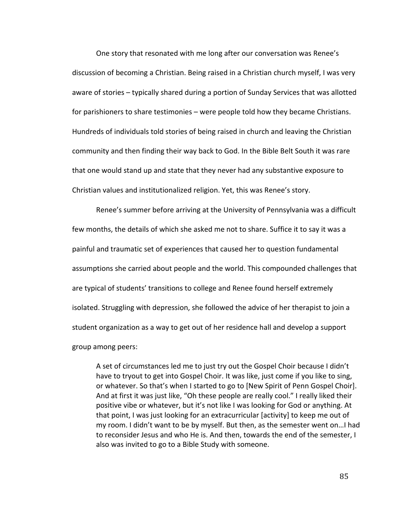One story that resonated with me long after our conversation was Renee's discussion of becoming a Christian. Being raised in a Christian church myself, I was very aware of stories – typically shared during a portion of Sunday Services that was allotted for parishioners to share testimonies – were people told how they became Christians. Hundreds of individuals told stories of being raised in church and leaving the Christian community and then finding their way back to God. In the Bible Belt South it was rare that one would stand up and state that they never had any substantive exposure to Christian values and institutionalized religion. Yet, this was Renee's story.

Renee's summer before arriving at the University of Pennsylvania was a difficult few months, the details of which she asked me not to share. Suffice it to say it was a painful and traumatic set of experiences that caused her to question fundamental assumptions she carried about people and the world. This compounded challenges that are typical of students' transitions to college and Renee found herself extremely isolated. Struggling with depression, she followed the advice of her therapist to join a student organization as a way to get out of her residence hall and develop a support group among peers:

A set of circumstances led me to just try out the Gospel Choir because I didn't have to tryout to get into Gospel Choir. It was like, just come if you like to sing, or whatever. So that's when I started to go to [New Spirit of Penn Gospel Choir]. And at first it was just like, "Oh these people are really cool." I really liked their positive vibe or whatever, but it's not like I was looking for God or anything. At that point, I was just looking for an extracurricular [activity] to keep me out of my room. I didn't want to be by myself. But then, as the semester went on...I had to reconsider Jesus and who He is. And then, towards the end of the semester, I also was invited to go to a Bible Study with someone.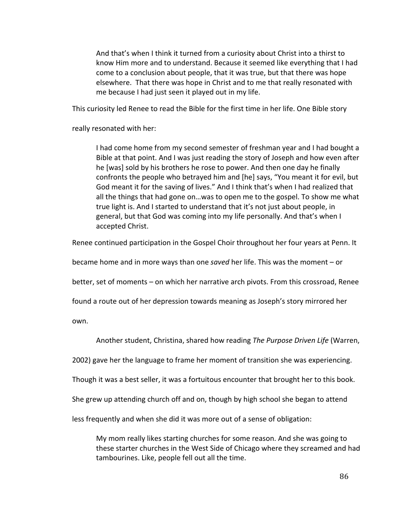And that's when I think it turned from a curiosity about Christ into a thirst to know Him more and to understand. Because it seemed like everything that I had come to a conclusion about people, that it was true, but that there was hope elsewhere. That there was hope in Christ and to me that really resonated with me because I had just seen it played out in my life.

This curiosity led Renee to read the Bible for the first time in her life. One Bible story

really resonated with her:

I had come home from my second semester of freshman year and I had bought a Bible at that point. And I was just reading the story of Joseph and how even after he [was] sold by his brothers he rose to power. And then one day he finally confronts the people who betrayed him and [he] says, "You meant it for evil, but God meant it for the saving of lives." And I think that's when I had realized that all the things that had gone on...was to open me to the gospel. To show me what true light is. And I started to understand that it's not just about people, in general, but that God was coming into my life personally. And that's when I accepted Christ.

Renee continued participation in the Gospel Choir throughout her four years at Penn. It

became home and in more ways than one *saved* her life. This was the moment – or

better, set of moments – on which her narrative arch pivots. From this crossroad, Renee

found a route out of her depression towards meaning as Joseph's story mirrored her

own. 

Another student, Christina, shared how reading *The Purpose Driven Life* (Warren,

2002) gave her the language to frame her moment of transition she was experiencing.

Though it was a best seller, it was a fortuitous encounter that brought her to this book.

She grew up attending church off and on, though by high school she began to attend

less frequently and when she did it was more out of a sense of obligation:

My mom really likes starting churches for some reason. And she was going to these starter churches in the West Side of Chicago where they screamed and had tambourines. Like, people fell out all the time.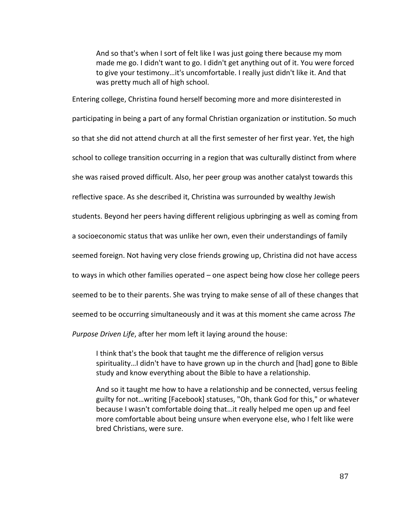And so that's when I sort of felt like I was just going there because my mom made me go. I didn't want to go. I didn't get anything out of it. You were forced to give your testimony...it's uncomfortable. I really just didn't like it. And that was pretty much all of high school.

Entering college, Christina found herself becoming more and more disinterested in participating in being a part of any formal Christian organization or institution. So much so that she did not attend church at all the first semester of her first year. Yet, the high school to college transition occurring in a region that was culturally distinct from where she was raised proved difficult. Also, her peer group was another catalyst towards this reflective space. As she described it, Christina was surrounded by wealthy Jewish students. Beyond her peers having different religious upbringing as well as coming from a socioeconomic status that was unlike her own, even their understandings of family seemed foreign. Not having very close friends growing up, Christina did not have access to ways in which other families operated – one aspect being how close her college peers seemed to be to their parents. She was trying to make sense of all of these changes that seemed to be occurring simultaneously and it was at this moment she came across *The Purpose Driven Life*, after her mom left it laying around the house:

I think that's the book that taught me the difference of religion versus spirituality...I didn't have to have grown up in the church and [had] gone to Bible study and know everything about the Bible to have a relationship.

And so it taught me how to have a relationship and be connected, versus feeling guilty for not...writing [Facebook] statuses, "Oh, thank God for this," or whatever because I wasn't comfortable doing that...it really helped me open up and feel more comfortable about being unsure when everyone else, who I felt like were bred Christians, were sure.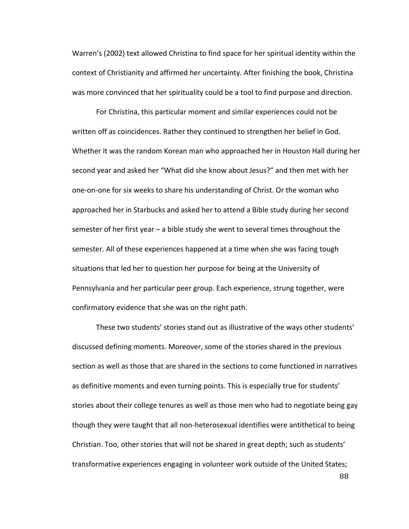Warren's (2002) text allowed Christina to find space for her spiritual identity within the context of Christianity and affirmed her uncertainty. After finishing the book, Christina was more convinced that her spirituality could be a tool to find purpose and direction.

For Christina, this particular moment and similar experiences could not be written off as coincidences. Rather they continued to strengthen her belief in God. Whether it was the random Korean man who approached her in Houston Hall during her second year and asked her "What did she know about Jesus?" and then met with her one-on-one for six weeks to share his understanding of Christ. Or the woman who approached her in Starbucks and asked her to attend a Bible study during her second semester of her first year  $-$  a bible study she went to several times throughout the semester. All of these experiences happened at a time when she was facing tough situations that led her to question her purpose for being at the University of Pennsylvania and her particular peer group. Each experience, strung together, were confirmatory evidence that she was on the right path.

These two students' stories stand out as illustrative of the ways other students' discussed defining moments. Moreover, some of the stories shared in the previous section as well as those that are shared in the sections to come functioned in narratives as definitive moments and even turning points. This is especially true for students' stories about their college tenures as well as those men who had to negotiate being gay though they were taught that all non-heterosexual identifies were antithetical to being Christian. Too, other stories that will not be shared in great depth; such as students' transformative experiences engaging in volunteer work outside of the United States;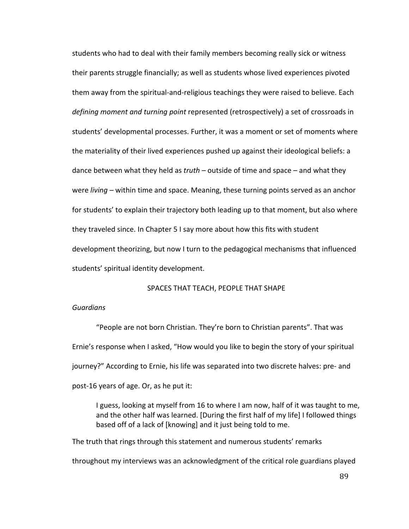students who had to deal with their family members becoming really sick or witness their parents struggle financially; as well as students whose lived experiences pivoted them away from the spiritual-and-religious teachings they were raised to believe. Each defining moment and turning point represented (retrospectively) a set of crossroads in students' developmental processes. Further, it was a moment or set of moments where the materiality of their lived experiences pushed up against their ideological beliefs: a dance between what they held as *truth* – outside of time and space – and what they were *living* – within time and space. Meaning, these turning points served as an anchor for students' to explain their trajectory both leading up to that moment, but also where they traveled since. In Chapter 5 I say more about how this fits with student development theorizing, but now I turn to the pedagogical mechanisms that influenced students' spiritual identity development.

# SPACES THAT TEACH, PEOPLE THAT SHAPE

# *Guardians*

"People are not born Christian. They're born to Christian parents". That was Ernie's response when I asked, "How would you like to begin the story of your spiritual journey?" According to Ernie, his life was separated into two discrete halves: pre- and post-16 years of age. Or, as he put it:

I guess, looking at myself from 16 to where I am now, half of it was taught to me, and the other half was learned. [During the first half of my life] I followed things based off of a lack of [knowing] and it just being told to me.

The truth that rings through this statement and numerous students' remarks

throughout my interviews was an acknowledgment of the critical role guardians played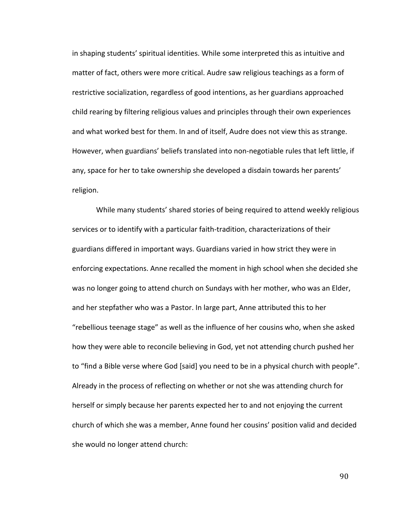in shaping students' spiritual identities. While some interpreted this as intuitive and matter of fact, others were more critical. Audre saw religious teachings as a form of restrictive socialization, regardless of good intentions, as her guardians approached child rearing by filtering religious values and principles through their own experiences and what worked best for them. In and of itself, Audre does not view this as strange. However, when guardians' beliefs translated into non-negotiable rules that left little, if any, space for her to take ownership she developed a disdain towards her parents' religion. 

While many students' shared stories of being required to attend weekly religious services or to identify with a particular faith-tradition, characterizations of their guardians differed in important ways. Guardians varied in how strict they were in enforcing expectations. Anne recalled the moment in high school when she decided she was no longer going to attend church on Sundays with her mother, who was an Elder, and her stepfather who was a Pastor. In large part, Anne attributed this to her "rebellious teenage stage" as well as the influence of her cousins who, when she asked how they were able to reconcile believing in God, yet not attending church pushed her to "find a Bible verse where God [said] you need to be in a physical church with people". Already in the process of reflecting on whether or not she was attending church for herself or simply because her parents expected her to and not enjoying the current church of which she was a member, Anne found her cousins' position valid and decided she would no longer attend church: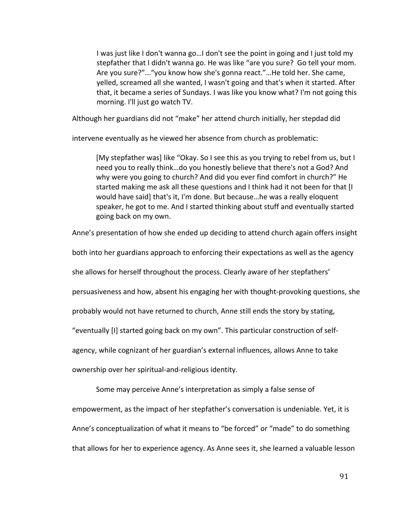I was just like I don't wanna go...I don't see the point in going and I just told my stepfather that I didn't wanna go. He was like "are you sure? Go tell your mom. Are you sure?"..."you know how she's gonna react."...He told her. She came, yelled, screamed all she wanted, I wasn't going and that's when it started. After that, it became a series of Sundays. I was like you know what? I'm not going this morning. I'll just go watch TV.

Although her guardians did not "make" her attend church initially, her stepdad did

intervene eventually as he viewed her absence from church as problematic:

[My stepfather was] like "Okay. So I see this as you trying to rebel from us, but I need you to really think...do you honestly believe that there's not a God? And why were you going to church? And did you ever find comfort in church?" He started making me ask all these questions and I think had it not been for that [I would have said] that's it, I'm done. But because...he was a really eloquent speaker, he got to me. And I started thinking about stuff and eventually started going back on my own.

Anne's presentation of how she ended up deciding to attend church again offers insight

both into her guardians approach to enforcing their expectations as well as the agency

she allows for herself throughout the process. Clearly aware of her stepfathers'

persuasiveness and how, absent his engaging her with thought-provoking questions, she

probably would not have returned to church, Anne still ends the story by stating,

"eventually [I] started going back on my own". This particular construction of self-

agency, while cognizant of her guardian's external influences, allows Anne to take

ownership over her spiritual-and-religious identity.

Some may perceive Anne's interpretation as simply a false sense of

empowerment, as the impact of her stepfather's conversation is undeniable. Yet, it is Anne's conceptualization of what it means to "be forced" or "made" to do something that allows for her to experience agency. As Anne sees it, she learned a valuable lesson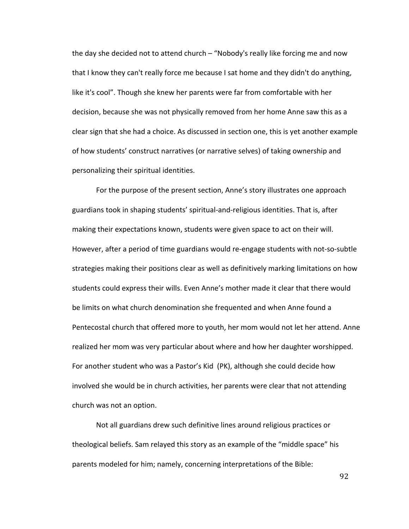the day she decided not to attend church – "Nobody's really like forcing me and now that I know they can't really force me because I sat home and they didn't do anything, like it's cool". Though she knew her parents were far from comfortable with her decision, because she was not physically removed from her home Anne saw this as a clear sign that she had a choice. As discussed in section one, this is yet another example of how students' construct narratives (or narrative selves) of taking ownership and personalizing their spiritual identities.

For the purpose of the present section, Anne's story illustrates one approach guardians took in shaping students' spiritual-and-religious identities. That is, after making their expectations known, students were given space to act on their will. However, after a period of time guardians would re-engage students with not-so-subtle strategies making their positions clear as well as definitively marking limitations on how students could express their wills. Even Anne's mother made it clear that there would be limits on what church denomination she frequented and when Anne found a Pentecostal church that offered more to youth, her mom would not let her attend. Anne realized her mom was very particular about where and how her daughter worshipped. For another student who was a Pastor's Kid (PK), although she could decide how involved she would be in church activities, her parents were clear that not attending church was not an option.

Not all guardians drew such definitive lines around religious practices or theological beliefs. Sam relayed this story as an example of the "middle space" his parents modeled for him; namely, concerning interpretations of the Bible: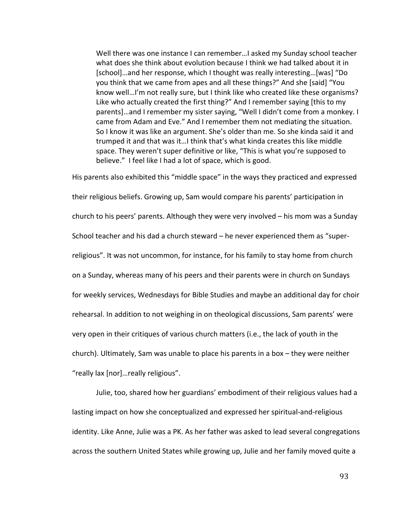Well there was one instance I can remember...I asked my Sunday school teacher what does she think about evolution because I think we had talked about it in [school]...and her response, which I thought was really interesting...[was] "Do you think that we came from apes and all these things?" And she [said] "You know well...I'm not really sure, but I think like who created like these organisms? Like who actually created the first thing?" And I remember saying [this to my parents]...and I remember my sister saying, "Well I didn't come from a monkey. I came from Adam and Eve." And I remember them not mediating the situation. So I know it was like an argument. She's older than me. So she kinda said it and trumped it and that was it...I think that's what kinda creates this like middle space. They weren't super definitive or like, "This is what you're supposed to believe." I feel like I had a lot of space, which is good.

His parents also exhibited this "middle space" in the ways they practiced and expressed their religious beliefs. Growing up, Sam would compare his parents' participation in church to his peers' parents. Although they were very involved - his mom was a Sunday School teacher and his dad a church steward  $-$  he never experienced them as "superreligious". It was not uncommon, for instance, for his family to stay home from church on a Sunday, whereas many of his peers and their parents were in church on Sundays for weekly services, Wednesdays for Bible Studies and maybe an additional day for choir rehearsal. In addition to not weighing in on theological discussions, Sam parents' were very open in their critiques of various church matters (i.e., the lack of youth in the church). Ultimately, Sam was unable to place his parents in a box  $-$  they were neither "really lax [nor]...really religious".

Julie, too, shared how her guardians' embodiment of their religious values had a lasting impact on how she conceptualized and expressed her spiritual-and-religious identity. Like Anne, Julie was a PK. As her father was asked to lead several congregations across the southern United States while growing up, Julie and her family moved quite a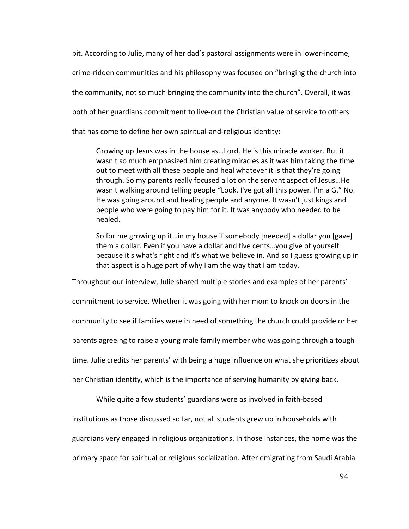bit. According to Julie, many of her dad's pastoral assignments were in lower-income,

crime-ridden communities and his philosophy was focused on "bringing the church into

the community, not so much bringing the community into the church". Overall, it was

both of her guardians commitment to live-out the Christian value of service to others

that has come to define her own spiritual-and-religious identity:

Growing up Jesus was in the house as...Lord. He is this miracle worker. But it wasn't so much emphasized him creating miracles as it was him taking the time out to meet with all these people and heal whatever it is that they're going through. So my parents really focused a lot on the servant aspect of Jesus...He wasn't walking around telling people "Look. I've got all this power. I'm a G." No. He was going around and healing people and anyone. It wasn't just kings and people who were going to pay him for it. It was anybody who needed to be healed. 

So for me growing up it...in my house if somebody [needed] a dollar you [gave] them a dollar. Even if you have a dollar and five cents...you give of yourself because it's what's right and it's what we believe in. And so I guess growing up in that aspect is a huge part of why I am the way that I am today.

Throughout our interview, Julie shared multiple stories and examples of her parents'

commitment to service. Whether it was going with her mom to knock on doors in the

community to see if families were in need of something the church could provide or her

parents agreeing to raise a young male family member who was going through a tough

time. Julie credits her parents' with being a huge influence on what she prioritizes about

her Christian identity, which is the importance of serving humanity by giving back.

While quite a few students' guardians were as involved in faith-based

institutions as those discussed so far, not all students grew up in households with

guardians very engaged in religious organizations. In those instances, the home was the

primary space for spiritual or religious socialization. After emigrating from Saudi Arabia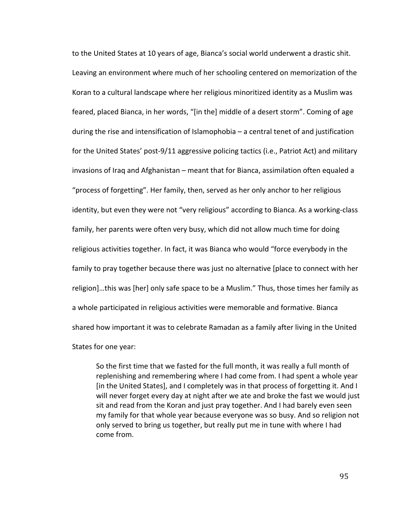to the United States at 10 years of age, Bianca's social world underwent a drastic shit. Leaving an environment where much of her schooling centered on memorization of the Koran to a cultural landscape where her religious minoritized identity as a Muslim was feared, placed Bianca, in her words, "[in the] middle of a desert storm". Coming of age during the rise and intensification of Islamophobia  $-$  a central tenet of and justification for the United States' post-9/11 aggressive policing tactics (i.e., Patriot Act) and military invasions of Iraq and Afghanistan – meant that for Bianca, assimilation often equaled a "process of forgetting". Her family, then, served as her only anchor to her religious identity, but even they were not "very religious" according to Bianca. As a working-class family, her parents were often very busy, which did not allow much time for doing religious activities together. In fact, it was Bianca who would "force everybody in the family to pray together because there was just no alternative [place to connect with her religion]...this was [her] only safe space to be a Muslim." Thus, those times her family as a whole participated in religious activities were memorable and formative. Bianca shared how important it was to celebrate Ramadan as a family after living in the United States for one year:

So the first time that we fasted for the full month, it was really a full month of replenishing and remembering where I had come from. I had spent a whole year [in the United States], and I completely was in that process of forgetting it. And I will never forget every day at night after we ate and broke the fast we would just sit and read from the Koran and just pray together. And I had barely even seen my family for that whole year because everyone was so busy. And so religion not only served to bring us together, but really put me in tune with where I had come from.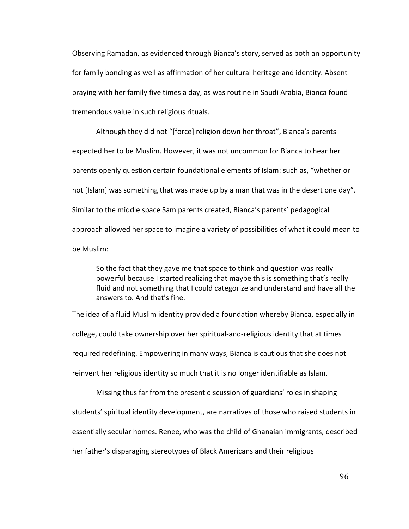Observing Ramadan, as evidenced through Bianca's story, served as both an opportunity for family bonding as well as affirmation of her cultural heritage and identity. Absent praying with her family five times a day, as was routine in Saudi Arabia, Bianca found tremendous value in such religious rituals.

Although they did not "[force] religion down her throat", Bianca's parents expected her to be Muslim. However, it was not uncommon for Bianca to hear her parents openly question certain foundational elements of Islam: such as, "whether or not [Islam] was something that was made up by a man that was in the desert one day". Similar to the middle space Sam parents created, Bianca's parents' pedagogical approach allowed her space to imagine a variety of possibilities of what it could mean to be Muslim:

So the fact that they gave me that space to think and question was really powerful because I started realizing that maybe this is something that's really fluid and not something that I could categorize and understand and have all the answers to. And that's fine.

The idea of a fluid Muslim identity provided a foundation whereby Bianca, especially in college, could take ownership over her spiritual-and-religious identity that at times required redefining. Empowering in many ways, Bianca is cautious that she does not reinvent her religious identity so much that it is no longer identifiable as Islam.

Missing thus far from the present discussion of guardians' roles in shaping students' spiritual identity development, are narratives of those who raised students in essentially secular homes. Renee, who was the child of Ghanaian immigrants, described her father's disparaging stereotypes of Black Americans and their religious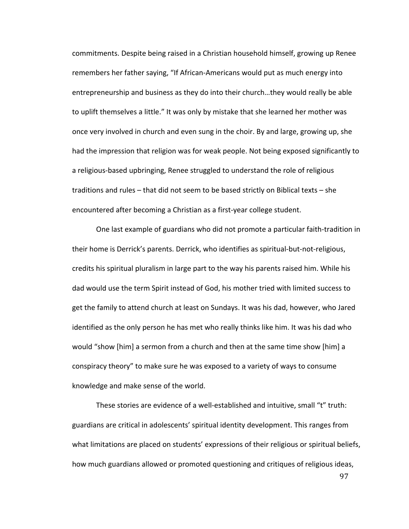commitments. Despite being raised in a Christian household himself, growing up Renee remembers her father saying, "If African-Americans would put as much energy into entrepreneurship and business as they do into their church...they would really be able to uplift themselves a little." It was only by mistake that she learned her mother was once very involved in church and even sung in the choir. By and large, growing up, she had the impression that religion was for weak people. Not being exposed significantly to a religious-based upbringing, Renee struggled to understand the role of religious traditions and rules  $-$  that did not seem to be based strictly on Biblical texts  $-$  she encountered after becoming a Christian as a first-year college student.

One last example of guardians who did not promote a particular faith-tradition in their home is Derrick's parents. Derrick, who identifies as spiritual-but-not-religious, credits his spiritual pluralism in large part to the way his parents raised him. While his dad would use the term Spirit instead of God, his mother tried with limited success to get the family to attend church at least on Sundays. It was his dad, however, who Jared identified as the only person he has met who really thinks like him. It was his dad who would "show [him] a sermon from a church and then at the same time show [him] a conspiracy theory" to make sure he was exposed to a variety of ways to consume knowledge and make sense of the world.

These stories are evidence of a well-established and intuitive, small "t" truth: guardians are critical in adolescents' spiritual identity development. This ranges from what limitations are placed on students' expressions of their religious or spiritual beliefs, how much guardians allowed or promoted questioning and critiques of religious ideas,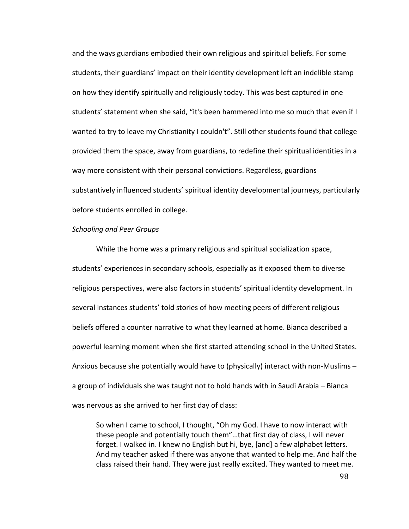and the ways guardians embodied their own religious and spiritual beliefs. For some students, their guardians' impact on their identity development left an indelible stamp on how they identify spiritually and religiously today. This was best captured in one students' statement when she said, "it's been hammered into me so much that even if I wanted to try to leave my Christianity I couldn't". Still other students found that college provided them the space, away from guardians, to redefine their spiritual identities in a way more consistent with their personal convictions. Regardless, guardians substantively influenced students' spiritual identity developmental journeys, particularly before students enrolled in college.

## **Schooling and Peer Groups**

While the home was a primary religious and spiritual socialization space, students' experiences in secondary schools, especially as it exposed them to diverse religious perspectives, were also factors in students' spiritual identity development. In several instances students' told stories of how meeting peers of different religious beliefs offered a counter narrative to what they learned at home. Bianca described a powerful learning moment when she first started attending school in the United States. Anxious because she potentially would have to (physically) interact with non-Muslims  $$ a group of individuals she was taught not to hold hands with in Saudi Arabia – Bianca was nervous as she arrived to her first day of class:

So when I came to school, I thought, "Oh my God. I have to now interact with these people and potentially touch them"...that first day of class, I will never forget. I walked in. I knew no English but hi, bye, [and] a few alphabet letters. And my teacher asked if there was anyone that wanted to help me. And half the class raised their hand. They were just really excited. They wanted to meet me.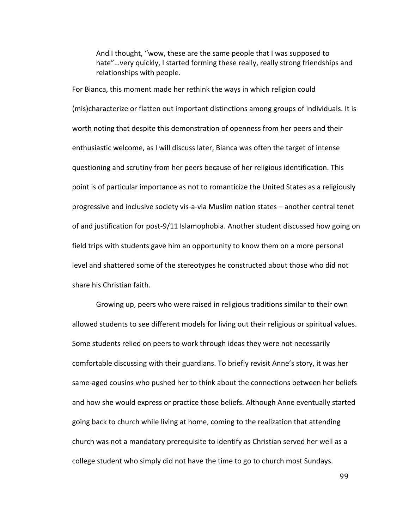And I thought, "wow, these are the same people that I was supposed to hate"...very quickly, I started forming these really, really strong friendships and relationships with people.

For Bianca, this moment made her rethink the ways in which religion could (mis)characterize or flatten out important distinctions among groups of individuals. It is worth noting that despite this demonstration of openness from her peers and their enthusiastic welcome, as I will discuss later, Bianca was often the target of intense questioning and scrutiny from her peers because of her religious identification. This point is of particular importance as not to romanticize the United States as a religiously progressive and inclusive society vis-a-via Muslim nation states - another central tenet of and justification for post-9/11 Islamophobia. Another student discussed how going on field trips with students gave him an opportunity to know them on a more personal level and shattered some of the stereotypes he constructed about those who did not share his Christian faith.

Growing up, peers who were raised in religious traditions similar to their own allowed students to see different models for living out their religious or spiritual values. Some students relied on peers to work through ideas they were not necessarily comfortable discussing with their guardians. To briefly revisit Anne's story, it was her same-aged cousins who pushed her to think about the connections between her beliefs and how she would express or practice those beliefs. Although Anne eventually started going back to church while living at home, coming to the realization that attending church was not a mandatory prerequisite to identify as Christian served her well as a college student who simply did not have the time to go to church most Sundays.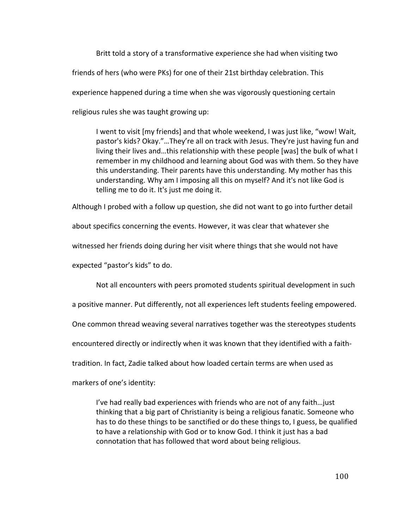Britt told a story of a transformative experience she had when visiting two friends of hers (who were PKs) for one of their 21st birthday celebration. This experience happened during a time when she was vigorously questioning certain religious rules she was taught growing up:

I went to visit [my friends] and that whole weekend, I was just like, "wow! Wait, pastor's kids? Okay."...They're all on track with Jesus. They're just having fun and living their lives and...this relationship with these people [was] the bulk of what I remember in my childhood and learning about God was with them. So they have this understanding. Their parents have this understanding. My mother has this understanding. Why am I imposing all this on myself? And it's not like God is telling me to do it. It's just me doing it.

Although I probed with a follow up question, she did not want to go into further detail

about specifics concerning the events. However, it was clear that whatever she

witnessed her friends doing during her visit where things that she would not have

expected "pastor's kids" to do.

Not all encounters with peers promoted students spiritual development in such

a positive manner. Put differently, not all experiences left students feeling empowered.

One common thread weaving several narratives together was the stereotypes students

encountered directly or indirectly when it was known that they identified with a faith-

tradition. In fact, Zadie talked about how loaded certain terms are when used as

markers of one's identity:

I've had really bad experiences with friends who are not of any faith...just thinking that a big part of Christianity is being a religious fanatic. Someone who has to do these things to be sanctified or do these things to, I guess, be qualified to have a relationship with God or to know God. I think it just has a bad connotation that has followed that word about being religious.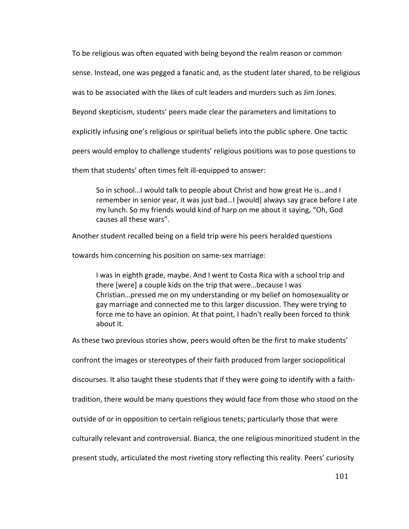To be religious was often equated with being beyond the realm reason or common

sense. Instead, one was pegged a fanatic and, as the student later shared, to be religious

was to be associated with the likes of cult leaders and murders such as Jim Jones.

Beyond skepticism, students' peers made clear the parameters and limitations to

explicitly infusing one's religious or spiritual beliefs into the public sphere. One tactic

peers would employ to challenge students' religious positions was to pose questions to

them that students' often times felt ill-equipped to answer:

So in school...I would talk to people about Christ and how great He is...and I remember in senior year, it was just bad... [would] always say grace before I ate my lunch. So my friends would kind of harp on me about it saying, "Oh, God causes all these wars".

Another student recalled being on a field trip were his peers heralded questions

towards him concerning his position on same-sex marriage:

I was in eighth grade, maybe. And I went to Costa Rica with a school trip and there [were] a couple kids on the trip that were...because I was Christian...pressed me on my understanding or my belief on homosexuality or gay marriage and connected me to this larger discussion. They were trying to force me to have an opinion. At that point, I hadn't really been forced to think about it.

As these two previous stories show, peers would often be the first to make students'

confront the images or stereotypes of their faith produced from larger sociopolitical

discourses. It also taught these students that if they were going to identify with a faith-

tradition, there would be many questions they would face from those who stood on the

outside of or in opposition to certain religious tenets; particularly those that were

culturally relevant and controversial. Bianca, the one religious minoritized student in the

present study, articulated the most riveting story reflecting this reality. Peers' curiosity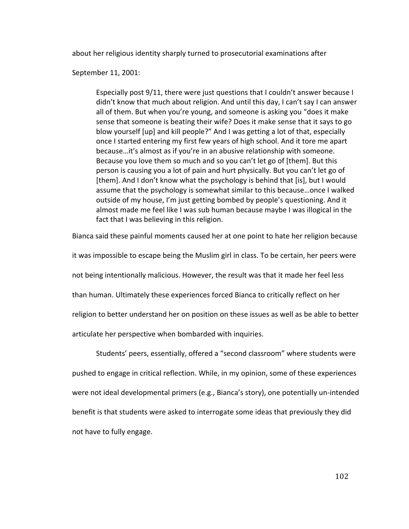about her religious identity sharply turned to prosecutorial examinations after

September 11, 2001:

Especially post  $9/11$ , there were just questions that I couldn't answer because I didn't know that much about religion. And until this day, I can't say I can answer all of them. But when you're young, and someone is asking you "does it make sense that someone is beating their wife? Does it make sense that it says to go blow yourself [up] and kill people?" And I was getting a lot of that, especially once I started entering my first few years of high school. And it tore me apart because...it's almost as if you're in an abusive relationship with someone. Because you love them so much and so you can't let go of [them]. But this person is causing you a lot of pain and hurt physically. But you can't let go of [them]. And I don't know what the psychology is behind that [is], but I would assume that the psychology is somewhat similar to this because...once I walked outside of my house, I'm just getting bombed by people's questioning. And it almost made me feel like I was sub human because maybe I was illogical in the fact that I was believing in this religion.

Bianca said these painful moments caused her at one point to hate her religion because

it was impossible to escape being the Muslim girl in class. To be certain, her peers were

not being intentionally malicious. However, the result was that it made her feel less

than human. Ultimately these experiences forced Bianca to critically reflect on her

religion to better understand her on position on these issues as well as be able to better

articulate her perspective when bombarded with inquiries.

Students' peers, essentially, offered a "second classroom" where students were pushed to engage in critical reflection. While, in my opinion, some of these experiences were not ideal developmental primers (e.g., Bianca's story), one potentially un-intended benefit is that students were asked to interrogate some ideas that previously they did not have to fully engage.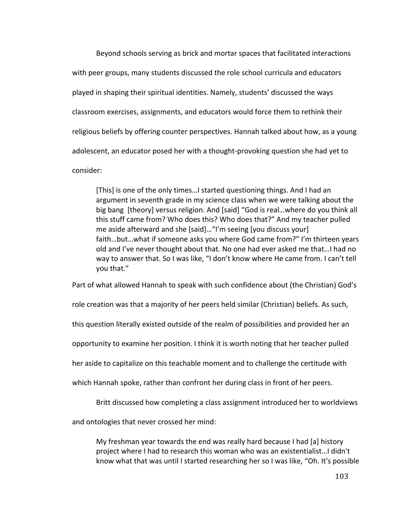Beyond schools serving as brick and mortar spaces that facilitated interactions with peer groups, many students discussed the role school curricula and educators played in shaping their spiritual identities. Namely, students' discussed the ways classroom exercises, assignments, and educators would force them to rethink their religious beliefs by offering counter perspectives. Hannah talked about how, as a young adolescent, an educator posed her with a thought-provoking question she had yet to consider: 

[This] is one of the only times...I started questioning things. And I had an argument in seventh grade in my science class when we were talking about the big bang [theory] versus religion. And [said] "God is real...where do you think all this stuff came from? Who does this? Who does that?" And my teacher pulled me aside afterward and she [said]..."I'm seeing [you discuss your] faith...but...what if someone asks you where God came from?" I'm thirteen years old and I've never thought about that. No one had ever asked me that...I had no way to answer that. So I was like, "I don't know where He came from. I can't tell you that."

Part of what allowed Hannah to speak with such confidence about (the Christian) God's

role creation was that a majority of her peers held similar (Christian) beliefs. As such,

this question literally existed outside of the realm of possibilities and provided her an

opportunity to examine her position. I think it is worth noting that her teacher pulled

her aside to capitalize on this teachable moment and to challenge the certitude with

which Hannah spoke, rather than confront her during class in front of her peers.

Britt discussed how completing a class assignment introduced her to worldviews

and ontologies that never crossed her mind:

My freshman year towards the end was really hard because I had [a] history project where I had to research this woman who was an existentialist...I didn't know what that was until I started researching her so I was like, "Oh. It's possible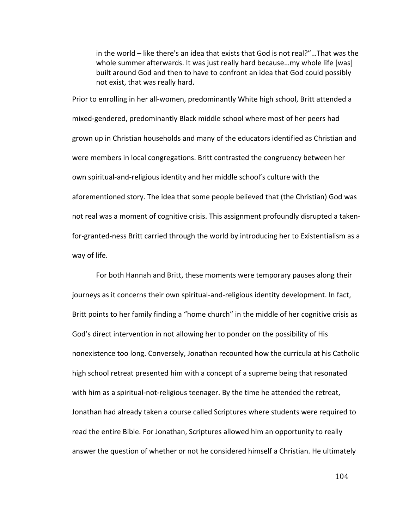in the world – like there's an idea that exists that God is not real?"...That was the whole summer afterwards. It was just really hard because...my whole life [was] built around God and then to have to confront an idea that God could possibly not exist, that was really hard.

Prior to enrolling in her all-women, predominantly White high school, Britt attended a mixed-gendered, predominantly Black middle school where most of her peers had grown up in Christian households and many of the educators identified as Christian and were members in local congregations. Britt contrasted the congruency between her own spiritual-and-religious identity and her middle school's culture with the aforementioned story. The idea that some people believed that (the Christian) God was not real was a moment of cognitive crisis. This assignment profoundly disrupted a takenfor-granted-ness Britt carried through the world by introducing her to Existentialism as a way of life.

For both Hannah and Britt, these moments were temporary pauses along their journeys as it concerns their own spiritual-and-religious identity development. In fact, Britt points to her family finding a "home church" in the middle of her cognitive crisis as God's direct intervention in not allowing her to ponder on the possibility of His nonexistence too long. Conversely, Jonathan recounted how the curricula at his Catholic high school retreat presented him with a concept of a supreme being that resonated with him as a spiritual-not-religious teenager. By the time he attended the retreat, Jonathan had already taken a course called Scriptures where students were required to read the entire Bible. For Jonathan, Scriptures allowed him an opportunity to really answer the question of whether or not he considered himself a Christian. He ultimately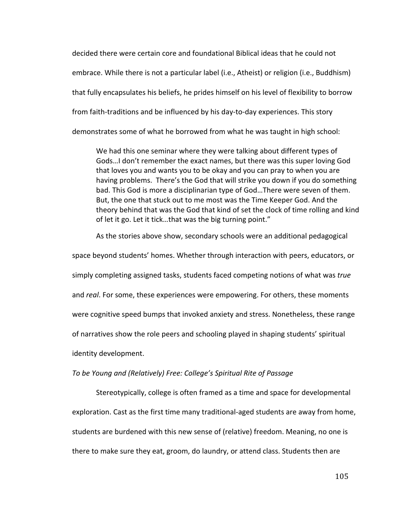decided there were certain core and foundational Biblical ideas that he could not embrace. While there is not a particular label (i.e., Atheist) or religion (i.e., Buddhism) that fully encapsulates his beliefs, he prides himself on his level of flexibility to borrow from faith-traditions and be influenced by his day-to-day experiences. This story demonstrates some of what he borrowed from what he was taught in high school:

We had this one seminar where they were talking about different types of Gods...I don't remember the exact names, but there was this super loving God that loves you and wants you to be okay and you can pray to when you are having problems. There's the God that will strike you down if you do something bad. This God is more a disciplinarian type of God...There were seven of them. But, the one that stuck out to me most was the Time Keeper God. And the theory behind that was the God that kind of set the clock of time rolling and kind of let it go. Let it tick...that was the big turning point."

As the stories above show, secondary schools were an additional pedagogical

space beyond students' homes. Whether through interaction with peers, educators, or simply completing assigned tasks, students faced competing notions of what was *true* and *real*. For some, these experiences were empowering. For others, these moments were cognitive speed bumps that invoked anxiety and stress. Nonetheless, these range of narratives show the role peers and schooling played in shaping students' spiritual identity development.

## *To be Young and (Relatively) Free: College's Spiritual Rite of Passage*

Stereotypically, college is often framed as a time and space for developmental exploration. Cast as the first time many traditional-aged students are away from home, students are burdened with this new sense of (relative) freedom. Meaning, no one is there to make sure they eat, groom, do laundry, or attend class. Students then are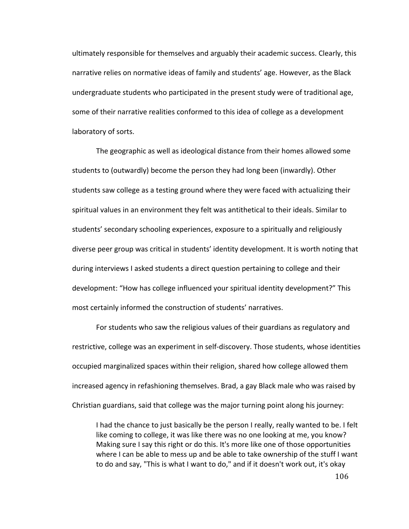ultimately responsible for themselves and arguably their academic success. Clearly, this narrative relies on normative ideas of family and students' age. However, as the Black undergraduate students who participated in the present study were of traditional age, some of their narrative realities conformed to this idea of college as a development laboratory of sorts.

The geographic as well as ideological distance from their homes allowed some students to (outwardly) become the person they had long been (inwardly). Other students saw college as a testing ground where they were faced with actualizing their spiritual values in an environment they felt was antithetical to their ideals. Similar to students' secondary schooling experiences, exposure to a spiritually and religiously diverse peer group was critical in students' identity development. It is worth noting that during interviews I asked students a direct question pertaining to college and their development: "How has college influenced your spiritual identity development?" This most certainly informed the construction of students' narratives.

For students who saw the religious values of their guardians as regulatory and restrictive, college was an experiment in self-discovery. Those students, whose identities occupied marginalized spaces within their religion, shared how college allowed them increased agency in refashioning themselves. Brad, a gay Black male who was raised by Christian guardians, said that college was the major turning point along his journey:

I had the chance to just basically be the person I really, really wanted to be. I felt like coming to college, it was like there was no one looking at me, you know? Making sure I say this right or do this. It's more like one of those opportunities where I can be able to mess up and be able to take ownership of the stuff I want to do and say, "This is what I want to do," and if it doesn't work out, it's okay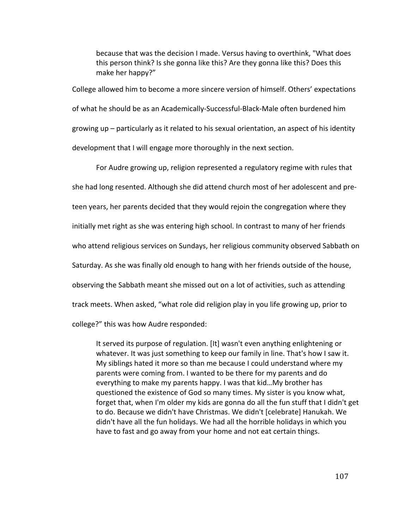because that was the decision I made. Versus having to overthink, "What does this person think? Is she gonna like this? Are they gonna like this? Does this make her happy?"

College allowed him to become a more sincere version of himself. Others' expectations of what he should be as an Academically-Successful-Black-Male often burdened him growing  $up$  – particularly as it related to his sexual orientation, an aspect of his identity development that I will engage more thoroughly in the next section.

For Audre growing up, religion represented a regulatory regime with rules that she had long resented. Although she did attend church most of her adolescent and preteen years, her parents decided that they would rejoin the congregation where they initially met right as she was entering high school. In contrast to many of her friends who attend religious services on Sundays, her religious community observed Sabbath on Saturday. As she was finally old enough to hang with her friends outside of the house, observing the Sabbath meant she missed out on a lot of activities, such as attending track meets. When asked, "what role did religion play in you life growing up, prior to college?" this was how Audre responded:

It served its purpose of regulation. [It] wasn't even anything enlightening or whatever. It was just something to keep our family in line. That's how I saw it. My siblings hated it more so than me because I could understand where my parents were coming from. I wanted to be there for my parents and do everything to make my parents happy. I was that kid...My brother has questioned the existence of God so many times. My sister is you know what, forget that, when I'm older my kids are gonna do all the fun stuff that I didn't get to do. Because we didn't have Christmas. We didn't [celebrate] Hanukah. We didn't have all the fun holidays. We had all the horrible holidays in which you have to fast and go away from your home and not eat certain things.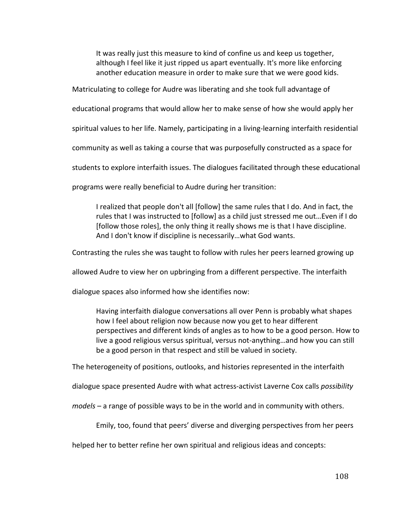It was really just this measure to kind of confine us and keep us together, although I feel like it just ripped us apart eventually. It's more like enforcing another education measure in order to make sure that we were good kids.

Matriculating to college for Audre was liberating and she took full advantage of

educational programs that would allow her to make sense of how she would apply her

spiritual values to her life. Namely, participating in a living-learning interfaith residential

community as well as taking a course that was purposefully constructed as a space for

students to explore interfaith issues. The dialogues facilitated through these educational

programs were really beneficial to Audre during her transition:

I realized that people don't all [follow] the same rules that I do. And in fact, the rules that I was instructed to [follow] as a child just stressed me out...Even if I do [follow those roles], the only thing it really shows me is that I have discipline. And I don't know if discipline is necessarily...what God wants.

Contrasting the rules she was taught to follow with rules her peers learned growing up

allowed Audre to view her on upbringing from a different perspective. The interfaith

dialogue spaces also informed how she identifies now:

Having interfaith dialogue conversations all over Penn is probably what shapes how I feel about religion now because now you get to hear different perspectives and different kinds of angles as to how to be a good person. How to live a good religious versus spiritual, versus not-anything...and how you can still be a good person in that respect and still be valued in society.

The heterogeneity of positions, outlooks, and histories represented in the interfaith

dialogue space presented Audre with what actress-activist Laverne Cox calls *possibility* 

*models* – a range of possible ways to be in the world and in community with others.

Emily, too, found that peers' diverse and diverging perspectives from her peers

helped her to better refine her own spiritual and religious ideas and concepts: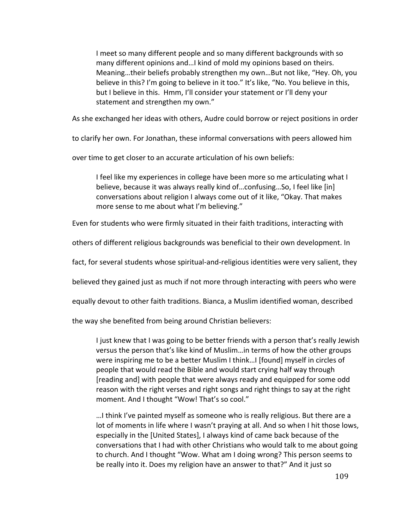I meet so many different people and so many different backgrounds with so many different opinions and... I kind of mold my opinions based on theirs. Meaning...their beliefs probably strengthen my own...But not like, "Hey. Oh, you believe in this? I'm going to believe in it too." It's like, "No. You believe in this, but I believe in this. Hmm, I'll consider your statement or I'll deny your statement and strengthen my own."

As she exchanged her ideas with others, Audre could borrow or reject positions in order

to clarify her own. For Jonathan, these informal conversations with peers allowed him

over time to get closer to an accurate articulation of his own beliefs:

I feel like my experiences in college have been more so me articulating what I believe, because it was always really kind of...confusing...So, I feel like [in] conversations about religion I always come out of it like, "Okay. That makes more sense to me about what I'm believing."

Even for students who were firmly situated in their faith traditions, interacting with

others of different religious backgrounds was beneficial to their own development. In

fact, for several students whose spiritual-and-religious identities were very salient, they

believed they gained just as much if not more through interacting with peers who were

equally devout to other faith traditions. Bianca, a Muslim identified woman, described

the way she benefited from being around Christian believers:

I just knew that I was going to be better friends with a person that's really Jewish versus the person that's like kind of Muslim...in terms of how the other groups were inspiring me to be a better Muslim I think...I [found] myself in circles of people that would read the Bible and would start crying half way through [reading and] with people that were always ready and equipped for some odd reason with the right verses and right songs and right things to say at the right moment. And I thought "Wow! That's so cool."

....I think I've painted myself as someone who is really religious. But there are a lot of moments in life where I wasn't praying at all. And so when I hit those lows, especially in the [United States], I always kind of came back because of the conversations that I had with other Christians who would talk to me about going to church. And I thought "Wow. What am I doing wrong? This person seems to be really into it. Does my religion have an answer to that?" And it just so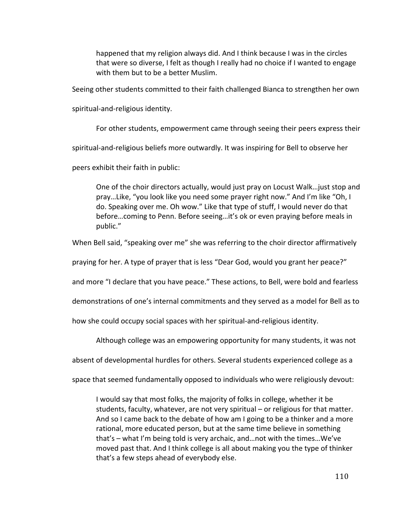happened that my religion always did. And I think because I was in the circles that were so diverse, I felt as though I really had no choice if I wanted to engage with them but to be a better Muslim.

Seeing other students committed to their faith challenged Bianca to strengthen her own

spiritual-and-religious identity.

For other students, empowerment came through seeing their peers express their

spiritual-and-religious beliefs more outwardly. It was inspiring for Bell to observe her

peers exhibit their faith in public:

One of the choir directors actually, would just pray on Locust Walk... just stop and pray...Like, "you look like you need some prayer right now." And I'm like "Oh, I do. Speaking over me. Oh wow." Like that type of stuff, I would never do that before...coming to Penn. Before seeing...it's ok or even praying before meals in public." 

When Bell said, "speaking over me" she was referring to the choir director affirmatively

praying for her. A type of prayer that is less "Dear God, would you grant her peace?"

and more "I declare that you have peace." These actions, to Bell, were bold and fearless

demonstrations of one's internal commitments and they served as a model for Bell as to

how she could occupy social spaces with her spiritual-and-religious identity.

Although college was an empowering opportunity for many students, it was not

absent of developmental hurdles for others. Several students experienced college as a

space that seemed fundamentally opposed to individuals who were religiously devout:

I would say that most folks, the majority of folks in college, whether it be students, faculty, whatever, are not very spiritual  $-$  or religious for that matter. And so I came back to the debate of how am I going to be a thinker and a more rational, more educated person, but at the same time believe in something that's – what I'm being told is very archaic, and...not with the times...We've moved past that. And I think college is all about making you the type of thinker that's a few steps ahead of everybody else.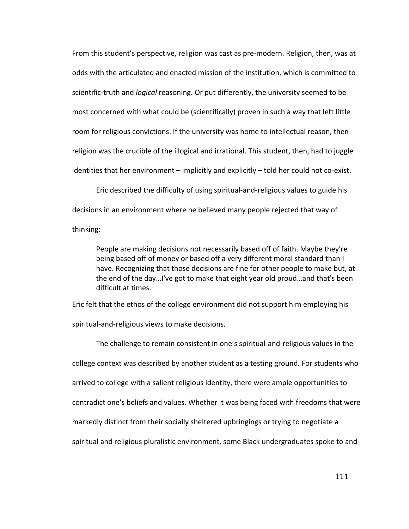From this student's perspective, religion was cast as pre-modern. Religion, then, was at odds with the articulated and enacted mission of the institution, which is committed to scientific-truth and *logical* reasoning. Or put differently, the university seemed to be most concerned with what could be (scientifically) proven in such a way that left little room for religious convictions. If the university was home to intellectual reason, then religion was the crucible of the illogical and irrational. This student, then, had to juggle identities that her environment  $-$  implicitly and explicitly  $-$  told her could not co-exist.

Eric described the difficulty of using spiritual-and-religious values to guide his decisions in an environment where he believed many people rejected that way of thinking: 

People are making decisions not necessarily based off of faith. Maybe they're being based off of money or based off a very different moral standard than I have. Recognizing that those decisions are fine for other people to make but, at the end of the day...I've got to make that eight year old proud...and that's been difficult at times.

Eric felt that the ethos of the college environment did not support him employing his spiritual-and-religious views to make decisions.

The challenge to remain consistent in one's spiritual-and-religious values in the college context was described by another student as a testing ground. For students who arrived to college with a salient religious identity, there were ample opportunities to contradict one's beliefs and values. Whether it was being faced with freedoms that were markedly distinct from their socially sheltered upbringings or trying to negotiate a spiritual and religious pluralistic environment, some Black undergraduates spoke to and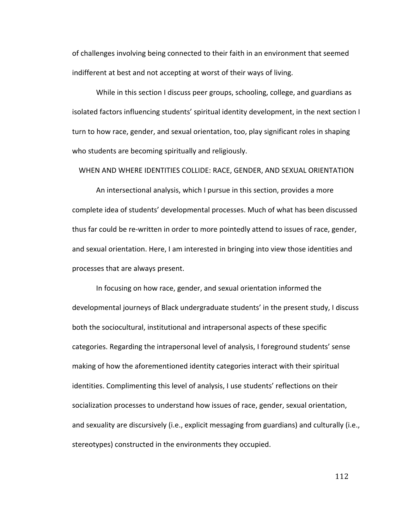of challenges involving being connected to their faith in an environment that seemed indifferent at best and not accepting at worst of their ways of living.

While in this section I discuss peer groups, schooling, college, and guardians as isolated factors influencing students' spiritual identity development, in the next section I turn to how race, gender, and sexual orientation, too, play significant roles in shaping who students are becoming spiritually and religiously.

## WHEN AND WHERE IDENTITIES COLLIDE: RACE, GENDER, AND SEXUAL ORIENTATION

An intersectional analysis, which I pursue in this section, provides a more complete idea of students' developmental processes. Much of what has been discussed thus far could be re-written in order to more pointedly attend to issues of race, gender, and sexual orientation. Here, I am interested in bringing into view those identities and processes that are always present.

In focusing on how race, gender, and sexual orientation informed the developmental journeys of Black undergraduate students' in the present study, I discuss both the sociocultural, institutional and intrapersonal aspects of these specific categories. Regarding the intrapersonal level of analysis, I foreground students' sense making of how the aforementioned identity categories interact with their spiritual identities. Complimenting this level of analysis, I use students' reflections on their socialization processes to understand how issues of race, gender, sexual orientation, and sexuality are discursively (i.e., explicit messaging from guardians) and culturally (i.e., stereotypes) constructed in the environments they occupied.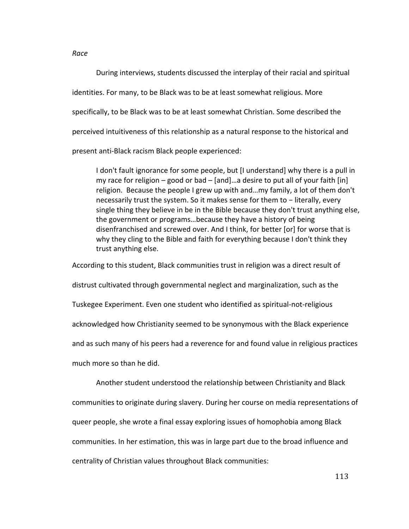During interviews, students discussed the interplay of their racial and spiritual identities. For many, to be Black was to be at least somewhat religious. More specifically, to be Black was to be at least somewhat Christian. Some described the perceived intuitiveness of this relationship as a natural response to the historical and present anti-Black racism Black people experienced:

I don't fault ignorance for some people, but [I understand] why there is a pull in my race for religion – good or bad – [and]...a desire to put all of your faith [in] religion. Because the people I grew up with and...my family, a lot of them don't necessarily trust the system. So it makes sense for them to - literally, every single thing they believe in be in the Bible because they don't trust anything else, the government or programs...because they have a history of being disenfranchised and screwed over. And I think, for better [or] for worse that is why they cling to the Bible and faith for everything because I don't think they trust anything else.

According to this student, Black communities trust in religion was a direct result of distrust cultivated through governmental neglect and marginalization, such as the Tuskegee Experiment. Even one student who identified as spiritual-not-religious acknowledged how Christianity seemed to be synonymous with the Black experience and as such many of his peers had a reverence for and found value in religious practices much more so than he did.

Another student understood the relationship between Christianity and Black communities to originate during slavery. During her course on media representations of queer people, she wrote a final essay exploring issues of homophobia among Black communities. In her estimation, this was in large part due to the broad influence and centrality of Christian values throughout Black communities:

*Race*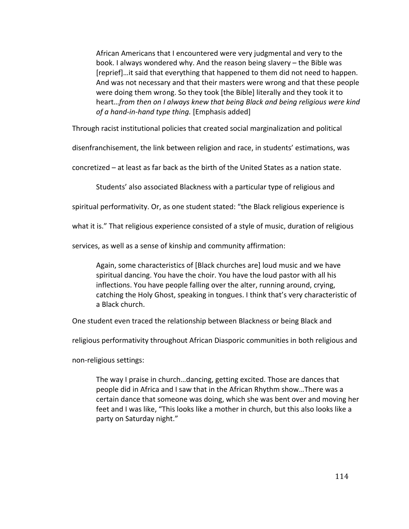African Americans that I encountered were very judgmental and very to the book. I always wondered why. And the reason being slavery  $-$  the Bible was [reprief]...it said that everything that happened to them did not need to happen. And was not necessary and that their masters were wrong and that these people were doing them wrong. So they took [the Bible] literally and they took it to heart…*from then on I always knew that being Black and being religious were kind of a hand-in-hand type thing.* [Emphasis added]

Through racist institutional policies that created social marginalization and political

disenfranchisement, the link between religion and race, in students' estimations, was

concretized  $-$  at least as far back as the birth of the United States as a nation state.

Students' also associated Blackness with a particular type of religious and

spiritual performativity. Or, as one student stated: "the Black religious experience is

what it is." That religious experience consisted of a style of music, duration of religious

services, as well as a sense of kinship and community affirmation:

Again, some characteristics of [Black churches are] loud music and we have spiritual dancing. You have the choir. You have the loud pastor with all his inflections. You have people falling over the alter, running around, crying, catching the Holy Ghost, speaking in tongues. I think that's very characteristic of a Black church.

One student even traced the relationship between Blackness or being Black and

religious performativity throughout African Diasporic communities in both religious and

non-religious settings:

The way I praise in church...dancing, getting excited. Those are dances that people did in Africa and I saw that in the African Rhythm show...There was a certain dance that someone was doing, which she was bent over and moving her feet and I was like, "This looks like a mother in church, but this also looks like a party on Saturday night."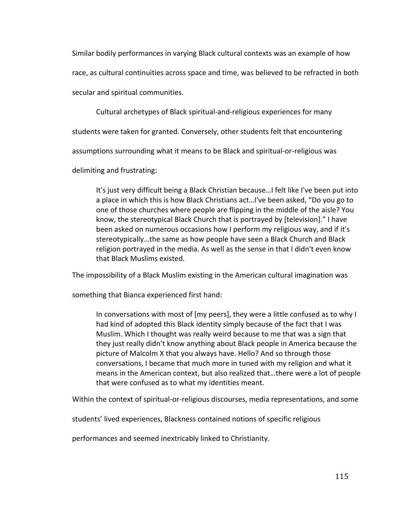Similar bodily performances in varying Black cultural contexts was an example of how

race, as cultural continuities across space and time, was believed to be refracted in both

secular and spiritual communities.

Cultural archetypes of Black spiritual-and-religious experiences for many

students were taken for granted. Conversely, other students felt that encountering

assumptions surrounding what it means to be Black and spiritual-or-religious was

delimiting and frustrating:

It's just very difficult being a Black Christian because...I felt like I've been put into a place in which this is how Black Christians act...I've been asked, "Do you go to one of those churches where people are flipping in the middle of the aisle? You know, the stereotypical Black Church that is portrayed by [television]." I have been asked on numerous occasions how I perform my religious way, and if it's stereotypically...the same as how people have seen a Black Church and Black religion portrayed in the media. As well as the sense in that I didn't even know that Black Muslims existed.

The impossibility of a Black Muslim existing in the American cultural imagination was

something that Bianca experienced first hand:

In conversations with most of [my peers], they were a little confused as to why I had kind of adopted this Black identity simply because of the fact that I was Muslim. Which I thought was really weird because to me that was a sign that they just really didn't know anything about Black people in America because the picture of Malcolm X that you always have. Hello? And so through those conversations, I became that much more in tuned with my religion and what it means in the American context, but also realized that...there were a lot of people that were confused as to what my identities meant.

Within the context of spiritual-or-religious discourses, media representations, and some

students' lived experiences, Blackness contained notions of specific religious

performances and seemed inextricably linked to Christianity.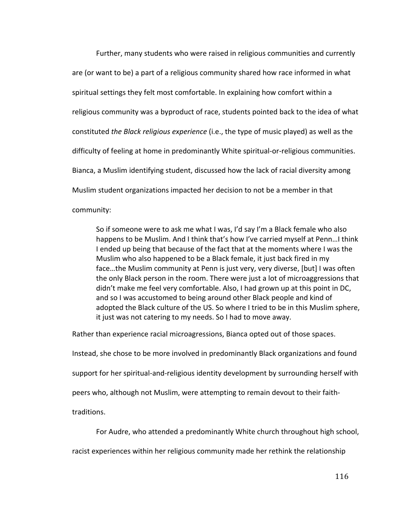Further, many students who were raised in religious communities and currently are (or want to be) a part of a religious community shared how race informed in what spiritual settings they felt most comfortable. In explaining how comfort within a religious community was a byproduct of race, students pointed back to the idea of what constituted *the Black religious experience* (i.e., the type of music played) as well as the difficulty of feeling at home in predominantly White spiritual-or-religious communities. Bianca, a Muslim identifying student, discussed how the lack of racial diversity among Muslim student organizations impacted her decision to not be a member in that

community: 

So if someone were to ask me what I was, I'd say I'm a Black female who also happens to be Muslim. And I think that's how I've carried myself at Penn...I think I ended up being that because of the fact that at the moments where I was the Muslim who also happened to be a Black female, it just back fired in my face...the Muslim community at Penn is just very, very diverse, [but] I was often the only Black person in the room. There were just a lot of microaggressions that didn't make me feel very comfortable. Also, I had grown up at this point in DC, and so I was accustomed to being around other Black people and kind of adopted the Black culture of the US. So where I tried to be in this Muslim sphere, it just was not catering to my needs. So I had to move away.

Rather than experience racial microagressions, Bianca opted out of those spaces.

Instead, she chose to be more involved in predominantly Black organizations and found

support for her spiritual-and-religious identity development by surrounding herself with

peers who, although not Muslim, were attempting to remain devout to their faith-

traditions.

For Audre, who attended a predominantly White church throughout high school,

racist experiences within her religious community made her rethink the relationship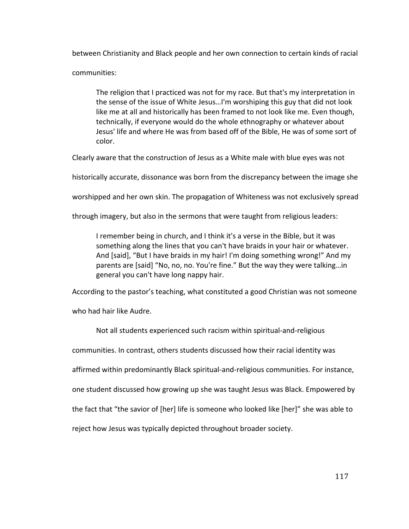between Christianity and Black people and her own connection to certain kinds of racial communities: 

The religion that I practiced was not for my race. But that's my interpretation in the sense of the issue of White Jesus...I'm worshiping this guy that did not look like me at all and historically has been framed to not look like me. Even though, technically, if everyone would do the whole ethnography or whatever about Jesus' life and where He was from based off of the Bible, He was of some sort of color.

Clearly aware that the construction of Jesus as a White male with blue eyes was not

historically accurate, dissonance was born from the discrepancy between the image she

worshipped and her own skin. The propagation of Whiteness was not exclusively spread

through imagery, but also in the sermons that were taught from religious leaders:

I remember being in church, and I think it's a verse in the Bible, but it was something along the lines that you can't have braids in your hair or whatever. And [said], "But I have braids in my hair! I'm doing something wrong!" And my parents are [said] "No, no, no. You're fine." But the way they were talking...in general you can't have long nappy hair.

According to the pastor's teaching, what constituted a good Christian was not someone

who had hair like Audre.

Not all students experienced such racism within spiritual-and-religious

communities. In contrast, others students discussed how their racial identity was

affirmed within predominantly Black spiritual-and-religious communities. For instance,

one student discussed how growing up she was taught Jesus was Black. Empowered by

the fact that "the savior of [her] life is someone who looked like [her]" she was able to

reject how Jesus was typically depicted throughout broader society.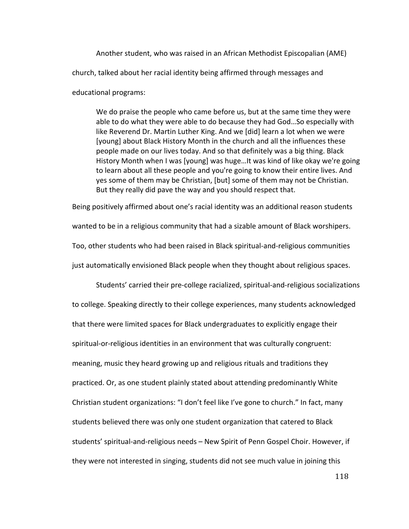Another student, who was raised in an African Methodist Episcopalian (AME)

church, talked about her racial identity being affirmed through messages and

educational programs:

We do praise the people who came before us, but at the same time they were able to do what they were able to do because they had God...So especially with like Reverend Dr. Martin Luther King. And we [did] learn a lot when we were [young] about Black History Month in the church and all the influences these people made on our lives today. And so that definitely was a big thing. Black History Month when I was [young] was huge...It was kind of like okay we're going to learn about all these people and you're going to know their entire lives. And yes some of them may be Christian, [but] some of them may not be Christian. But they really did pave the way and you should respect that.

Being positively affirmed about one's racial identity was an additional reason students

wanted to be in a religious community that had a sizable amount of Black worshipers.

Too, other students who had been raised in Black spiritual-and-religious communities

just automatically envisioned Black people when they thought about religious spaces.

Students' carried their pre-college racialized, spiritual-and-religious socializations to college. Speaking directly to their college experiences, many students acknowledged that there were limited spaces for Black undergraduates to explicitly engage their spiritual-or-religious identities in an environment that was culturally congruent: meaning, music they heard growing up and religious rituals and traditions they practiced. Or, as one student plainly stated about attending predominantly White Christian student organizations: "I don't feel like I've gone to church." In fact, many students believed there was only one student organization that catered to Black students' spiritual-and-religious needs - New Spirit of Penn Gospel Choir. However, if they were not interested in singing, students did not see much value in joining this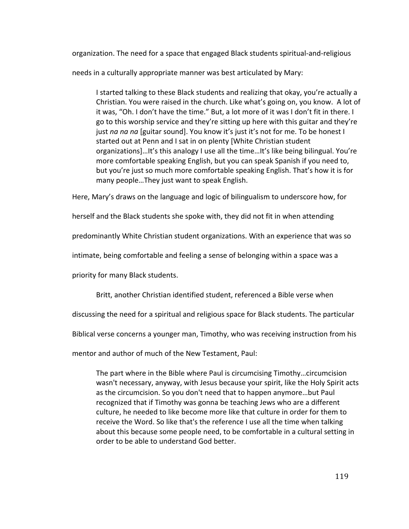organization. The need for a space that engaged Black students spiritual-and-religious

needs in a culturally appropriate manner was best articulated by Mary:

I started talking to these Black students and realizing that okay, you're actually a Christian. You were raised in the church. Like what's going on, you know. A lot of it was, "Oh. I don't have the time." But, a lot more of it was I don't fit in there. I go to this worship service and they're sitting up here with this guitar and they're just na na na [guitar sound]. You know it's just it's not for me. To be honest I started out at Penn and I sat in on plenty [White Christian student organizations]…It's this analogy I use all the time…It's like being bilingual. You're more comfortable speaking English, but you can speak Spanish if you need to, but you're just so much more comfortable speaking English. That's how it is for many people...They just want to speak English.

Here, Mary's draws on the language and logic of bilingualism to underscore how, for

herself and the Black students she spoke with, they did not fit in when attending

predominantly White Christian student organizations. With an experience that was so

intimate, being comfortable and feeling a sense of belonging within a space was a

priority for many Black students.

Britt, another Christian identified student, referenced a Bible verse when

discussing the need for a spiritual and religious space for Black students. The particular

Biblical verse concerns a younger man, Timothy, who was receiving instruction from his

mentor and author of much of the New Testament, Paul:

The part where in the Bible where Paul is circumcising Timothy...circumcision wasn't necessary, anyway, with Jesus because your spirit, like the Holy Spirit acts as the circumcision. So you don't need that to happen anymore...but Paul recognized that if Timothy was gonna be teaching Jews who are a different culture, he needed to like become more like that culture in order for them to receive the Word. So like that's the reference I use all the time when talking about this because some people need, to be comfortable in a cultural setting in order to be able to understand God better.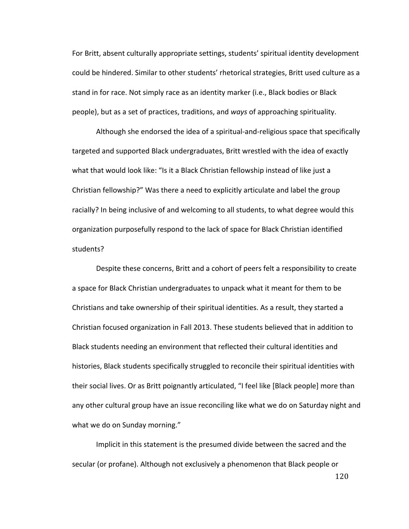For Britt, absent culturally appropriate settings, students' spiritual identity development could be hindered. Similar to other students' rhetorical strategies, Britt used culture as a stand in for race. Not simply race as an identity marker (i.e., Black bodies or Black people), but as a set of practices, traditions, and *ways* of approaching spirituality.

Although she endorsed the idea of a spiritual-and-religious space that specifically targeted and supported Black undergraduates, Britt wrestled with the idea of exactly what that would look like: "Is it a Black Christian fellowship instead of like just a Christian fellowship?" Was there a need to explicitly articulate and label the group racially? In being inclusive of and welcoming to all students, to what degree would this organization purposefully respond to the lack of space for Black Christian identified students? 

Despite these concerns, Britt and a cohort of peers felt a responsibility to create a space for Black Christian undergraduates to unpack what it meant for them to be Christians and take ownership of their spiritual identities. As a result, they started a Christian focused organization in Fall 2013. These students believed that in addition to Black students needing an environment that reflected their cultural identities and histories, Black students specifically struggled to reconcile their spiritual identities with their social lives. Or as Britt poignantly articulated, "I feel like [Black people] more than any other cultural group have an issue reconciling like what we do on Saturday night and what we do on Sunday morning."

Implicit in this statement is the presumed divide between the sacred and the secular (or profane). Although not exclusively a phenomenon that Black people or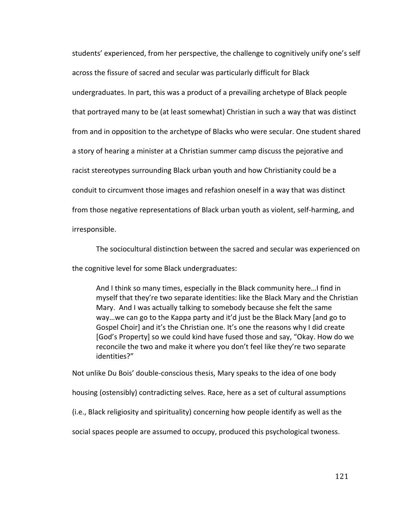students' experienced, from her perspective, the challenge to cognitively unify one's self across the fissure of sacred and secular was particularly difficult for Black

undergraduates. In part, this was a product of a prevailing archetype of Black people

that portrayed many to be (at least somewhat) Christian in such a way that was distinct

from and in opposition to the archetype of Blacks who were secular. One student shared

a story of hearing a minister at a Christian summer camp discuss the pejorative and

racist stereotypes surrounding Black urban youth and how Christianity could be a

conduit to circumvent those images and refashion oneself in a way that was distinct

from those negative representations of Black urban youth as violent, self-harming, and

irresponsible. 

The sociocultural distinction between the sacred and secular was experienced on

the cognitive level for some Black undergraduates:

And I think so many times, especially in the Black community here...I find in myself that they're two separate identities: like the Black Mary and the Christian Mary. And I was actually talking to somebody because she felt the same way...we can go to the Kappa party and it'd just be the Black Mary [and go to Gospel Choir] and it's the Christian one. It's one the reasons why I did create [God's Property] so we could kind have fused those and say, "Okay. How do we reconcile the two and make it where you don't feel like they're two separate identities?"

Not unlike Du Bois' double-conscious thesis, Mary speaks to the idea of one body

housing (ostensibly) contradicting selves. Race, here as a set of cultural assumptions

 $(i.e., Black religiousity and spirituality)$  concerning how people identify as well as the

social spaces people are assumed to occupy, produced this psychological twoness.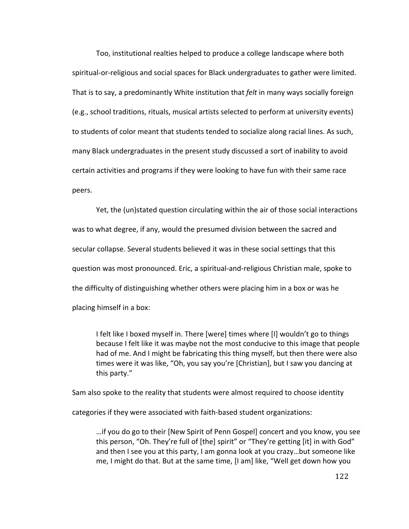Too, institutional realties helped to produce a college landscape where both spiritual-or-religious and social spaces for Black undergraduates to gather were limited. That is to say, a predominantly White institution that *felt* in many ways socially foreign (e.g., school traditions, rituals, musical artists selected to perform at university events) to students of color meant that students tended to socialize along racial lines. As such, many Black undergraduates in the present study discussed a sort of inability to avoid certain activities and programs if they were looking to have fun with their same race peers. 

Yet, the (un)stated question circulating within the air of those social interactions was to what degree, if any, would the presumed division between the sacred and secular collapse. Several students believed it was in these social settings that this question was most pronounced. Eric, a spiritual-and-religious Christian male, spoke to the difficulty of distinguishing whether others were placing him in a box or was he placing himself in a box:

I felt like I boxed myself in. There [were] times where [I] wouldn't go to things because I felt like it was maybe not the most conducive to this image that people had of me. And I might be fabricating this thing myself, but then there were also times were it was like, "Oh, you say you're [Christian], but I saw you dancing at this party."

Sam also spoke to the reality that students were almost required to choose identity

categories if they were associated with faith-based student organizations:

...if you do go to their [New Spirit of Penn Gospel] concert and you know, you see this person, "Oh. They're full of [the] spirit" or "They're getting [it] in with God" and then I see you at this party, I am gonna look at you crazy...but someone like me, I might do that. But at the same time,  $[1 \text{ am}]$  like, "Well get down how you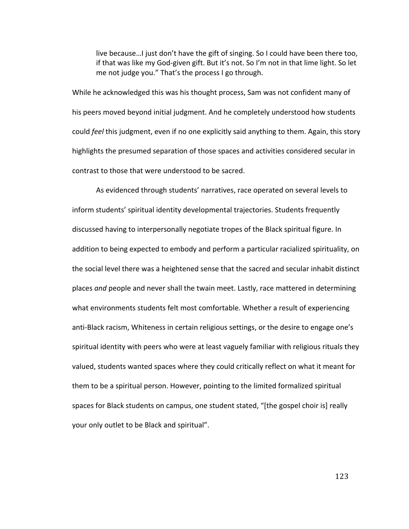live because...I just don't have the gift of singing. So I could have been there too, if that was like my God-given gift. But it's not. So I'm not in that lime light. So let me not judge you." That's the process I go through.

While he acknowledged this was his thought process, Sam was not confident many of his peers moved beyond initial judgment. And he completely understood how students could *feel* this judgment, even if no one explicitly said anything to them. Again, this story highlights the presumed separation of those spaces and activities considered secular in contrast to those that were understood to be sacred.

As evidenced through students' narratives, race operated on several levels to inform students' spiritual identity developmental trajectories. Students frequently discussed having to interpersonally negotiate tropes of the Black spiritual figure. In addition to being expected to embody and perform a particular racialized spirituality, on the social level there was a heightened sense that the sacred and secular inhabit distinct places *and* people and never shall the twain meet. Lastly, race mattered in determining what environments students felt most comfortable. Whether a result of experiencing anti-Black racism, Whiteness in certain religious settings, or the desire to engage one's spiritual identity with peers who were at least vaguely familiar with religious rituals they valued, students wanted spaces where they could critically reflect on what it meant for them to be a spiritual person. However, pointing to the limited formalized spiritual spaces for Black students on campus, one student stated, "[the gospel choir is] really your only outlet to be Black and spiritual".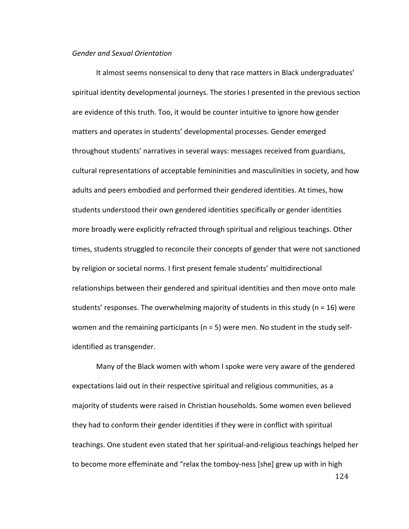## *Gender and Sexual Orientation*

It almost seems nonsensical to deny that race matters in Black undergraduates' spiritual identity developmental journeys. The stories I presented in the previous section are evidence of this truth. Too, it would be counter intuitive to ignore how gender matters and operates in students' developmental processes. Gender emerged throughout students' narratives in several ways: messages received from guardians, cultural representations of acceptable femininities and masculinities in society, and how adults and peers embodied and performed their gendered identities. At times, how students understood their own gendered identities specifically or gender identities more broadly were explicitly refracted through spiritual and religious teachings. Other times, students struggled to reconcile their concepts of gender that were not sanctioned by religion or societal norms. I first present female students' multidirectional relationships between their gendered and spiritual identities and then move onto male students' responses. The overwhelming majority of students in this study (n = 16) were women and the remaining participants ( $n = 5$ ) were men. No student in the study selfidentified as transgender.

Many of the Black women with whom I spoke were very aware of the gendered expectations laid out in their respective spiritual and religious communities, as a majority of students were raised in Christian households. Some women even believed they had to conform their gender identities if they were in conflict with spiritual teachings. One student even stated that her spiritual-and-religious teachings helped her to become more effeminate and "relax the tomboy-ness [she] grew up with in high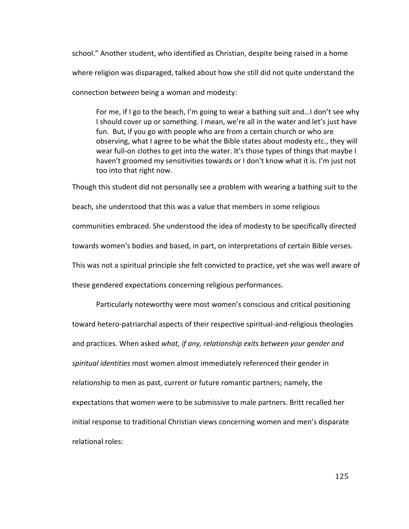school." Another student, who identified as Christian, despite being raised in a home where religion was disparaged, talked about how she still did not quite understand the connection between being a woman and modesty:

For me, if I go to the beach, I'm going to wear a bathing suit and...I don't see why I should cover up or something. I mean, we're all in the water and let's just have fun. But, if you go with people who are from a certain church or who are observing, what I agree to be what the Bible states about modesty etc., they will wear full-on clothes to get into the water. It's those types of things that maybe  $I$ haven't groomed my sensitivities towards or I don't know what it is. I'm just not too into that right now.

Though this student did not personally see a problem with wearing a bathing suit to the beach, she understood that this was a value that members in some religious communities embraced. She understood the idea of modesty to be specifically directed towards women's bodies and based, in part, on interpretations of certain Bible verses. This was not a spiritual principle she felt convicted to practice, yet she was well aware of these gendered expectations concerning religious performances.

Particularly noteworthy were most women's conscious and critical positioning toward hetero-patriarchal aspects of their respective spiritual-and-religious theologies and practices. When asked *what, if any, relationship exits between your gender and* spiritual identities most women almost immediately referenced their gender in relationship to men as past, current or future romantic partners; namely, the expectations that women were to be submissive to male partners. Britt recalled her initial response to traditional Christian views concerning women and men's disparate relational roles: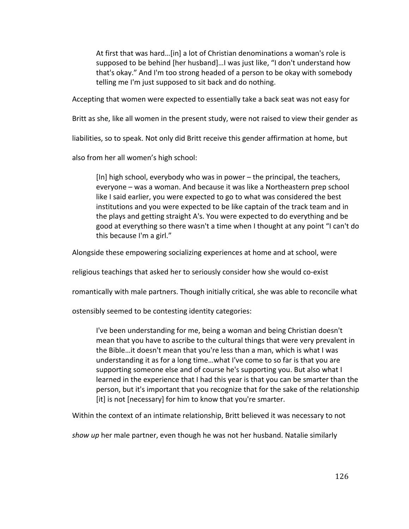At first that was hard...[in] a lot of Christian denominations a woman's role is supposed to be behind [her husband]...I was just like, "I don't understand how that's okay." And I'm too strong headed of a person to be okay with somebody telling me I'm just supposed to sit back and do nothing.

Accepting that women were expected to essentially take a back seat was not easy for

Britt as she, like all women in the present study, were not raised to view their gender as

liabilities, so to speak. Not only did Britt receive this gender affirmation at home, but

also from her all women's high school:

 $\lceil \ln \rceil$  high school, everybody who was in power – the principal, the teachers, everyone – was a woman. And because it was like a Northeastern prep school like I said earlier, you were expected to go to what was considered the best institutions and you were expected to be like captain of the track team and in the plays and getting straight A's. You were expected to do everything and be good at everything so there wasn't a time when I thought at any point "I can't do this because I'm a girl."

Alongside these empowering socializing experiences at home and at school, were

religious teachings that asked her to seriously consider how she would co-exist

romantically with male partners. Though initially critical, she was able to reconcile what

ostensibly seemed to be contesting identity categories:

I've been understanding for me, being a woman and being Christian doesn't mean that you have to ascribe to the cultural things that were very prevalent in the Bible…it doesn't mean that you're less than a man, which is what I was understanding it as for a long time...what I've come to so far is that you are supporting someone else and of course he's supporting you. But also what I learned in the experience that I had this year is that you can be smarter than the person, but it's important that you recognize that for the sake of the relationship [it] is not [necessary] for him to know that you're smarter.

Within the context of an intimate relationship, Britt believed it was necessary to not

*show up* her male partner, even though he was not her husband. Natalie similarly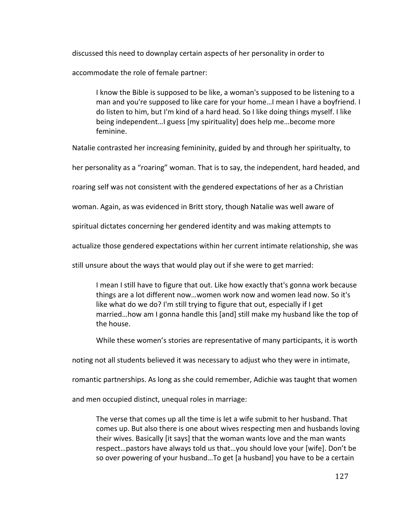discussed this need to downplay certain aspects of her personality in order to

accommodate the role of female partner:

I know the Bible is supposed to be like, a woman's supposed to be listening to a man and you're supposed to like care for your home...I mean I have a boyfriend. I do listen to him, but I'm kind of a hard head. So I like doing things myself. I like being independent...I guess [my spirituality] does help me...become more feminine. 

Natalie contrasted her increasing femininity, guided by and through her spiritualty, to

her personality as a "roaring" woman. That is to say, the independent, hard headed, and

roaring self was not consistent with the gendered expectations of her as a Christian

woman. Again, as was evidenced in Britt story, though Natalie was well aware of

spiritual dictates concerning her gendered identity and was making attempts to

actualize those gendered expectations within her current intimate relationship, she was

still unsure about the ways that would play out if she were to get married:

I mean I still have to figure that out. Like how exactly that's gonna work because things are a lot different now...women work now and women lead now. So it's like what do we do? I'm still trying to figure that out, especially if I get married...how am I gonna handle this [and] still make my husband like the top of the house.

While these women's stories are representative of many participants, it is worth

noting not all students believed it was necessary to adjust who they were in intimate,

romantic partnerships. As long as she could remember, Adichie was taught that women

and men occupied distinct, unequal roles in marriage:

The verse that comes up all the time is let a wife submit to her husband. That comes up. But also there is one about wives respecting men and husbands loving their wives. Basically [it says] that the woman wants love and the man wants respect...pastors have always told us that...you should love your [wife]. Don't be so over powering of your husband...To get [a husband] you have to be a certain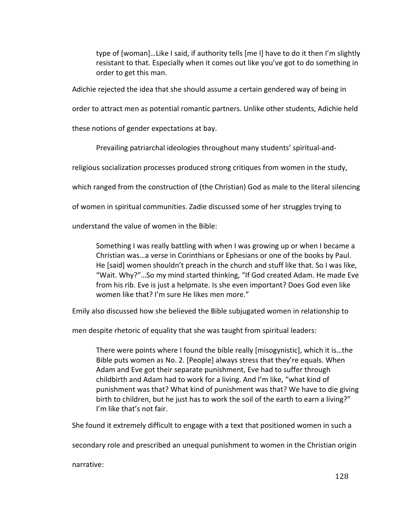type of [woman]…Like I said, if authority tells [me I] have to do it then I'm slightly resistant to that. Especially when it comes out like you've got to do something in order to get this man.

Adichie rejected the idea that she should assume a certain gendered way of being in

order to attract men as potential romantic partners. Unlike other students, Adichie held

these notions of gender expectations at bay.

Prevailing patriarchal ideologies throughout many students' spiritual-and-

religious socialization processes produced strong critiques from women in the study,

which ranged from the construction of (the Christian) God as male to the literal silencing

of women in spiritual communities. Zadie discussed some of her struggles trying to

understand the value of women in the Bible:

Something I was really battling with when I was growing up or when I became a Christian was...a verse in Corinthians or Ephesians or one of the books by Paul. He [said] women shouldn't preach in the church and stuff like that. So I was like, "Wait. Why?"...So my mind started thinking, "If God created Adam. He made Eve from his rib. Eve is just a helpmate. Is she even important? Does God even like women like that? I'm sure He likes men more."

Emily also discussed how she believed the Bible subjugated women in relationship to

men despite rhetoric of equality that she was taught from spiritual leaders:

There were points where I found the bible really [misogynistic], which it is...the Bible puts women as No. 2. [People] always stress that they're equals. When Adam and Eve got their separate punishment, Eve had to suffer through childbirth and Adam had to work for a living. And I'm like, "what kind of punishment was that? What kind of punishment was that? We have to die giving birth to children, but he just has to work the soil of the earth to earn a living?" I'm like that's not fair.

She found it extremely difficult to engage with a text that positioned women in such a

secondary role and prescribed an unequal punishment to women in the Christian origin

narrative: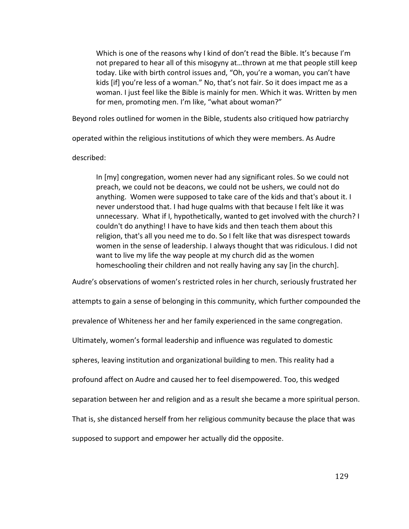Which is one of the reasons why I kind of don't read the Bible. It's because I'm not prepared to hear all of this misogyny at...thrown at me that people still keep today. Like with birth control issues and, "Oh, you're a woman, you can't have kids [if] you're less of a woman." No, that's not fair. So it does impact me as a woman. I just feel like the Bible is mainly for men. Which it was. Written by men for men, promoting men. I'm like, "what about woman?"

Beyond roles outlined for women in the Bible, students also critiqued how patriarchy

operated within the religious institutions of which they were members. As Audre

described: 

In [my] congregation, women never had any significant roles. So we could not preach, we could not be deacons, we could not be ushers, we could not do anything. Women were supposed to take care of the kids and that's about it. I never understood that. I had huge qualms with that because I felt like it was unnecessary. What if I, hypothetically, wanted to get involved with the church? I couldn't do anything! I have to have kids and then teach them about this religion, that's all you need me to do. So I felt like that was disrespect towards women in the sense of leadership. I always thought that was ridiculous. I did not want to live my life the way people at my church did as the women homeschooling their children and not really having any say [in the church].

Audre's observations of women's restricted roles in her church, seriously frustrated her

attempts to gain a sense of belonging in this community, which further compounded the

prevalence of Whiteness her and her family experienced in the same congregation.

Ultimately, women's formal leadership and influence was regulated to domestic

spheres, leaving institution and organizational building to men. This reality had a

profound affect on Audre and caused her to feel disempowered. Too, this wedged

separation between her and religion and as a result she became a more spiritual person.

That is, she distanced herself from her religious community because the place that was

supposed to support and empower her actually did the opposite.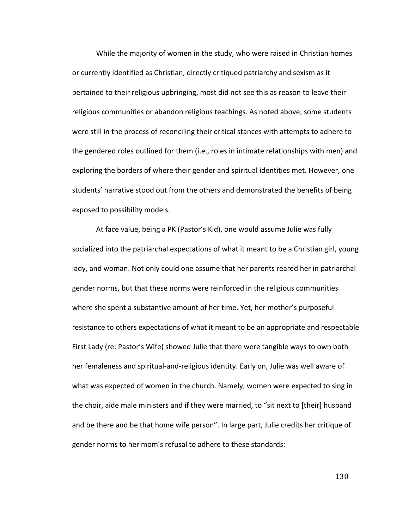While the majority of women in the study, who were raised in Christian homes or currently identified as Christian, directly critiqued patriarchy and sexism as it pertained to their religious upbringing, most did not see this as reason to leave their religious communities or abandon religious teachings. As noted above, some students were still in the process of reconciling their critical stances with attempts to adhere to the gendered roles outlined for them (i.e., roles in intimate relationships with men) and exploring the borders of where their gender and spiritual identities met. However, one students' narrative stood out from the others and demonstrated the benefits of being exposed to possibility models.

At face value, being a PK (Pastor's Kid), one would assume Julie was fully socialized into the patriarchal expectations of what it meant to be a Christian girl, young lady, and woman. Not only could one assume that her parents reared her in patriarchal gender norms, but that these norms were reinforced in the religious communities where she spent a substantive amount of her time. Yet, her mother's purposeful resistance to others expectations of what it meant to be an appropriate and respectable First Lady (re: Pastor's Wife) showed Julie that there were tangible ways to own both her femaleness and spiritual-and-religious identity. Early on, Julie was well aware of what was expected of women in the church. Namely, women were expected to sing in the choir, aide male ministers and if they were married, to "sit next to [their] husband and be there and be that home wife person". In large part, Julie credits her critique of gender norms to her mom's refusal to adhere to these standards: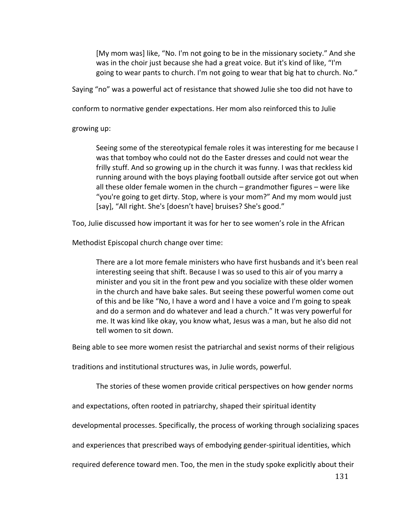[My mom was] like, "No. I'm not going to be in the missionary society." And she was in the choir just because she had a great voice. But it's kind of like, "I'm going to wear pants to church. I'm not going to wear that big hat to church. No."

Saying "no" was a powerful act of resistance that showed Julie she too did not have to

conform to normative gender expectations. Her mom also reinforced this to Julie

## growing up:

Seeing some of the stereotypical female roles it was interesting for me because I was that tomboy who could not do the Easter dresses and could not wear the frilly stuff. And so growing up in the church it was funny. I was that reckless kid running around with the boys playing football outside after service got out when all these older female women in the church  $-$  grandmother figures  $-$  were like "you're going to get dirty. Stop, where is your mom?" And my mom would just [say], "All right. She's [doesn't have] bruises? She's good."

Too, Julie discussed how important it was for her to see women's role in the African

Methodist Episcopal church change over time:

There are a lot more female ministers who have first husbands and it's been real interesting seeing that shift. Because I was so used to this air of you marry a minister and you sit in the front pew and you socialize with these older women in the church and have bake sales. But seeing these powerful women come out of this and be like "No, I have a word and I have a voice and I'm going to speak and do a sermon and do whatever and lead a church." It was very powerful for me. It was kind like okay, you know what, Jesus was a man, but he also did not tell women to sit down.

Being able to see more women resist the patriarchal and sexist norms of their religious

traditions and institutional structures was, in Julie words, powerful.

The stories of these women provide critical perspectives on how gender norms

and expectations, often rooted in patriarchy, shaped their spiritual identity

developmental processes. Specifically, the process of working through socializing spaces

and experiences that prescribed ways of embodying gender-spiritual identities, which

required deference toward men. Too, the men in the study spoke explicitly about their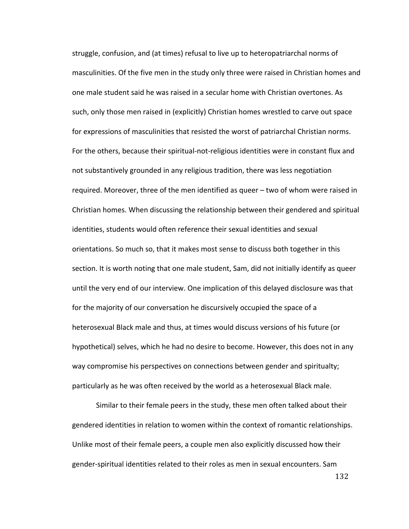struggle, confusion, and (at times) refusal to live up to heteropatriarchal norms of masculinities. Of the five men in the study only three were raised in Christian homes and one male student said he was raised in a secular home with Christian overtones. As such, only those men raised in (explicitly) Christian homes wrestled to carve out space for expressions of masculinities that resisted the worst of patriarchal Christian norms. For the others, because their spiritual-not-religious identities were in constant flux and not substantively grounded in any religious tradition, there was less negotiation required. Moreover, three of the men identified as queer  $-$  two of whom were raised in Christian homes. When discussing the relationship between their gendered and spiritual identities, students would often reference their sexual identities and sexual orientations. So much so, that it makes most sense to discuss both together in this section. It is worth noting that one male student, Sam, did not initially identify as queer until the very end of our interview. One implication of this delayed disclosure was that for the majority of our conversation he discursively occupied the space of a heterosexual Black male and thus, at times would discuss versions of his future (or hypothetical) selves, which he had no desire to become. However, this does not in any way compromise his perspectives on connections between gender and spiritualty; particularly as he was often received by the world as a heterosexual Black male.

Similar to their female peers in the study, these men often talked about their gendered identities in relation to women within the context of romantic relationships. Unlike most of their female peers, a couple men also explicitly discussed how their gender-spiritual identities related to their roles as men in sexual encounters. Sam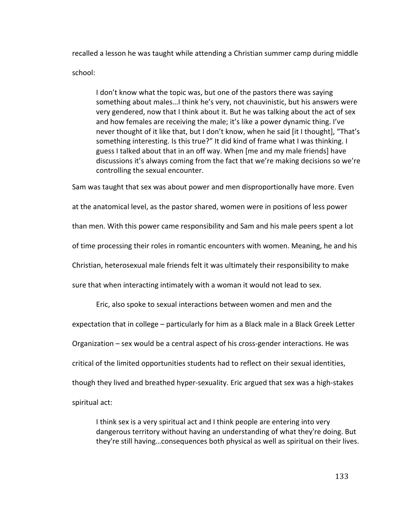recalled a lesson he was taught while attending a Christian summer camp during middle school: 

I don't know what the topic was, but one of the pastors there was saying something about males...I think he's very, not chauvinistic, but his answers were very gendered, now that I think about it. But he was talking about the act of sex and how females are receiving the male; it's like a power dynamic thing. I've never thought of it like that, but I don't know, when he said [it I thought], "That's something interesting. Is this true?" It did kind of frame what I was thinking. I guess I talked about that in an off way. When [me and my male friends] have discussions it's always coming from the fact that we're making decisions so we're controlling the sexual encounter.

Sam was taught that sex was about power and men disproportionally have more. Even at the anatomical level, as the pastor shared, women were in positions of less power than men. With this power came responsibility and Sam and his male peers spent a lot of time processing their roles in romantic encounters with women. Meaning, he and his Christian, heterosexual male friends felt it was ultimately their responsibility to make sure that when interacting intimately with a woman it would not lead to sex.

Eric, also spoke to sexual interactions between women and men and the

expectation that in college  $-$  particularly for him as a Black male in a Black Greek Letter

Organization – sex would be a central aspect of his cross-gender interactions. He was

critical of the limited opportunities students had to reflect on their sexual identities,

though they lived and breathed hyper-sexuality. Eric argued that sex was a high-stakes

spiritual act:

I think sex is a very spiritual act and I think people are entering into very dangerous territory without having an understanding of what they're doing. But they're still having...consequences both physical as well as spiritual on their lives.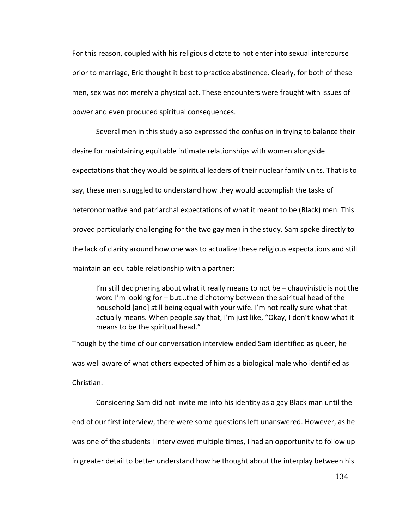For this reason, coupled with his religious dictate to not enter into sexual intercourse prior to marriage, Eric thought it best to practice abstinence. Clearly, for both of these men, sex was not merely a physical act. These encounters were fraught with issues of power and even produced spiritual consequences.

Several men in this study also expressed the confusion in trying to balance their desire for maintaining equitable intimate relationships with women alongside expectations that they would be spiritual leaders of their nuclear family units. That is to say, these men struggled to understand how they would accomplish the tasks of heteronormative and patriarchal expectations of what it meant to be (Black) men. This proved particularly challenging for the two gay men in the study. Sam spoke directly to the lack of clarity around how one was to actualize these religious expectations and still maintain an equitable relationship with a partner:

I'm still deciphering about what it really means to not be  $-$  chauvinistic is not the word I'm looking for – but...the dichotomy between the spiritual head of the household [and] still being equal with your wife. I'm not really sure what that actually means. When people say that, I'm just like, "Okay, I don't know what it means to be the spiritual head."

Though by the time of our conversation interview ended Sam identified as queer, he was well aware of what others expected of him as a biological male who identified as Christian. 

Considering Sam did not invite me into his identity as a gay Black man until the end of our first interview, there were some questions left unanswered. However, as he was one of the students I interviewed multiple times, I had an opportunity to follow up in greater detail to better understand how he thought about the interplay between his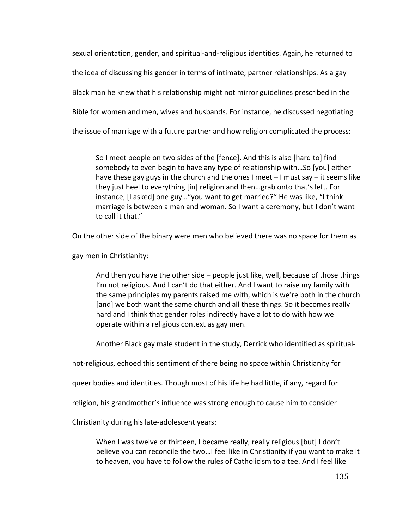sexual orientation, gender, and spiritual-and-religious identities. Again, he returned to the idea of discussing his gender in terms of intimate, partner relationships. As a gay Black man he knew that his relationship might not mirror guidelines prescribed in the Bible for women and men, wives and husbands. For instance, he discussed negotiating the issue of marriage with a future partner and how religion complicated the process:

So I meet people on two sides of the [fence]. And this is also [hard to] find somebody to even begin to have any type of relationship with...So [you] either have these gay guys in the church and the ones I meet  $-1$  must say  $-$  it seems like they just heel to everything [in] religion and then...grab onto that's left. For instance, [I asked] one guy..."you want to get married?" He was like, "I think marriage is between a man and woman. So I want a ceremony, but I don't want to call it that."

On the other side of the binary were men who believed there was no space for them as

gay men in Christianity:

And then you have the other side  $-$  people just like, well, because of those things I'm not religious. And I can't do that either. And I want to raise my family with the same principles my parents raised me with, which is we're both in the church [and] we both want the same church and all these things. So it becomes really hard and I think that gender roles indirectly have a lot to do with how we operate within a religious context as gay men.

Another Black gay male student in the study, Derrick who identified as spiritual-

not-religious, echoed this sentiment of there being no space within Christianity for

queer bodies and identities. Though most of his life he had little, if any, regard for

religion, his grandmother's influence was strong enough to cause him to consider

Christianity during his late-adolescent years:

When I was twelve or thirteen, I became really, really religious [but] I don't believe you can reconcile the two...I feel like in Christianity if you want to make it to heaven, you have to follow the rules of Catholicism to a tee. And I feel like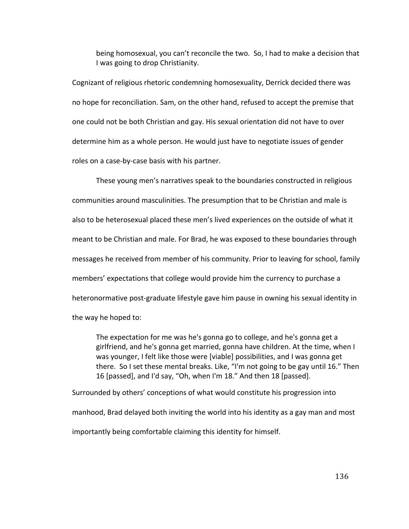being homosexual, you can't reconcile the two. So, I had to make a decision that I was going to drop Christianity.

Cognizant of religious rhetoric condemning homosexuality, Derrick decided there was no hope for reconciliation. Sam, on the other hand, refused to accept the premise that one could not be both Christian and gay. His sexual orientation did not have to over determine him as a whole person. He would just have to negotiate issues of gender roles on a case-by-case basis with his partner.

These young men's narratives speak to the boundaries constructed in religious communities around masculinities. The presumption that to be Christian and male is also to be heterosexual placed these men's lived experiences on the outside of what it meant to be Christian and male. For Brad, he was exposed to these boundaries through messages he received from member of his community. Prior to leaving for school, family members' expectations that college would provide him the currency to purchase a heteronormative post-graduate lifestyle gave him pause in owning his sexual identity in the way he hoped to:

The expectation for me was he's gonna go to college, and he's gonna get a girlfriend, and he's gonna get married, gonna have children. At the time, when I was younger, I felt like those were [viable] possibilities, and I was gonna get there. So I set these mental breaks. Like, "I'm not going to be gay until 16." Then 16 [passed], and I'd say, "Oh, when I'm 18." And then 18 [passed].

Surrounded by others' conceptions of what would constitute his progression into manhood, Brad delayed both inviting the world into his identity as a gay man and most importantly being comfortable claiming this identity for himself.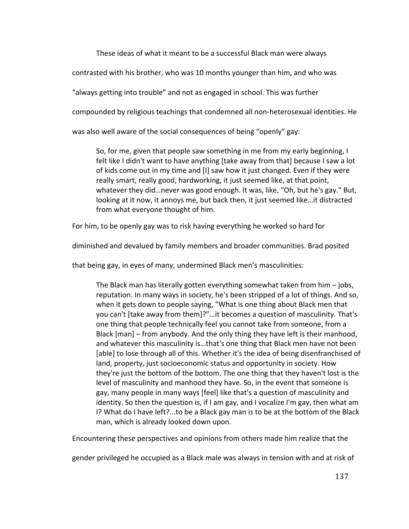These ideas of what it meant to be a successful Black man were always

contrasted with his brother, who was 10 months younger than him, and who was

"always getting into trouble" and not as engaged in school. This was further

compounded by religious teachings that condemned all non-heterosexual identities. He

was also well aware of the social consequences of being "openly" gay:

So, for me, given that people saw something in me from my early beginning, I felt like I didn't want to have anything [take away from that] because I saw a lot of kids come out in my time and [I] saw how it just changed. Even if they were really smart, really good, hardworking, it just seemed like, at that point, whatever they did...never was good enough. It was, like, "Oh, but he's gay." But, looking at it now, it annoys me, but back then, it just seemed like...it distracted from what everyone thought of him.

For him, to be openly gay was to risk having everything he worked so hard for

diminished and devalued by family members and broader communities. Brad posited

that being gay, in eyes of many, undermined Black men's masculinities:

The Black man has literally gotten everything somewhat taken from him  $-$  jobs, reputation. In many ways in society, he's been stripped of a lot of things. And so, when it gets down to people saying, "What is one thing about Black men that you can't [take away from them]?"...it becomes a question of masculinity. That's one thing that people technically feel you cannot take from someone, from a Black [man] – from anybody. And the only thing they have left is their manhood, and whatever this masculinity is...that's one thing that Black men have not been [able] to lose through all of this. Whether it's the idea of being disenfranchised of land, property, just socioeconomic status and opportunity in society. How they're just the bottom of the bottom. The one thing that they haven't lost is the level of masculinity and manhood they have. So, in the event that someone is gay, many people in many ways [feel] like that's a question of masculinity and identity. So then the question is, if I am gay, and I vocalize I'm gay, then what am I? What do I have left?...to be a Black gay man is to be at the bottom of the Black man, which is already looked down upon.

Encountering these perspectives and opinions from others made him realize that the

gender privileged he occupied as a Black male was always in tension with and at risk of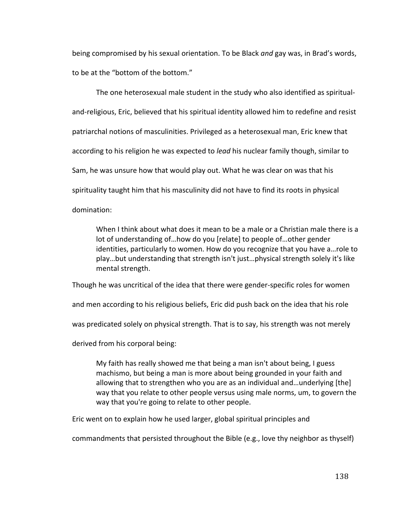being compromised by his sexual orientation. To be Black *and* gay was, in Brad's words, to be at the "bottom of the bottom."

The one heterosexual male student in the study who also identified as spiritualand-religious, Eric, believed that his spiritual identity allowed him to redefine and resist patriarchal notions of masculinities. Privileged as a heterosexual man, Eric knew that according to his religion he was expected to *lead* his nuclear family though, similar to Sam, he was unsure how that would play out. What he was clear on was that his spirituality taught him that his masculinity did not have to find its roots in physical domination: 

When I think about what does it mean to be a male or a Christian male there is a lot of understanding of...how do you [relate] to people of...other gender identities, particularly to women. How do you recognize that you have a...role to play…but understanding that strength isn't just…physical strength solely it's like mental strength.

Though he was uncritical of the idea that there were gender-specific roles for women

and men according to his religious beliefs, Eric did push back on the idea that his role

was predicated solely on physical strength. That is to say, his strength was not merely

derived from his corporal being:

My faith has really showed me that being a man isn't about being, I guess machismo, but being a man is more about being grounded in your faith and allowing that to strengthen who you are as an individual and...underlying [the] way that you relate to other people versus using male norms, um, to govern the way that you're going to relate to other people.

Eric went on to explain how he used larger, global spiritual principles and

commandments that persisted throughout the Bible (e.g., love thy neighbor as thyself)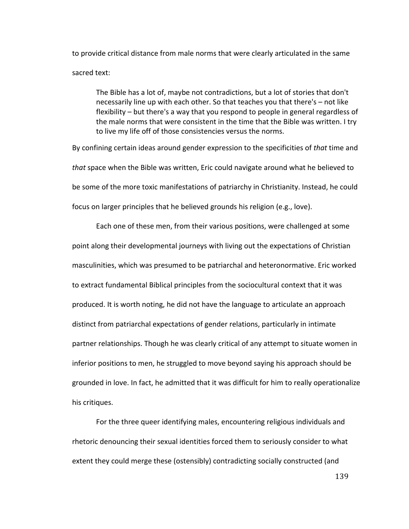to provide critical distance from male norms that were clearly articulated in the same sacred text:

The Bible has a lot of, maybe not contradictions, but a lot of stories that don't necessarily line up with each other. So that teaches you that there's  $-$  not like flexibility – but there's a way that you respond to people in general regardless of the male norms that were consistent in the time that the Bible was written. I try to live my life off of those consistencies versus the norms.

By confining certain ideas around gender expression to the specificities of *that* time and *that* space when the Bible was written, Eric could navigate around what he believed to be some of the more toxic manifestations of patriarchy in Christianity. Instead, he could focus on larger principles that he believed grounds his religion (e.g., love).

Each one of these men, from their various positions, were challenged at some point along their developmental journeys with living out the expectations of Christian masculinities, which was presumed to be patriarchal and heteronormative. Eric worked to extract fundamental Biblical principles from the sociocultural context that it was produced. It is worth noting, he did not have the language to articulate an approach distinct from patriarchal expectations of gender relations, particularly in intimate partner relationships. Though he was clearly critical of any attempt to situate women in inferior positions to men, he struggled to move beyond saying his approach should be grounded in love. In fact, he admitted that it was difficult for him to really operationalize his critiques.

For the three queer identifying males, encountering religious individuals and rhetoric denouncing their sexual identities forced them to seriously consider to what extent they could merge these (ostensibly) contradicting socially constructed (and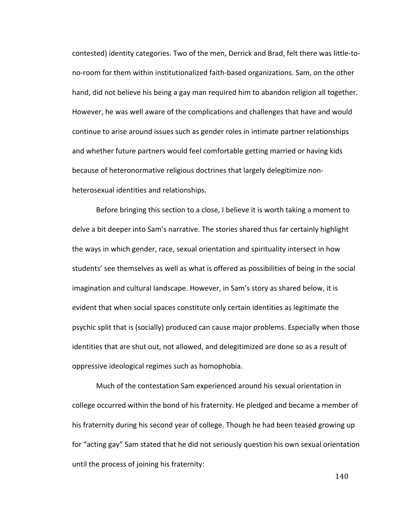contested) identity categories. Two of the men, Derrick and Brad, felt there was little-tono-room for them within institutionalized faith-based organizations. Sam, on the other hand, did not believe his being a gay man required him to abandon religion all together. However, he was well aware of the complications and challenges that have and would continue to arise around issues such as gender roles in intimate partner relationships and whether future partners would feel comfortable getting married or having kids because of heteronormative religious doctrines that largely delegitimize nonheterosexual identities and relationships.

Before bringing this section to a close, I believe it is worth taking a moment to delve a bit deeper into Sam's narrative. The stories shared thus far certainly highlight the ways in which gender, race, sexual orientation and spirituality intersect in how students' see themselves as well as what is offered as possibilities of being in the social imagination and cultural landscape. However, in Sam's story as shared below, it is evident that when social spaces constitute only certain identities as legitimate the psychic split that is (socially) produced can cause major problems. Especially when those identities that are shut out, not allowed, and delegitimized are done so as a result of oppressive ideological regimes such as homophobia.

Much of the contestation Sam experienced around his sexual orientation in college occurred within the bond of his fraternity. He pledged and became a member of his fraternity during his second year of college. Though he had been teased growing up for "acting gay" Sam stated that he did not seriously question his own sexual orientation until the process of joining his fraternity: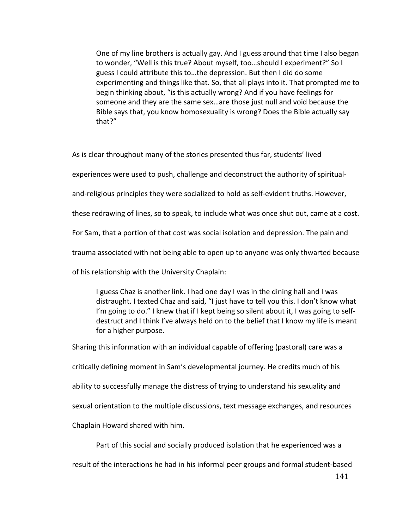One of my line brothers is actually gay. And I guess around that time I also began to wonder, "Well is this true? About myself, too...should I experiment?" So I guess I could attribute this to...the depression. But then I did do some experimenting and things like that. So, that all plays into it. That prompted me to begin thinking about, "is this actually wrong? And if you have feelings for someone and they are the same sex...are those just null and void because the Bible says that, you know homosexuality is wrong? Does the Bible actually say that?"

As is clear throughout many of the stories presented thus far, students' lived

experiences were used to push, challenge and deconstruct the authority of spiritual-

and-religious principles they were socialized to hold as self-evident truths. However,

these redrawing of lines, so to speak, to include what was once shut out, came at a cost.

For Sam, that a portion of that cost was social isolation and depression. The pain and

trauma associated with not being able to open up to anyone was only thwarted because

of his relationship with the University Chaplain:

I guess Chaz is another link. I had one day I was in the dining hall and I was distraught. I texted Chaz and said, "I just have to tell you this. I don't know what I'm going to do." I knew that if I kept being so silent about it, I was going to selfdestruct and I think I've always held on to the belief that I know my life is meant for a higher purpose.

Sharing this information with an individual capable of offering (pastoral) care was a critically defining moment in Sam's developmental journey. He credits much of his ability to successfully manage the distress of trying to understand his sexuality and sexual orientation to the multiple discussions, text message exchanges, and resources Chaplain Howard shared with him.

Part of this social and socially produced isolation that he experienced was a

result of the interactions he had in his informal peer groups and formal student-based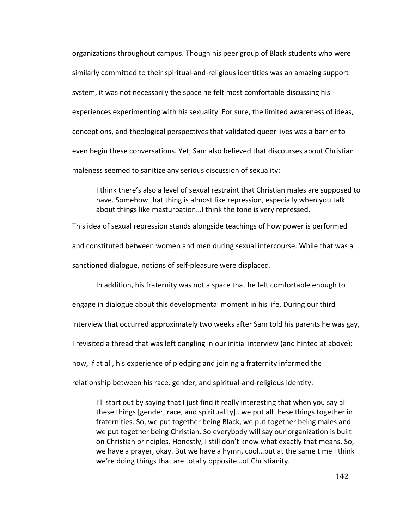organizations throughout campus. Though his peer group of Black students who were similarly committed to their spiritual-and-religious identities was an amazing support system, it was not necessarily the space he felt most comfortable discussing his experiences experimenting with his sexuality. For sure, the limited awareness of ideas, conceptions, and theological perspectives that validated queer lives was a barrier to even begin these conversations. Yet, Sam also believed that discourses about Christian maleness seemed to sanitize any serious discussion of sexuality:

I think there's also a level of sexual restraint that Christian males are supposed to have. Somehow that thing is almost like repression, especially when you talk about things like masturbation...I think the tone is very repressed.

This idea of sexual repression stands alongside teachings of how power is performed and constituted between women and men during sexual intercourse. While that was a sanctioned dialogue, notions of self-pleasure were displaced.

In addition, his fraternity was not a space that he felt comfortable enough to

engage in dialogue about this developmental moment in his life. During our third

interview that occurred approximately two weeks after Sam told his parents he was gay,

I revisited a thread that was left dangling in our initial interview (and hinted at above):

how, if at all, his experience of pledging and joining a fraternity informed the

relationship between his race, gender, and spiritual-and-religious identity:

I'll start out by saying that I just find it really interesting that when you say all these things [gender, race, and spirituality]…we put all these things together in fraternities. So, we put together being Black, we put together being males and we put together being Christian. So everybody will say our organization is built on Christian principles. Honestly, I still don't know what exactly that means. So, we have a prayer, okay. But we have a hymn, cool...but at the same time I think we're doing things that are totally opposite...of Christianity.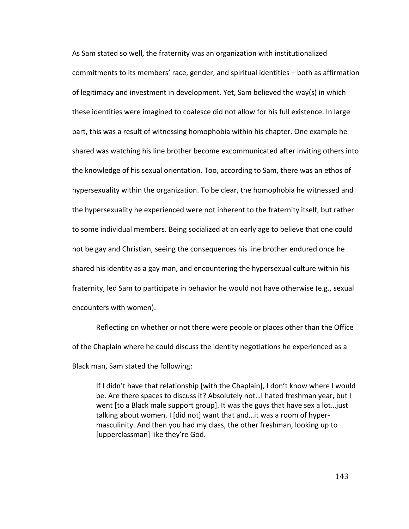As Sam stated so well, the fraternity was an organization with institutionalized commitments to its members' race, gender, and spiritual identities – both as affirmation of legitimacy and investment in development. Yet, Sam believed the way(s) in which these identities were imagined to coalesce did not allow for his full existence. In large part, this was a result of witnessing homophobia within his chapter. One example he shared was watching his line brother become excommunicated after inviting others into the knowledge of his sexual orientation. Too, according to Sam, there was an ethos of hypersexuality within the organization. To be clear, the homophobia he witnessed and the hypersexuality he experienced were not inherent to the fraternity itself, but rather to some individual members. Being socialized at an early age to believe that one could not be gay and Christian, seeing the consequences his line brother endured once he shared his identity as a gay man, and encountering the hypersexual culture within his fraternity, led Sam to participate in behavior he would not have otherwise (e.g., sexual encounters with women).

Reflecting on whether or not there were people or places other than the Office of the Chaplain where he could discuss the identity negotiations he experienced as a Black man, Sam stated the following:

If I didn't have that relationship [with the Chaplain], I don't know where I would be. Are there spaces to discuss it? Absolutely not...I hated freshman year, but I went [to a Black male support group]. It was the guys that have sex a lot…just talking about women. I [did not] want that and...it was a room of hypermasculinity. And then you had my class, the other freshman, looking up to [upperclassman] like they're God.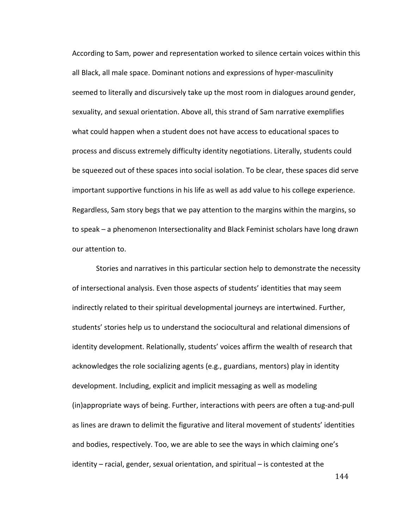According to Sam, power and representation worked to silence certain voices within this all Black, all male space. Dominant notions and expressions of hyper-masculinity seemed to literally and discursively take up the most room in dialogues around gender, sexuality, and sexual orientation. Above all, this strand of Sam narrative exemplifies what could happen when a student does not have access to educational spaces to process and discuss extremely difficulty identity negotiations. Literally, students could be squeezed out of these spaces into social isolation. To be clear, these spaces did serve important supportive functions in his life as well as add value to his college experience. Regardless, Sam story begs that we pay attention to the margins within the margins, so to speak – a phenomenon Intersectionality and Black Feminist scholars have long drawn our attention to.

Stories and narratives in this particular section help to demonstrate the necessity of intersectional analysis. Even those aspects of students' identities that may seem indirectly related to their spiritual developmental journeys are intertwined. Further, students' stories help us to understand the sociocultural and relational dimensions of identity development. Relationally, students' voices affirm the wealth of research that acknowledges the role socializing agents (e.g., guardians, mentors) play in identity development. Including, explicit and implicit messaging as well as modeling (in)appropriate ways of being. Further, interactions with peers are often a tug-and-pull as lines are drawn to delimit the figurative and literal movement of students' identities and bodies, respectively. Too, we are able to see the ways in which claiming one's  $identity$  – racial, gender, sexual orientation, and spiritual – is contested at the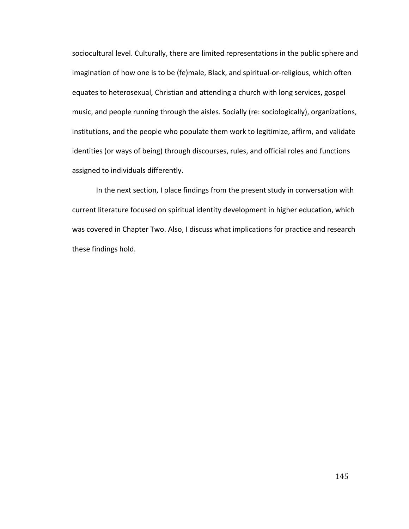sociocultural level. Culturally, there are limited representations in the public sphere and imagination of how one is to be (fe)male, Black, and spiritual-or-religious, which often equates to heterosexual, Christian and attending a church with long services, gospel music, and people running through the aisles. Socially (re: sociologically), organizations, institutions, and the people who populate them work to legitimize, affirm, and validate identities (or ways of being) through discourses, rules, and official roles and functions assigned to individuals differently.

In the next section, I place findings from the present study in conversation with current literature focused on spiritual identity development in higher education, which was covered in Chapter Two. Also, I discuss what implications for practice and research these findings hold.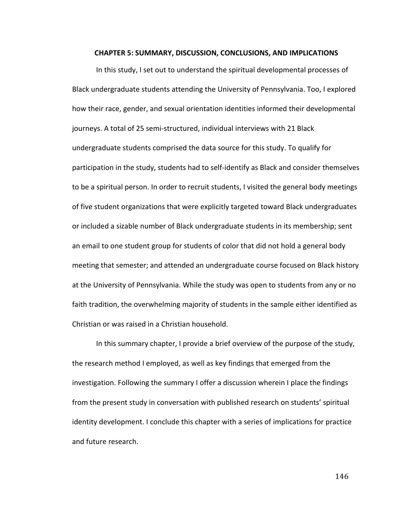### **CHAPTER 5: SUMMARY, DISCUSSION, CONCLUSIONS, AND IMPLICATIONS**

In this study, I set out to understand the spiritual developmental processes of Black undergraduate students attending the University of Pennsylvania. Too, I explored how their race, gender, and sexual orientation identities informed their developmental journeys. A total of 25 semi-structured, individual interviews with 21 Black undergraduate students comprised the data source for this study. To qualify for participation in the study, students had to self-identify as Black and consider themselves to be a spiritual person. In order to recruit students, I visited the general body meetings of five student organizations that were explicitly targeted toward Black undergraduates or included a sizable number of Black undergraduate students in its membership; sent an email to one student group for students of color that did not hold a general body meeting that semester; and attended an undergraduate course focused on Black history at the University of Pennsylvania. While the study was open to students from any or no faith tradition, the overwhelming majority of students in the sample either identified as Christian or was raised in a Christian household.

In this summary chapter, I provide a brief overview of the purpose of the study, the research method I employed, as well as key findings that emerged from the investigation. Following the summary I offer a discussion wherein I place the findings from the present study in conversation with published research on students' spiritual identity development. I conclude this chapter with a series of implications for practice and future research.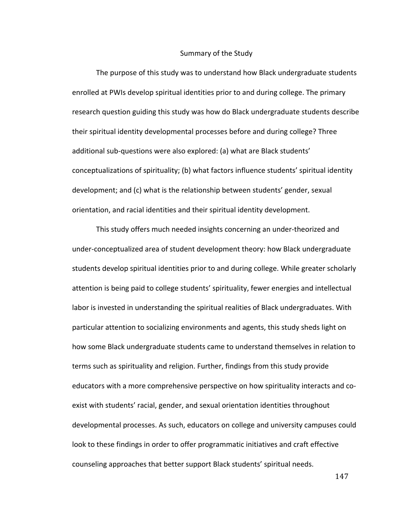#### Summary of the Study

The purpose of this study was to understand how Black undergraduate students enrolled at PWIs develop spiritual identities prior to and during college. The primary research question guiding this study was how do Black undergraduate students describe their spiritual identity developmental processes before and during college? Three additional sub-questions were also explored: (a) what are Black students' conceptualizations of spirituality; (b) what factors influence students' spiritual identity development; and (c) what is the relationship between students' gender, sexual orientation, and racial identities and their spiritual identity development.

This study offers much needed insights concerning an under-theorized and under-conceptualized area of student development theory: how Black undergraduate students develop spiritual identities prior to and during college. While greater scholarly attention is being paid to college students' spirituality, fewer energies and intellectual labor is invested in understanding the spiritual realities of Black undergraduates. With particular attention to socializing environments and agents, this study sheds light on how some Black undergraduate students came to understand themselves in relation to terms such as spirituality and religion. Further, findings from this study provide educators with a more comprehensive perspective on how spirituality interacts and coexist with students' racial, gender, and sexual orientation identities throughout developmental processes. As such, educators on college and university campuses could look to these findings in order to offer programmatic initiatives and craft effective counseling approaches that better support Black students' spiritual needs.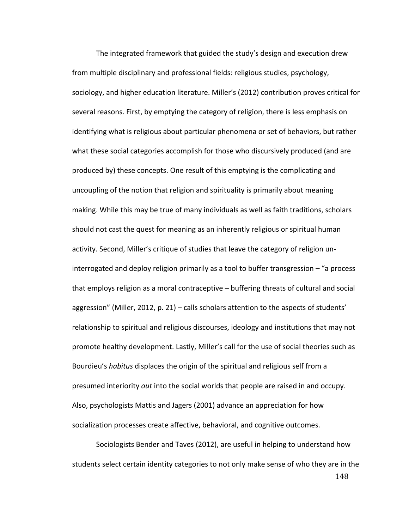The integrated framework that guided the study's design and execution drew from multiple disciplinary and professional fields: religious studies, psychology, sociology, and higher education literature. Miller's (2012) contribution proves critical for several reasons. First, by emptying the category of religion, there is less emphasis on identifying what is religious about particular phenomena or set of behaviors, but rather what these social categories accomplish for those who discursively produced (and are produced by) these concepts. One result of this emptying is the complicating and uncoupling of the notion that religion and spirituality is primarily about meaning making. While this may be true of many individuals as well as faith traditions, scholars should not cast the quest for meaning as an inherently religious or spiritual human activity. Second, Miller's critique of studies that leave the category of religion uninterrogated and deploy religion primarily as a tool to buffer transgression  $-$  "a process that employs religion as a moral contraceptive - buffering threats of cultural and social aggression" (Miller, 2012, p. 21) – calls scholars attention to the aspects of students' relationship to spiritual and religious discourses, ideology and institutions that may not promote healthy development. Lastly, Miller's call for the use of social theories such as Bourdieu's *habitus* displaces the origin of the spiritual and religious self from a presumed interiority *out* into the social worlds that people are raised in and occupy. Also, psychologists Mattis and Jagers (2001) advance an appreciation for how socialization processes create affective, behavioral, and cognitive outcomes.

148 Sociologists Bender and Taves (2012), are useful in helping to understand how students select certain identity categories to not only make sense of who they are in the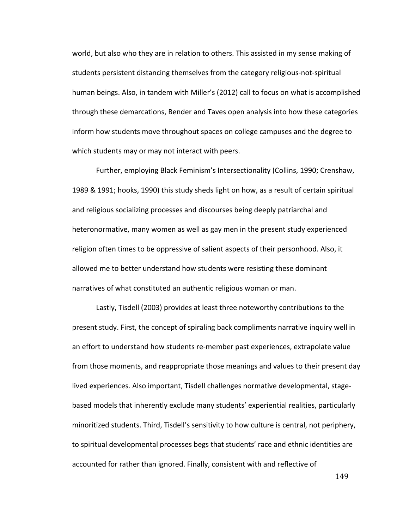world, but also who they are in relation to others. This assisted in my sense making of students persistent distancing themselves from the category religious-not-spiritual human beings. Also, in tandem with Miller's (2012) call to focus on what is accomplished through these demarcations, Bender and Taves open analysis into how these categories inform how students move throughout spaces on college campuses and the degree to which students may or may not interact with peers.

Further, employing Black Feminism's Intersectionality (Collins, 1990; Crenshaw, 1989 & 1991; hooks, 1990) this study sheds light on how, as a result of certain spiritual and religious socializing processes and discourses being deeply patriarchal and heteronormative, many women as well as gay men in the present study experienced religion often times to be oppressive of salient aspects of their personhood. Also, it allowed me to better understand how students were resisting these dominant narratives of what constituted an authentic religious woman or man.

Lastly, Tisdell (2003) provides at least three noteworthy contributions to the present study. First, the concept of spiraling back compliments narrative inquiry well in an effort to understand how students re-member past experiences, extrapolate value from those moments, and reappropriate those meanings and values to their present day lived experiences. Also important, Tisdell challenges normative developmental, stagebased models that inherently exclude many students' experiential realities, particularly minoritized students. Third, Tisdell's sensitivity to how culture is central, not periphery, to spiritual developmental processes begs that students' race and ethnic identities are accounted for rather than ignored. Finally, consistent with and reflective of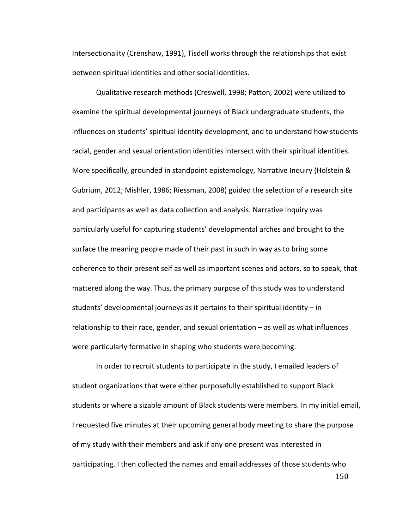Intersectionality (Crenshaw, 1991), Tisdell works through the relationships that exist between spiritual identities and other social identities.

Qualitative research methods (Creswell, 1998; Patton, 2002) were utilized to examine the spiritual developmental journeys of Black undergraduate students, the influences on students' spiritual identity development, and to understand how students racial, gender and sexual orientation identities intersect with their spiritual identities. More specifically, grounded in standpoint epistemology, Narrative Inquiry (Holstein & Gubrium, 2012; Mishler, 1986; Riessman, 2008) guided the selection of a research site and participants as well as data collection and analysis. Narrative Inquiry was particularly useful for capturing students' developmental arches and brought to the surface the meaning people made of their past in such in way as to bring some coherence to their present self as well as important scenes and actors, so to speak, that mattered along the way. Thus, the primary purpose of this study was to understand students' developmental journeys as it pertains to their spiritual identity  $-$  in relationship to their race, gender, and sexual orientation  $-$  as well as what influences were particularly formative in shaping who students were becoming.

150 In order to recruit students to participate in the study, I emailed leaders of student organizations that were either purposefully established to support Black students or where a sizable amount of Black students were members. In my initial email, I requested five minutes at their upcoming general body meeting to share the purpose of my study with their members and ask if any one present was interested in participating. I then collected the names and email addresses of those students who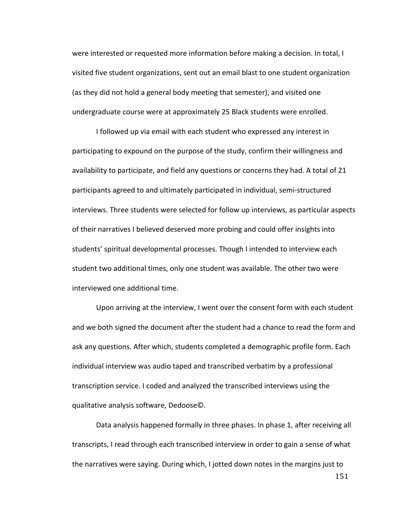were interested or requested more information before making a decision. In total, I visited five student organizations, sent out an email blast to one student organization (as they did not hold a general body meeting that semester), and visited one undergraduate course were at approximately 25 Black students were enrolled.

I followed up via email with each student who expressed any interest in participating to expound on the purpose of the study, confirm their willingness and availability to participate, and field any questions or concerns they had. A total of 21 participants agreed to and ultimately participated in individual, semi-structured interviews. Three students were selected for follow up interviews, as particular aspects of their narratives I believed deserved more probing and could offer insights into students' spiritual developmental processes. Though I intended to interview each student two additional times, only one student was available. The other two were interviewed one additional time.

Upon arriving at the interview, I went over the consent form with each student and we both signed the document after the student had a chance to read the form and ask any questions. After which, students completed a demographic profile form. Each individual interview was audio taped and transcribed verbatim by a professional transcription service. I coded and analyzed the transcribed interviews using the qualitative analysis software, Dedoose©.

Data analysis happened formally in three phases. In phase 1, after receiving all transcripts, I read through each transcribed interview in order to gain a sense of what the narratives were saying. During which, I jotted down notes in the margins just to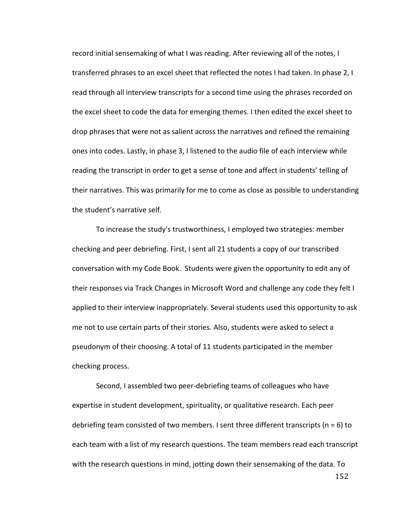record initial sensemaking of what I was reading. After reviewing all of the notes, I transferred phrases to an excel sheet that reflected the notes I had taken. In phase 2, I read through all interview transcripts for a second time using the phrases recorded on the excel sheet to code the data for emerging themes. I then edited the excel sheet to drop phrases that were not as salient across the narratives and refined the remaining ones into codes. Lastly, in phase 3, I listened to the audio file of each interview while reading the transcript in order to get a sense of tone and affect in students' telling of their narratives. This was primarily for me to come as close as possible to understanding the student's narrative self.

To increase the study's trustworthiness, I employed two strategies: member checking and peer debriefing. First, I sent all 21 students a copy of our transcribed conversation with my Code Book. Students were given the opportunity to edit any of their responses via Track Changes in Microsoft Word and challenge any code they felt  $\Gamma$ applied to their interview inappropriately. Several students used this opportunity to ask me not to use certain parts of their stories. Also, students were asked to select a pseudonym of their choosing. A total of 11 students participated in the member checking process.

152 Second, I assembled two peer-debriefing teams of colleagues who have expertise in student development, spirituality, or qualitative research. Each peer debriefing team consisted of two members. I sent three different transcripts ( $n = 6$ ) to each team with a list of my research questions. The team members read each transcript with the research questions in mind, jotting down their sensemaking of the data. To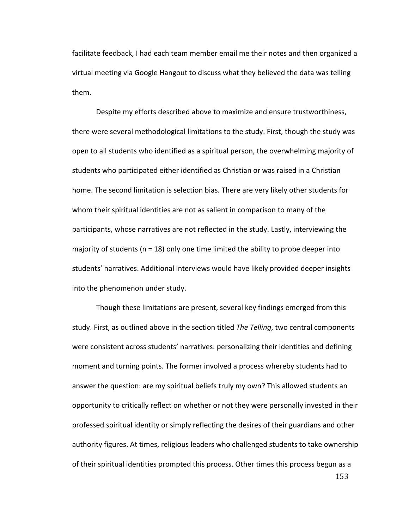facilitate feedback, I had each team member email me their notes and then organized a virtual meeting via Google Hangout to discuss what they believed the data was telling them. 

Despite my efforts described above to maximize and ensure trustworthiness, there were several methodological limitations to the study. First, though the study was open to all students who identified as a spiritual person, the overwhelming majority of students who participated either identified as Christian or was raised in a Christian home. The second limitation is selection bias. There are very likely other students for whom their spiritual identities are not as salient in comparison to many of the participants, whose narratives are not reflected in the study. Lastly, interviewing the majority of students ( $n = 18$ ) only one time limited the ability to probe deeper into students' narratives. Additional interviews would have likely provided deeper insights into the phenomenon under study.

Though these limitations are present, several key findings emerged from this study. First, as outlined above in the section titled *The Telling*, two central components were consistent across students' narratives: personalizing their identities and defining moment and turning points. The former involved a process whereby students had to answer the question: are my spiritual beliefs truly my own? This allowed students an opportunity to critically reflect on whether or not they were personally invested in their professed spiritual identity or simply reflecting the desires of their guardians and other authority figures. At times, religious leaders who challenged students to take ownership of their spiritual identities prompted this process. Other times this process begun as a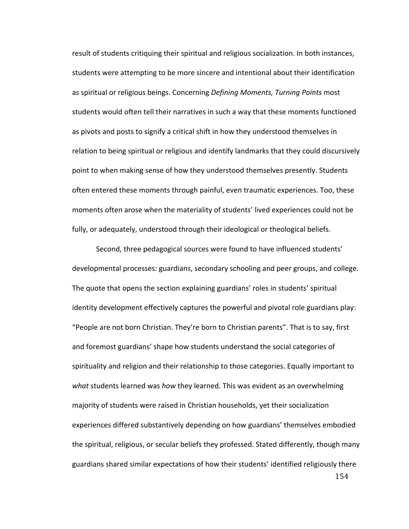result of students critiquing their spiritual and religious socialization. In both instances, students were attempting to be more sincere and intentional about their identification as spiritual or religious beings. Concerning *Defining Moments, Turning Points* most students would often tell their narratives in such a way that these moments functioned as pivots and posts to signify a critical shift in how they understood themselves in relation to being spiritual or religious and identify landmarks that they could discursively point to when making sense of how they understood themselves presently. Students often entered these moments through painful, even traumatic experiences. Too, these moments often arose when the materiality of students' lived experiences could not be fully, or adequately, understood through their ideological or theological beliefs.

Second, three pedagogical sources were found to have influenced students' developmental processes: guardians, secondary schooling and peer groups, and college. The quote that opens the section explaining guardians' roles in students' spiritual identity development effectively captures the powerful and pivotal role guardians play: "People are not born Christian. They're born to Christian parents". That is to say, first and foremost guardians' shape how students understand the social categories of spirituality and religion and their relationship to those categories. Equally important to what students learned was how they learned. This was evident as an overwhelming majority of students were raised in Christian households, yet their socialization experiences differed substantively depending on how guardians' themselves embodied the spiritual, religious, or secular beliefs they professed. Stated differently, though many guardians shared similar expectations of how their students' identified religiously there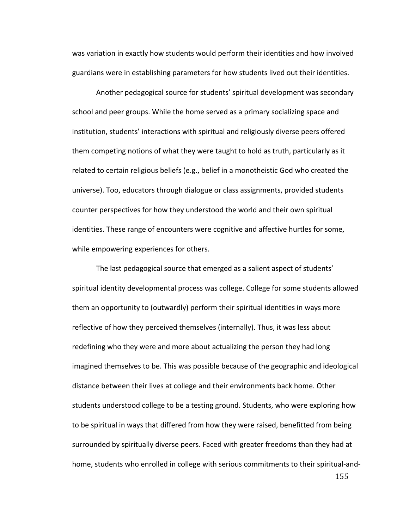was variation in exactly how students would perform their identities and how involved guardians were in establishing parameters for how students lived out their identities.

Another pedagogical source for students' spiritual development was secondary school and peer groups. While the home served as a primary socializing space and institution, students' interactions with spiritual and religiously diverse peers offered them competing notions of what they were taught to hold as truth, particularly as it related to certain religious beliefs (e.g., belief in a monotheistic God who created the universe). Too, educators through dialogue or class assignments, provided students counter perspectives for how they understood the world and their own spiritual identities. These range of encounters were cognitive and affective hurtles for some, while empowering experiences for others.

The last pedagogical source that emerged as a salient aspect of students' spiritual identity developmental process was college. College for some students allowed them an opportunity to (outwardly) perform their spiritual identities in ways more reflective of how they perceived themselves (internally). Thus, it was less about redefining who they were and more about actualizing the person they had long imagined themselves to be. This was possible because of the geographic and ideological distance between their lives at college and their environments back home. Other students understood college to be a testing ground. Students, who were exploring how to be spiritual in ways that differed from how they were raised, benefitted from being surrounded by spiritually diverse peers. Faced with greater freedoms than they had at home, students who enrolled in college with serious commitments to their spiritual-and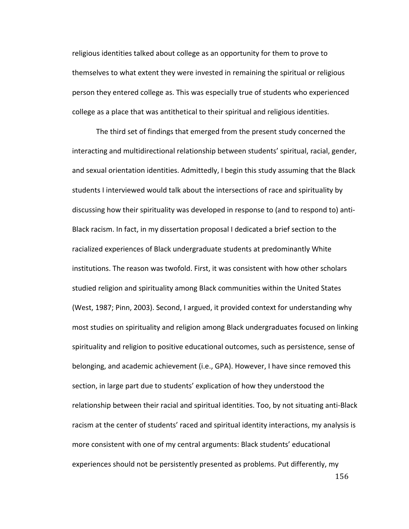religious identities talked about college as an opportunity for them to prove to themselves to what extent they were invested in remaining the spiritual or religious person they entered college as. This was especially true of students who experienced college as a place that was antithetical to their spiritual and religious identities.

The third set of findings that emerged from the present study concerned the interacting and multidirectional relationship between students' spiritual, racial, gender, and sexual orientation identities. Admittedly, I begin this study assuming that the Black students I interviewed would talk about the intersections of race and spirituality by discussing how their spirituality was developed in response to (and to respond to) anti-Black racism. In fact, in my dissertation proposal I dedicated a brief section to the racialized experiences of Black undergraduate students at predominantly White institutions. The reason was twofold. First, it was consistent with how other scholars studied religion and spirituality among Black communities within the United States (West, 1987; Pinn, 2003). Second, I argued, it provided context for understanding why most studies on spirituality and religion among Black undergraduates focused on linking spirituality and religion to positive educational outcomes, such as persistence, sense of belonging, and academic achievement (i.e., GPA). However, I have since removed this section, in large part due to students' explication of how they understood the relationship between their racial and spiritual identities. Too, by not situating anti-Black racism at the center of students' raced and spiritual identity interactions, my analysis is more consistent with one of my central arguments: Black students' educational experiences should not be persistently presented as problems. Put differently, my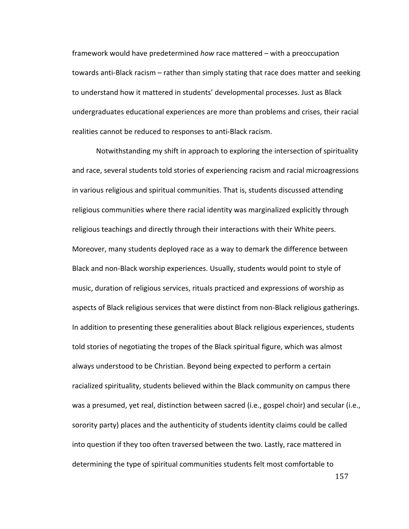framework would have predetermined *how* race mattered – with a preoccupation towards anti-Black racism – rather than simply stating that race does matter and seeking to understand how it mattered in students' developmental processes. Just as Black undergraduates educational experiences are more than problems and crises, their racial realities cannot be reduced to responses to anti-Black racism.

Notwithstanding my shift in approach to exploring the intersection of spirituality and race, several students told stories of experiencing racism and racial microagressions in various religious and spiritual communities. That is, students discussed attending religious communities where there racial identity was marginalized explicitly through religious teachings and directly through their interactions with their White peers. Moreover, many students deployed race as a way to demark the difference between Black and non-Black worship experiences. Usually, students would point to style of music, duration of religious services, rituals practiced and expressions of worship as aspects of Black religious services that were distinct from non-Black religious gatherings. In addition to presenting these generalities about Black religious experiences, students told stories of negotiating the tropes of the Black spiritual figure, which was almost always understood to be Christian. Beyond being expected to perform a certain racialized spirituality, students believed within the Black community on campus there was a presumed, yet real, distinction between sacred (i.e., gospel choir) and secular (i.e., sorority party) places and the authenticity of students identity claims could be called into question if they too often traversed between the two. Lastly, race mattered in determining the type of spiritual communities students felt most comfortable to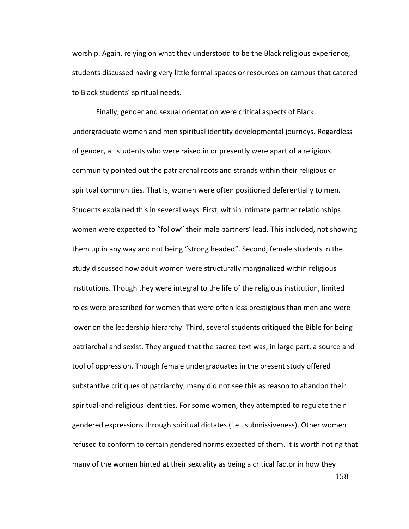worship. Again, relying on what they understood to be the Black religious experience, students discussed having very little formal spaces or resources on campus that catered to Black students' spiritual needs.

Finally, gender and sexual orientation were critical aspects of Black undergraduate women and men spiritual identity developmental journeys. Regardless of gender, all students who were raised in or presently were apart of a religious community pointed out the patriarchal roots and strands within their religious or spiritual communities. That is, women were often positioned deferentially to men. Students explained this in several ways. First, within intimate partner relationships women were expected to "follow" their male partners' lead. This included, not showing them up in any way and not being "strong headed". Second, female students in the study discussed how adult women were structurally marginalized within religious institutions. Though they were integral to the life of the religious institution, limited roles were prescribed for women that were often less prestigious than men and were lower on the leadership hierarchy. Third, several students critiqued the Bible for being patriarchal and sexist. They argued that the sacred text was, in large part, a source and tool of oppression. Though female undergraduates in the present study offered substantive critiques of patriarchy, many did not see this as reason to abandon their spiritual-and-religious identities. For some women, they attempted to regulate their gendered expressions through spiritual dictates (i.e., submissiveness). Other women refused to conform to certain gendered norms expected of them. It is worth noting that many of the women hinted at their sexuality as being a critical factor in how they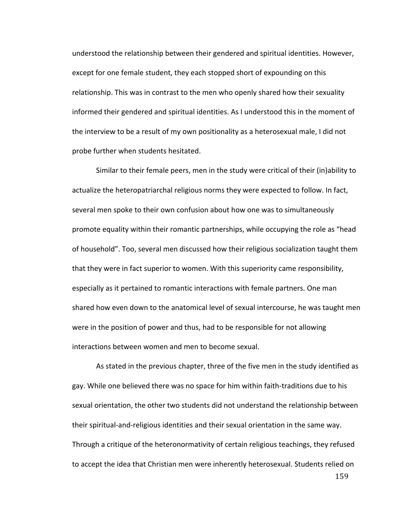understood the relationship between their gendered and spiritual identities. However, except for one female student, they each stopped short of expounding on this relationship. This was in contrast to the men who openly shared how their sexuality informed their gendered and spiritual identities. As I understood this in the moment of the interview to be a result of my own positionality as a heterosexual male, I did not probe further when students hesitated.

Similar to their female peers, men in the study were critical of their (in)ability to actualize the heteropatriarchal religious norms they were expected to follow. In fact, several men spoke to their own confusion about how one was to simultaneously promote equality within their romantic partnerships, while occupying the role as "head of household". Too, several men discussed how their religious socialization taught them that they were in fact superior to women. With this superiority came responsibility, especially as it pertained to romantic interactions with female partners. One man shared how even down to the anatomical level of sexual intercourse, he was taught men were in the position of power and thus, had to be responsible for not allowing interactions between women and men to become sexual.

As stated in the previous chapter, three of the five men in the study identified as gay. While one believed there was no space for him within faith-traditions due to his sexual orientation, the other two students did not understand the relationship between their spiritual-and-religious identities and their sexual orientation in the same way. Through a critique of the heteronormativity of certain religious teachings, they refused to accept the idea that Christian men were inherently heterosexual. Students relied on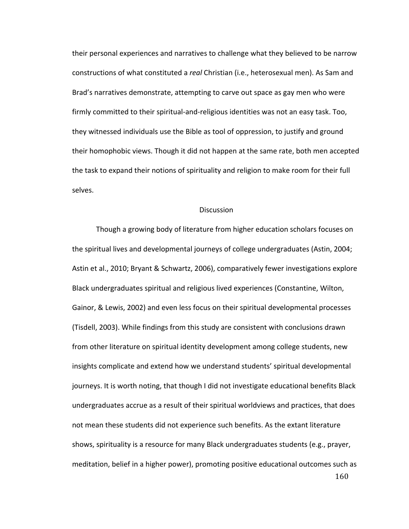their personal experiences and narratives to challenge what they believed to be narrow constructions of what constituted a *real* Christian (i.e., heterosexual men). As Sam and Brad's narratives demonstrate, attempting to carve out space as gay men who were firmly committed to their spiritual-and-religious identities was not an easy task. Too, they witnessed individuals use the Bible as tool of oppression, to justify and ground their homophobic views. Though it did not happen at the same rate, both men accepted the task to expand their notions of spirituality and religion to make room for their full selves. 

#### **Discussion**

Though a growing body of literature from higher education scholars focuses on the spiritual lives and developmental journeys of college undergraduates (Astin, 2004; Astin et al., 2010; Bryant & Schwartz, 2006), comparatively fewer investigations explore Black undergraduates spiritual and religious lived experiences (Constantine, Wilton, Gainor, & Lewis, 2002) and even less focus on their spiritual developmental processes (Tisdell, 2003). While findings from this study are consistent with conclusions drawn from other literature on spiritual identity development among college students, new insights complicate and extend how we understand students' spiritual developmental journeys. It is worth noting, that though I did not investigate educational benefits Black undergraduates accrue as a result of their spiritual worldviews and practices, that does not mean these students did not experience such benefits. As the extant literature shows, spirituality is a resource for many Black undergraduates students (e.g., prayer, meditation, belief in a higher power), promoting positive educational outcomes such as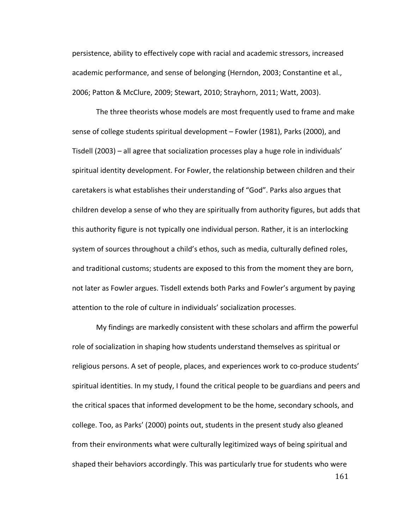persistence, ability to effectively cope with racial and academic stressors, increased academic performance, and sense of belonging (Herndon, 2003; Constantine et al., 2006; Patton & McClure, 2009; Stewart, 2010; Strayhorn, 2011; Watt, 2003).

The three theorists whose models are most frequently used to frame and make sense of college students spiritual development – Fowler (1981), Parks (2000), and Tisdell  $(2003)$  – all agree that socialization processes play a huge role in individuals' spiritual identity development. For Fowler, the relationship between children and their caretakers is what establishes their understanding of "God". Parks also argues that children develop a sense of who they are spiritually from authority figures, but adds that this authority figure is not typically one individual person. Rather, it is an interlocking system of sources throughout a child's ethos, such as media, culturally defined roles, and traditional customs; students are exposed to this from the moment they are born, not later as Fowler argues. Tisdell extends both Parks and Fowler's argument by paying attention to the role of culture in individuals' socialization processes.

161 My findings are markedly consistent with these scholars and affirm the powerful role of socialization in shaping how students understand themselves as spiritual or religious persons. A set of people, places, and experiences work to co-produce students' spiritual identities. In my study, I found the critical people to be guardians and peers and the critical spaces that informed development to be the home, secondary schools, and college. Too, as Parks' (2000) points out, students in the present study also gleaned from their environments what were culturally legitimized ways of being spiritual and shaped their behaviors accordingly. This was particularly true for students who were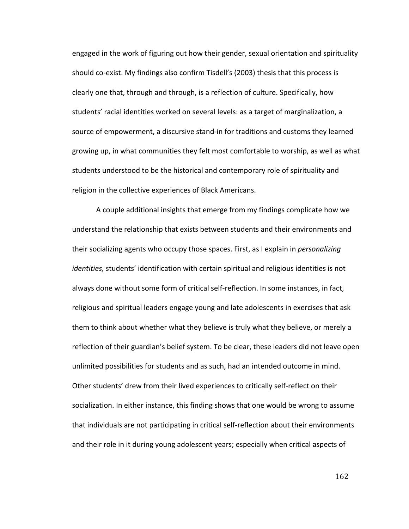engaged in the work of figuring out how their gender, sexual orientation and spirituality should co-exist. My findings also confirm Tisdell's (2003) thesis that this process is clearly one that, through and through, is a reflection of culture. Specifically, how students' racial identities worked on several levels: as a target of marginalization, a source of empowerment, a discursive stand-in for traditions and customs they learned growing up, in what communities they felt most comfortable to worship, as well as what students understood to be the historical and contemporary role of spirituality and religion in the collective experiences of Black Americans.

A couple additional insights that emerge from my findings complicate how we understand the relationship that exists between students and their environments and their socializing agents who occupy those spaces. First, as I explain in *personalizing identities*, students' identification with certain spiritual and religious identities is not always done without some form of critical self-reflection. In some instances, in fact, religious and spiritual leaders engage young and late adolescents in exercises that ask them to think about whether what they believe is truly what they believe, or merely a reflection of their guardian's belief system. To be clear, these leaders did not leave open unlimited possibilities for students and as such, had an intended outcome in mind. Other students' drew from their lived experiences to critically self-reflect on their socialization. In either instance, this finding shows that one would be wrong to assume that individuals are not participating in critical self-reflection about their environments and their role in it during young adolescent years; especially when critical aspects of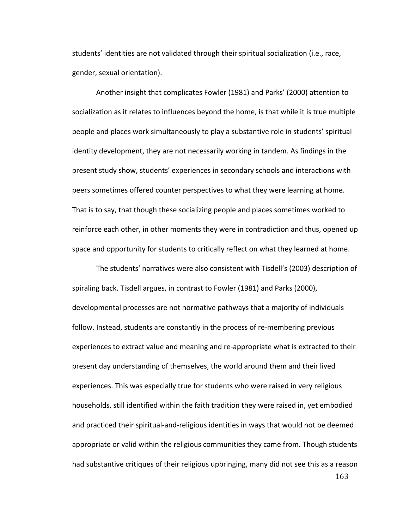students' identities are not validated through their spiritual socialization (i.e., race, gender, sexual orientation).

Another insight that complicates Fowler (1981) and Parks' (2000) attention to socialization as it relates to influences beyond the home, is that while it is true multiple people and places work simultaneously to play a substantive role in students' spiritual identity development, they are not necessarily working in tandem. As findings in the present study show, students' experiences in secondary schools and interactions with peers sometimes offered counter perspectives to what they were learning at home. That is to say, that though these socializing people and places sometimes worked to reinforce each other, in other moments they were in contradiction and thus, opened up space and opportunity for students to critically reflect on what they learned at home.

The students' narratives were also consistent with Tisdell's (2003) description of spiraling back. Tisdell argues, in contrast to Fowler (1981) and Parks (2000), developmental processes are not normative pathways that a majority of individuals follow. Instead, students are constantly in the process of re-membering previous experiences to extract value and meaning and re-appropriate what is extracted to their present day understanding of themselves, the world around them and their lived experiences. This was especially true for students who were raised in very religious households, still identified within the faith tradition they were raised in, yet embodied and practiced their spiritual-and-religious identities in ways that would not be deemed appropriate or valid within the religious communities they came from. Though students had substantive critiques of their religious upbringing, many did not see this as a reason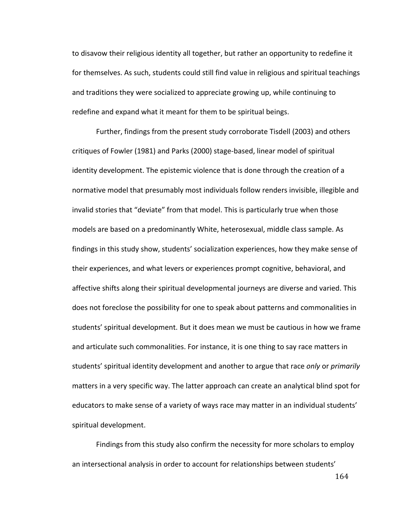to disavow their religious identity all together, but rather an opportunity to redefine it for themselves. As such, students could still find value in religious and spiritual teachings and traditions they were socialized to appreciate growing up, while continuing to redefine and expand what it meant for them to be spiritual beings.

Further, findings from the present study corroborate Tisdell (2003) and others critiques of Fowler (1981) and Parks (2000) stage-based, linear model of spiritual identity development. The epistemic violence that is done through the creation of a normative model that presumably most individuals follow renders invisible, illegible and invalid stories that "deviate" from that model. This is particularly true when those models are based on a predominantly White, heterosexual, middle class sample. As findings in this study show, students' socialization experiences, how they make sense of their experiences, and what levers or experiences prompt cognitive, behavioral, and affective shifts along their spiritual developmental journeys are diverse and varied. This does not foreclose the possibility for one to speak about patterns and commonalities in students' spiritual development. But it does mean we must be cautious in how we frame and articulate such commonalities. For instance, it is one thing to say race matters in students' spiritual identity development and another to argue that race *only* or *primarily* matters in a very specific way. The latter approach can create an analytical blind spot for educators to make sense of a variety of ways race may matter in an individual students' spiritual development.

Findings from this study also confirm the necessity for more scholars to employ an intersectional analysis in order to account for relationships between students'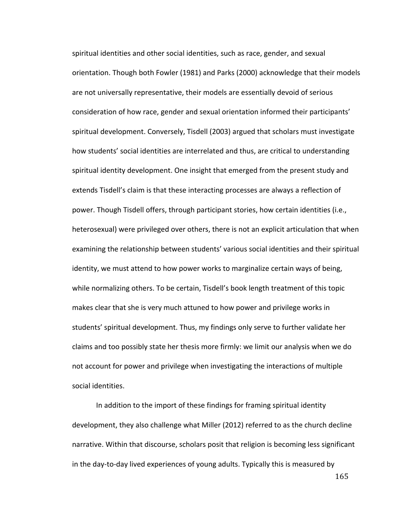spiritual identities and other social identities, such as race, gender, and sexual orientation. Though both Fowler (1981) and Parks (2000) acknowledge that their models are not universally representative, their models are essentially devoid of serious consideration of how race, gender and sexual orientation informed their participants' spiritual development. Conversely, Tisdell (2003) argued that scholars must investigate how students' social identities are interrelated and thus, are critical to understanding spiritual identity development. One insight that emerged from the present study and extends Tisdell's claim is that these interacting processes are always a reflection of power. Though Tisdell offers, through participant stories, how certain identities (i.e., heterosexual) were privileged over others, there is not an explicit articulation that when examining the relationship between students' various social identities and their spiritual identity, we must attend to how power works to marginalize certain ways of being, while normalizing others. To be certain, Tisdell's book length treatment of this topic makes clear that she is very much attuned to how power and privilege works in students' spiritual development. Thus, my findings only serve to further validate her claims and too possibly state her thesis more firmly: we limit our analysis when we do not account for power and privilege when investigating the interactions of multiple social identities.

In addition to the import of these findings for framing spiritual identity development, they also challenge what Miller (2012) referred to as the church decline narrative. Within that discourse, scholars posit that religion is becoming less significant in the day-to-day lived experiences of young adults. Typically this is measured by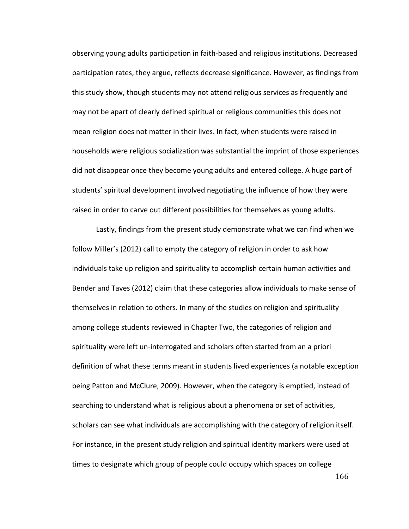observing young adults participation in faith-based and religious institutions. Decreased participation rates, they argue, reflects decrease significance. However, as findings from this study show, though students may not attend religious services as frequently and may not be apart of clearly defined spiritual or religious communities this does not mean religion does not matter in their lives. In fact, when students were raised in households were religious socialization was substantial the imprint of those experiences did not disappear once they become young adults and entered college. A huge part of students' spiritual development involved negotiating the influence of how they were raised in order to carve out different possibilities for themselves as young adults.

Lastly, findings from the present study demonstrate what we can find when we follow Miller's (2012) call to empty the category of religion in order to ask how individuals take up religion and spirituality to accomplish certain human activities and Bender and Taves (2012) claim that these categories allow individuals to make sense of themselves in relation to others. In many of the studies on religion and spirituality among college students reviewed in Chapter Two, the categories of religion and spirituality were left un-interrogated and scholars often started from an a priori definition of what these terms meant in students lived experiences (a notable exception being Patton and McClure, 2009). However, when the category is emptied, instead of searching to understand what is religious about a phenomena or set of activities, scholars can see what individuals are accomplishing with the category of religion itself. For instance, in the present study religion and spiritual identity markers were used at times to designate which group of people could occupy which spaces on college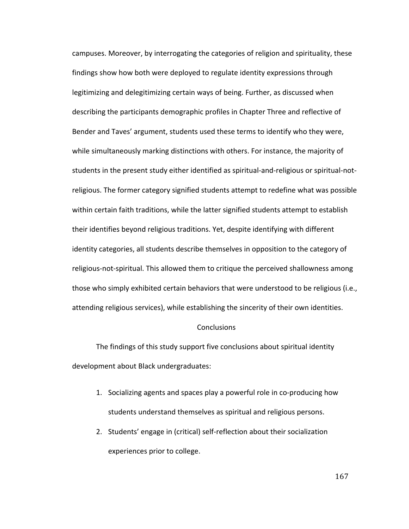campuses. Moreover, by interrogating the categories of religion and spirituality, these findings show how both were deployed to regulate identity expressions through legitimizing and delegitimizing certain ways of being. Further, as discussed when describing the participants demographic profiles in Chapter Three and reflective of Bender and Taves' argument, students used these terms to identify who they were, while simultaneously marking distinctions with others. For instance, the majority of students in the present study either identified as spiritual-and-religious or spiritual-notreligious. The former category signified students attempt to redefine what was possible within certain faith traditions, while the latter signified students attempt to establish their identifies beyond religious traditions. Yet, despite identifying with different identity categories, all students describe themselves in opposition to the category of religious-not-spiritual. This allowed them to critique the perceived shallowness among those who simply exhibited certain behaviors that were understood to be religious (i.e., attending religious services), while establishing the sincerity of their own identities.

# **Conclusions**

The findings of this study support five conclusions about spiritual identity development about Black undergraduates:

- 1. Socializing agents and spaces play a powerful role in co-producing how students understand themselves as spiritual and religious persons.
- 2. Students' engage in (critical) self-reflection about their socialization experiences prior to college.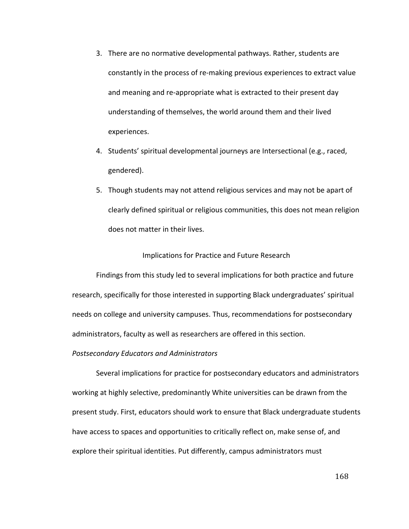- 3. There are no normative developmental pathways. Rather, students are constantly in the process of re-making previous experiences to extract value and meaning and re-appropriate what is extracted to their present day understanding of themselves, the world around them and their lived experiences.
- 4. Students' spiritual developmental journeys are Intersectional (e.g., raced, gendered).
- 5. Though students may not attend religious services and may not be apart of clearly defined spiritual or religious communities, this does not mean religion does not matter in their lives.

## Implications for Practice and Future Research

Findings from this study led to several implications for both practice and future research, specifically for those interested in supporting Black undergraduates' spiritual needs on college and university campuses. Thus, recommendations for postsecondary administrators, faculty as well as researchers are offered in this section.

# *Postsecondary Educators and Administrators*

Several implications for practice for postsecondary educators and administrators working at highly selective, predominantly White universities can be drawn from the present study. First, educators should work to ensure that Black undergraduate students have access to spaces and opportunities to critically reflect on, make sense of, and explore their spiritual identities. Put differently, campus administrators must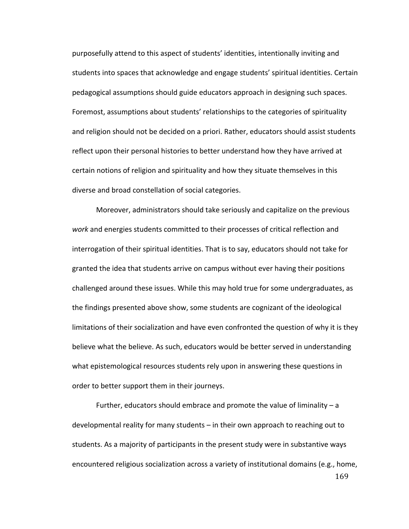purposefully attend to this aspect of students' identities, intentionally inviting and students into spaces that acknowledge and engage students' spiritual identities. Certain pedagogical assumptions should guide educators approach in designing such spaces. Foremost, assumptions about students' relationships to the categories of spirituality and religion should not be decided on a priori. Rather, educators should assist students reflect upon their personal histories to better understand how they have arrived at certain notions of religion and spirituality and how they situate themselves in this diverse and broad constellation of social categories.

Moreover, administrators should take seriously and capitalize on the previous *work* and energies students committed to their processes of critical reflection and interrogation of their spiritual identities. That is to say, educators should not take for granted the idea that students arrive on campus without ever having their positions challenged around these issues. While this may hold true for some undergraduates, as the findings presented above show, some students are cognizant of the ideological limitations of their socialization and have even confronted the question of why it is they believe what the believe. As such, educators would be better served in understanding what epistemological resources students rely upon in answering these questions in order to better support them in their journeys.

169 Further, educators should embrace and promote the value of liminality  $-a$ developmental reality for many students  $-$  in their own approach to reaching out to students. As a majority of participants in the present study were in substantive ways encountered religious socialization across a variety of institutional domains (e.g., home,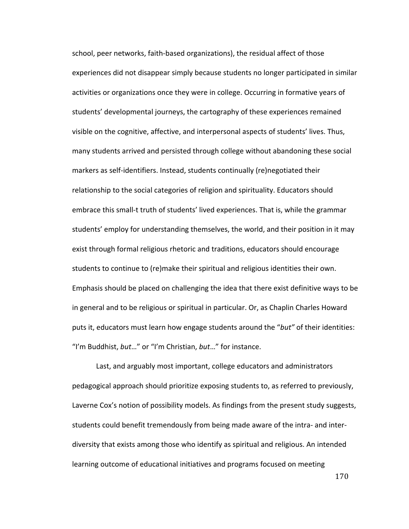school, peer networks, faith-based organizations), the residual affect of those experiences did not disappear simply because students no longer participated in similar activities or organizations once they were in college. Occurring in formative years of students' developmental journeys, the cartography of these experiences remained visible on the cognitive, affective, and interpersonal aspects of students' lives. Thus, many students arrived and persisted through college without abandoning these social markers as self-identifiers. Instead, students continually (re)negotiated their relationship to the social categories of religion and spirituality. Educators should embrace this small-t truth of students' lived experiences. That is, while the grammar students' employ for understanding themselves, the world, and their position in it may exist through formal religious rhetoric and traditions, educators should encourage students to continue to (re)make their spiritual and religious identities their own. Emphasis should be placed on challenging the idea that there exist definitive ways to be in general and to be religious or spiritual in particular. Or, as Chaplin Charles Howard puts it, educators must learn how engage students around the "*but"* of their identities: "I'm Buddhist, but..." or "I'm Christian, but..." for instance.

Last, and arguably most important, college educators and administrators pedagogical approach should prioritize exposing students to, as referred to previously, Laverne Cox's notion of possibility models. As findings from the present study suggests, students could benefit tremendously from being made aware of the intra- and interdiversity that exists among those who identify as spiritual and religious. An intended learning outcome of educational initiatives and programs focused on meeting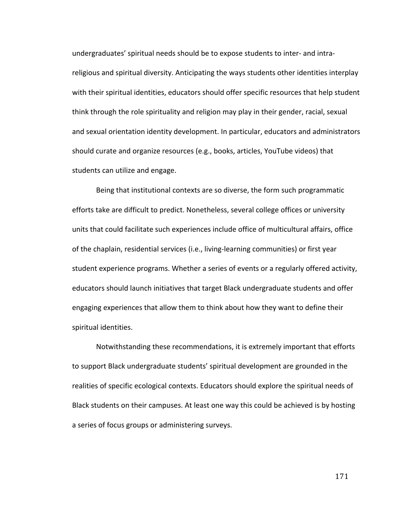undergraduates' spiritual needs should be to expose students to inter- and intrareligious and spiritual diversity. Anticipating the ways students other identities interplay with their spiritual identities, educators should offer specific resources that help student think through the role spirituality and religion may play in their gender, racial, sexual and sexual orientation identity development. In particular, educators and administrators should curate and organize resources (e.g., books, articles, YouTube videos) that students can utilize and engage.

Being that institutional contexts are so diverse, the form such programmatic efforts take are difficult to predict. Nonetheless, several college offices or university units that could facilitate such experiences include office of multicultural affairs, office of the chaplain, residential services (i.e., living-learning communities) or first year student experience programs. Whether a series of events or a regularly offered activity, educators should launch initiatives that target Black undergraduate students and offer engaging experiences that allow them to think about how they want to define their spiritual identities.

Notwithstanding these recommendations, it is extremely important that efforts to support Black undergraduate students' spiritual development are grounded in the realities of specific ecological contexts. Educators should explore the spiritual needs of Black students on their campuses. At least one way this could be achieved is by hosting a series of focus groups or administering surveys.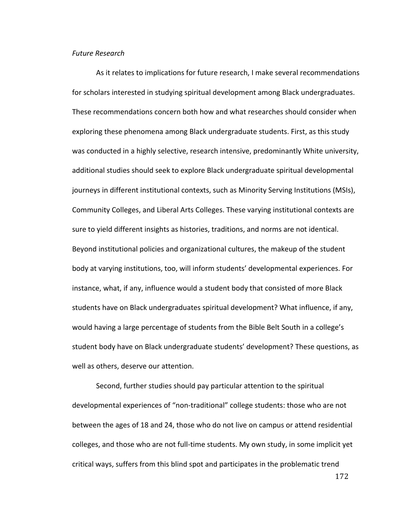## *Future Research*

As it relates to implications for future research, I make several recommendations for scholars interested in studying spiritual development among Black undergraduates. These recommendations concern both how and what researches should consider when exploring these phenomena among Black undergraduate students. First, as this study was conducted in a highly selective, research intensive, predominantly White university, additional studies should seek to explore Black undergraduate spiritual developmental journeys in different institutional contexts, such as Minority Serving Institutions (MSIs), Community Colleges, and Liberal Arts Colleges. These varying institutional contexts are sure to yield different insights as histories, traditions, and norms are not identical. Beyond institutional policies and organizational cultures, the makeup of the student body at varying institutions, too, will inform students' developmental experiences. For instance, what, if any, influence would a student body that consisted of more Black students have on Black undergraduates spiritual development? What influence, if any, would having a large percentage of students from the Bible Belt South in a college's student body have on Black undergraduate students' development? These questions, as well as others, deserve our attention.

Second, further studies should pay particular attention to the spiritual developmental experiences of "non-traditional" college students: those who are not between the ages of 18 and 24, those who do not live on campus or attend residential colleges, and those who are not full-time students. My own study, in some implicit yet critical ways, suffers from this blind spot and participates in the problematic trend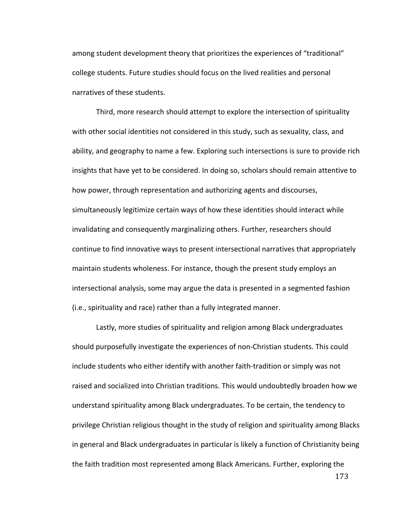among student development theory that prioritizes the experiences of "traditional" college students. Future studies should focus on the lived realities and personal narratives of these students.

Third, more research should attempt to explore the intersection of spirituality with other social identities not considered in this study, such as sexuality, class, and ability, and geography to name a few. Exploring such intersections is sure to provide rich insights that have yet to be considered. In doing so, scholars should remain attentive to how power, through representation and authorizing agents and discourses, simultaneously legitimize certain ways of how these identities should interact while invalidating and consequently marginalizing others. Further, researchers should continue to find innovative ways to present intersectional narratives that appropriately maintain students wholeness. For instance, though the present study employs an intersectional analysis, some may argue the data is presented in a segmented fashion (i.e., spirituality and race) rather than a fully integrated manner.

Lastly, more studies of spirituality and religion among Black undergraduates should purposefully investigate the experiences of non-Christian students. This could include students who either identify with another faith-tradition or simply was not raised and socialized into Christian traditions. This would undoubtedly broaden how we understand spirituality among Black undergraduates. To be certain, the tendency to privilege Christian religious thought in the study of religion and spirituality among Blacks in general and Black undergraduates in particular is likely a function of Christianity being the faith tradition most represented among Black Americans. Further, exploring the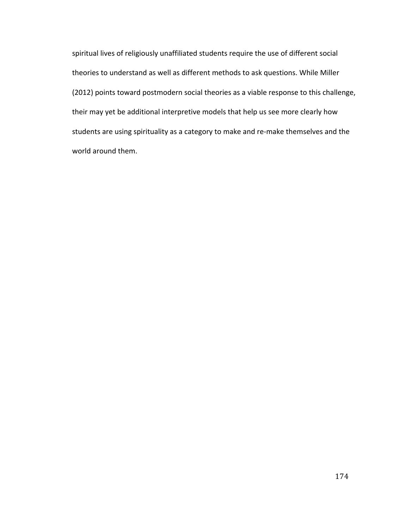spiritual lives of religiously unaffiliated students require the use of different social theories to understand as well as different methods to ask questions. While Miller (2012) points toward postmodern social theories as a viable response to this challenge, their may yet be additional interpretive models that help us see more clearly how students are using spirituality as a category to make and re-make themselves and the world around them.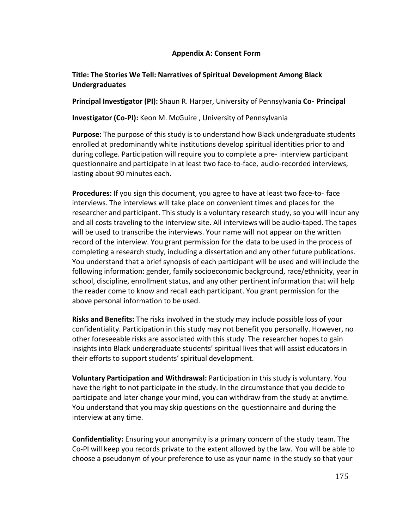## **Appendix A: Consent Form**

## **Title: The Stories We Tell: Narratives of Spiritual Development Among Black Undergraduates**

**Principal Investigator (PI):** Shaun R. Harper, University of Pennsylvania **Co- Principal**

**Investigator (Co-PI):** Keon M. McGuire , University of Pennsylvania

**Purpose:** The purpose of this study is to understand how Black undergraduate students enrolled at predominantly white institutions develop spiritual identities prior to and during college. Participation will require you to complete a pre- interview participant questionnaire and participate in at least two face-to-face, audio-recorded interviews, lasting about 90 minutes each.

**Procedures:** If you sign this document, you agree to have at least two face-to- face interviews. The interviews will take place on convenient times and places for the researcher and participant. This study is a voluntary research study, so you will incur any and all costs traveling to the interview site. All interviews will be audio-taped. The tapes will be used to transcribe the interviews. Your name will not appear on the written record of the interview. You grant permission for the data to be used in the process of completing a research study, including a dissertation and any other future publications. You understand that a brief synopsis of each participant will be used and will include the following information: gender, family socioeconomic background, race/ethnicity, year in school, discipline, enrollment status, and any other pertinent information that will help the reader come to know and recall each participant. You grant permission for the above personal information to be used.

**Risks and Benefits:** The risks involved in the study may include possible loss of your confidentiality. Participation in this study may not benefit you personally. However, no other foreseeable risks are associated with this study. The researcher hopes to gain insights into Black undergraduate students' spiritual lives that will assist educators in their efforts to support students' spiritual development.

**Voluntary Participation and Withdrawal:** Participation in this study is voluntary. You have the right to not participate in the study. In the circumstance that you decide to participate and later change your mind, you can withdraw from the study at anytime. You understand that you may skip questions on the questionnaire and during the interview at any time.

**Confidentiality:** Ensuring your anonymity is a primary concern of the study team. The Co-PI will keep you records private to the extent allowed by the law. You will be able to choose a pseudonym of your preference to use as your name in the study so that your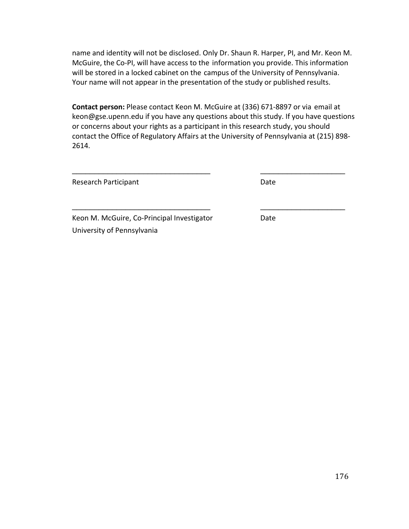name and identity will not be disclosed. Only Dr. Shaun R. Harper, PI, and Mr. Keon M. McGuire, the Co-PI, will have access to the information you provide. This information will be stored in a locked cabinet on the campus of the University of Pennsylvania. Your name will not appear in the presentation of the study or published results.

**Contact person:** Please contact Keon M. McGuire at (336) 671-8897 or via email at keon@gse.upenn.edu if you have any questions about this study. If you have questions or concerns about your rights as a participant in this research study, you should contact the Office of Regulatory Affairs at the University of Pennsylvania at (215) 898-2614.

 $\mathcal{L}_\text{max} = \frac{1}{2} \sum_{i=1}^{n} \frac{1}{2} \sum_{i=1}^{n} \frac{1}{2} \sum_{i=1}^{n} \frac{1}{2} \sum_{i=1}^{n} \frac{1}{2} \sum_{i=1}^{n} \frac{1}{2} \sum_{i=1}^{n} \frac{1}{2} \sum_{i=1}^{n} \frac{1}{2} \sum_{i=1}^{n} \frac{1}{2} \sum_{i=1}^{n} \frac{1}{2} \sum_{i=1}^{n} \frac{1}{2} \sum_{i=1}^{n} \frac{1}{2} \sum_{i=1}^{n} \frac{1$ 

 $\mathcal{L}_\text{max} = \frac{1}{2} \sum_{i=1}^{n} \frac{1}{2} \sum_{i=1}^{n} \frac{1}{2} \sum_{i=1}^{n} \frac{1}{2} \sum_{i=1}^{n} \frac{1}{2} \sum_{i=1}^{n} \frac{1}{2} \sum_{i=1}^{n} \frac{1}{2} \sum_{i=1}^{n} \frac{1}{2} \sum_{i=1}^{n} \frac{1}{2} \sum_{i=1}^{n} \frac{1}{2} \sum_{i=1}^{n} \frac{1}{2} \sum_{i=1}^{n} \frac{1}{2} \sum_{i=1}^{n} \frac{1$ 

Research Participant **Date COVID- COVID- COVID- COVID- COVID- COVID- COVID- COVID- COVID- COVID- COVID- COVID- COVID- COVID- COVID- COVID- COVID- COVID- COVID- COVID- COVID- COVI** 

Keon M. McGuire, Co-Principal Investigator **Date** University of Pennsylvania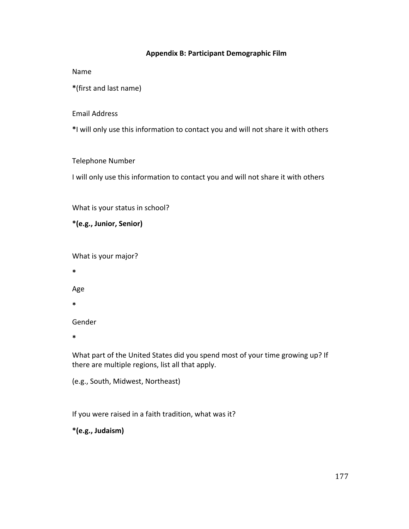## **Appendix B: Participant Demographic Film**

Name

**\***(first and last name)

Email Address

\*I will only use this information to contact you and will not share it with others

Telephone Number

I will only use this information to contact you and will not share it with others

What is your status in school?

**\*(e.g., Junior, Senior)**

What is your major?

**\***

Age

**\***

Gender

**\***

What part of the United States did you spend most of your time growing up? If there are multiple regions, list all that apply.

(e.g., South, Midwest, Northeast)

If you were raised in a faith tradition, what was it?

**\*(e.g., Judaism)**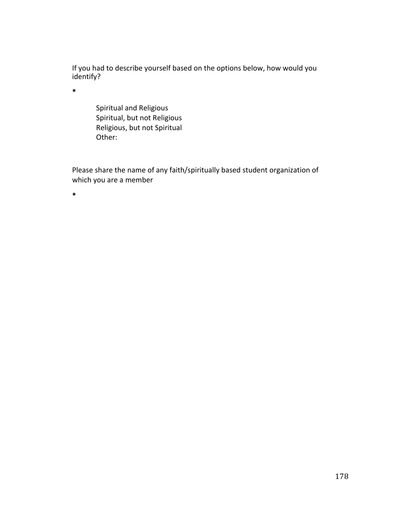If you had to describe yourself based on the options below, how would you identify?

**\***

Spiritual and Religious Spiritual, but not Religious Religious, but not Spiritual Other:

Please share the name of any faith/spiritually based student organization of which you are a member

**\***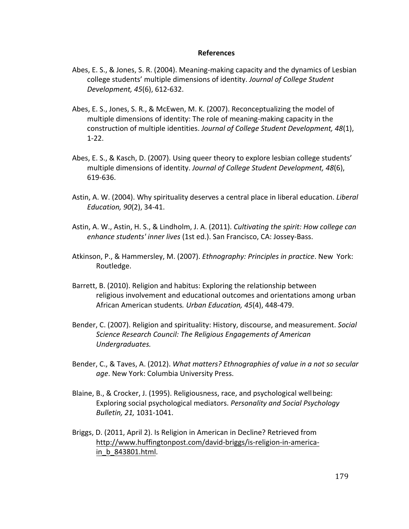## **References**

- Abes, E. S., & Jones, S. R. (2004). Meaning-making capacity and the dynamics of Lesbian college students' multiple dimensions of identity. Journal of College Student *Development, 45*(6), 612-632.
- Abes, E. S., Jones, S. R., & McEwen, M. K. (2007). Reconceptualizing the model of multiple dimensions of identity: The role of meaning-making capacity in the construction of multiple identities. Journal of College Student Development, 48(1), 1-22.
- Abes, E. S., & Kasch, D. (2007). Using queer theory to explore lesbian college students' multiple dimensions of identity. *Journal of College Student Development, 48*(6), 619-636.
- Astin, A. W. (2004). Why spirituality deserves a central place in liberal education. *Liberal Education, 90*(2), 34-41.
- Astin, A. W., Astin, H. S., & Lindholm, J. A. (2011). *Cultivating the spirit: How college can enhance students' inner lives* (1st ed.). San Francisco, CA: Jossey-Bass.
- Atkinson, P., & Hammersley, M. (2007). *Ethnography: Principles in practice*. New York: Routledge.
- Barrett, B. (2010). Religion and habitus: Exploring the relationship between religious involvement and educational outcomes and orientations among urban African American students. Urban Education, 45(4), 448-479.
- Bender, C. (2007). Religion and spirituality: History, discourse, and measurement. *Social Science Research Council: The Religious Engagements of American Undergraduates.*
- Bender, C., & Taves, A. (2012). *What matters? Ethnographies of value in a not so secular* age. New York: Columbia University Press.
- Blaine, B., & Crocker, J. (1995). Religiousness, race, and psychological wellbeing: Exploring social psychological mediators. *Personality and Social Psychology Bulletin, 21,* 1031-1041.
- Briggs, D. (2011, April 2). Is Religion in American in Decline? Retrieved from http://www.huffingtonpost.com/david-briggs/is-religion-in-americain\_b\_843801.html.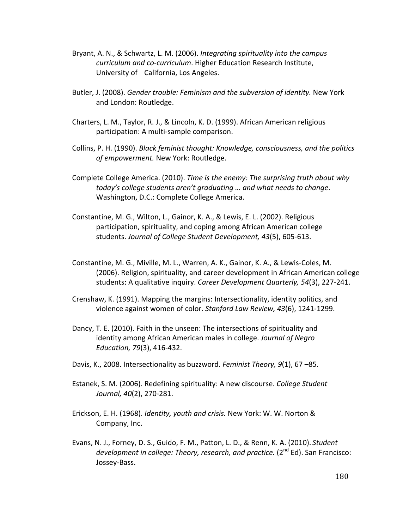- Bryant, A. N., & Schwartz, L. M. (2006). *Integrating spirituality into the campus curriculum and co-curriculum*. Higher Education Research Institute, University of California, Los Angeles.
- Butler, J. (2008). *Gender trouble: Feminism and the subversion of identity.* New York and London: Routledge.
- Charters, L. M., Taylor, R. J., & Lincoln, K. D. (1999). African American religious participation: A multi-sample comparison.
- Collins, P. H. (1990). *Black feminist thought: Knowledge, consciousness, and the politics* of empowerment. New York: Routledge.
- Complete College America. (2010). *Time is the enemy: The surprising truth about* why *today's* college students aren't graduating ... and what needs to change. Washington, D.C.: Complete College America.
- Constantine, M. G., Wilton, L., Gainor, K. A., & Lewis, E. L. (2002). Religious participation, spirituality, and coping among African American college students. Journal of College Student Development, 43(5), 605-613.
- Constantine, M. G., Miville, M. L., Warren, A. K., Gainor, K. A., & Lewis-Coles, M. (2006). Religion, spirituality, and career development in African American college students: A qualitative inquiry. *Career Development Quarterly, 54*(3), 227-241.
- Crenshaw, K. (1991). Mapping the margins: Intersectionality, identity politics, and violence against women of color. Stanford Law Review, 43(6), 1241-1299.
- Dancy, T. E. (2010). Faith in the unseen: The intersections of spirituality and identity among African American males in college. Journal of Negro *Education, 79*(3), 416-432.
- Davis, K., 2008. Intersectionality as buzzword. *Feminist Theory, 9*(1), 67 -85.
- Estanek, S. M. (2006). Redefining spirituality: A new discourse. *College Student Journal, 40*(2), 270-281.
- Erickson, E. H. (1968). *Identity, youth and crisis.* New York: W. W. Norton & Company, Inc.
- Evans, N. J., Forney, D. S., Guido, F. M., Patton, L. D., & Renn, K. A. (2010). *Student development in college: Theory, research, and practice.* (2<sup>nd</sup> Ed). San Francisco: Jossey-Bass.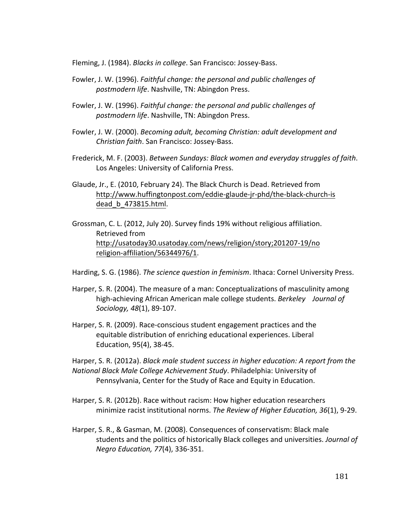Fleming, J. (1984). *Blacks in college*. San Francisco: Jossey-Bass.

- Fowler, J. W. (1996). *Faithful change: the personal and public challenges of* postmodern life. Nashville, TN: Abingdon Press.
- Fowler, J. W. (1996). Faithful change: the personal and public challenges of postmodern life. Nashville, TN: Abingdon Press.
- Fowler, J. W. (2000). *Becoming adult, becoming Christian: adult development and Christian faith*. San Francisco: Jossey-Bass.
- Frederick, M. F. (2003). *Between Sundays: Black women and everyday struggles of faith.* Los Angeles: University of California Press.
- Glaude, Jr., E. (2010, February 24). The Black Church is Dead. Retrieved from http://www.huffingtonpost.com/eddie-glaude-jr-phd/the-black-church-is dead\_b\_473815.html.
- Grossman, C. L. (2012, July 20). Survey finds 19% without religious affiliation. Retrieved from http://usatoday30.usatoday.com/news/religion/story;201207-19/no religion-affiliation/56344976/1.
- Harding, S. G. (1986). The science question in feminism. Ithaca: Cornel University Press.
- Harper, S. R. (2004). The measure of a man: Conceptualizations of masculinity among high-achieving African American male college students. *Berkeley Journal of Sociology, 48*(1), 89-107.
- Harper, S. R. (2009). Race-conscious student engagement practices and the equitable distribution of enriching educational experiences. Liberal Education, 95(4), 38-45.
- Harper, S. R. (2012a). *Black male student success in higher education: A report from the National Black Male College Achievement Study*. Philadelphia: University of Pennsylvania, Center for the Study of Race and Equity in Education.
- Harper, S. R. (2012b). Race without racism: How higher education researchers minimize racist institutional norms. The Review of Higher Education, 36(1), 9-29.
- Harper, S. R., & Gasman, M. (2008). Consequences of conservatism: Black male students and the politics of historically Black colleges and universities. *Journal of Negro Education, 77*(4), 336-351.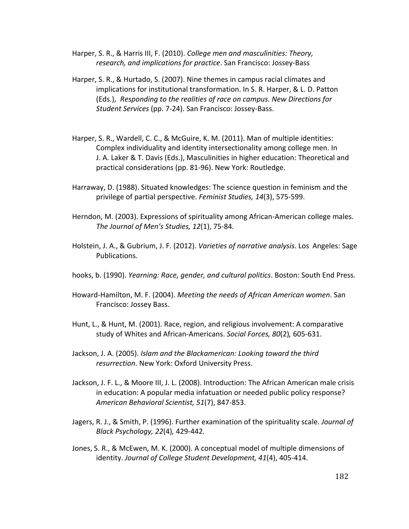- Harper, S. R., & Harris III, F. (2010). *College men and masculinities: Theory*, research, and *implications for practice*. San Francisco: Jossey-Bass
- Harper, S. R., & Hurtado, S. (2007). Nine themes in campus racial climates and implications for institutional transformation. In S. R. Harper, & L. D. Patton (Eds.), *Responding to the realities of race on campus. New Directions for Student Services* (pp. 7-24). San Francisco: Jossey-Bass.
- Harper, S. R., Wardell, C. C., & McGuire, K. M. (2011). Man of multiple identities: Complex individuality and identity intersectionality among college men. In J. A. Laker & T. Davis (Eds.), Masculinities in higher education: Theoretical and practical considerations (pp. 81-96). New York: Routledge.
- Harraway, D. (1988). Situated knowledges: The science question in feminism and the privilege of partial perspective. Feminist Studies, 14(3), 575-599.
- Herndon, M. (2003). Expressions of spirituality among African-American college males. *The Journal of Men's Studies, 12(1), 75-84.*
- Holstein, J. A., & Gubrium, J. F. (2012). *Varieties of narrative analysis*. Los Angeles: Sage Publications.
- hooks, b. (1990). Yearning: Race, gender, and cultural politics. Boston: South End Press.
- Howard-Hamilton, M. F. (2004). *Meeting the needs of African American women*. San Francisco: Jossey Bass.
- Hunt, L., & Hunt, M. (2001). Race, region, and religious involvement: A comparative study of Whites and African-Americans. Social Forces, 80(2), 605-631.
- Jackson, J. A. (2005). *Islam and the Blackamerican: Looking toward the third* resurrection. New York: Oxford University Press.
- Jackson, J. F. L., & Moore III, J. L. (2008). Introduction: The African American male crisis in education: A popular media infatuation or needed public policy response? *American Behavioral Scientist, 51*(7), 847-853.
- Jagers, R. J., & Smith, P. (1996). Further examination of the spirituality scale. *Journal of Black Psychology, 22*(4)*,* 429-442.
- Jones, S. R., & McEwen, M. K. (2000). A conceptual model of multiple dimensions of identity. Journal of College Student Development, 41(4), 405-414.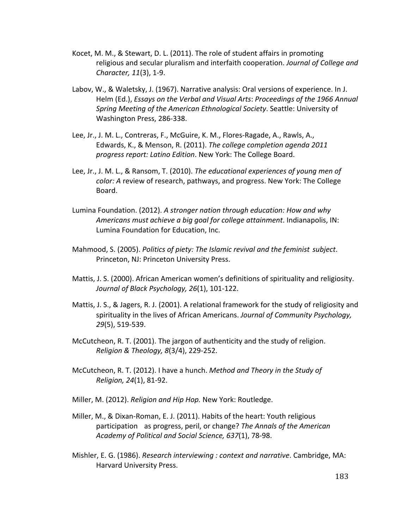- Kocet, M. M., & Stewart, D. L. (2011). The role of student affairs in promoting religious and secular pluralism and interfaith cooperation. *Journal of College and Character, 11*(3), 1-9.
- Labov, W., & Waletsky, J. (1967). Narrative analysis: Oral versions of experience. In J. Helm (Ed.), *Essays on the Verbal and Visual Arts: Proceedings of the 1966 Annual Spring Meeting of the American Ethnological Society*. Seattle: University of Washington Press, 286-338.
- Lee, Jr., J. M. L., Contreras, F., McGuire, K. M., Flores-Ragade, A., Rawls, A., Edwards, K., & Menson, R. (2011). The college completion agenda 2011 progress report: Latino Edition. New York: The College Board.
- Lee, Jr., J. M. L., & Ransom, T. (2010). *The educational experiences of young men of color:* A review of research, pathways, and progress. New York: The College Board.
- Lumina Foundation. (2012). A stronger nation through education: How and why *Americans must achieve a big goal for college attainment.* Indianapolis, IN: Lumina Foundation for Education, Inc.
- Mahmood, S. (2005). Politics of piety: The Islamic revival and the feminist subject. Princeton, NJ: Princeton University Press.
- Mattis, J. S. (2000). African American women's definitions of spirituality and religiosity. *Journal of Black Psychology, 26*(1), 101-122.
- Mattis, J. S., & Jagers, R. J. (2001). A relational framework for the study of religiosity and spirituality in the lives of African Americans. *Journal of Community Psychology*, *29*(5), 519-539.
- McCutcheon, R. T. (2001). The jargon of authenticity and the study of religion. *Religion & Theology, 8*(3/4), 229-252.
- McCutcheon, R. T. (2012). I have a hunch. Method and Theory in the Study of *Religion, 24*(1), 81-92.
- Miller, M. (2012). *Religion and Hip Hop.* New York: Routledge.
- Miller, M., & Dixan-Roman, E. J. (2011). Habits of the heart: Youth religious participation as progress, peril, or change? The Annals of the American *Academy of Political and Social Science, 637*(1), 78-98.
- Mishler, E. G. (1986). *Research interviewing : context and narrative*. Cambridge, MA: Harvard University Press.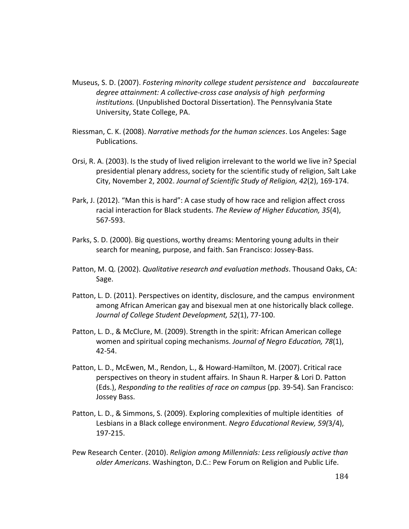- Museus, S. D. (2007). *Fostering minority college student persistence and baccalaureate degree attainment:* A collective-cross case analysis of high performing institutions. (Unpublished Doctoral Dissertation). The Pennsylvania State University, State College, PA.
- Riessman, C. K. (2008). *Narrative methods for the human sciences*. Los Angeles: Sage Publications.
- Orsi, R. A. (2003). Is the study of lived religion irrelevant to the world we live in? Special presidential plenary address, society for the scientific study of religion, Salt Lake City, November 2, 2002. Journal of Scientific Study of Religion, 42(2), 169-174.
- Park, J. (2012). "Man this is hard": A case study of how race and religion affect cross racial interaction for Black students. The Review of Higher Education, 35(4), 567-593.
- Parks, S. D. (2000). Big questions, worthy dreams: Mentoring young adults in their search for meaning, purpose, and faith. San Francisco: Jossey-Bass.
- Patton, M. Q. (2002). *Qualitative research and evaluation methods*. Thousand Oaks, CA: Sage.
- Patton, L. D. (2011). Perspectives on identity, disclosure, and the campus environment among African American gay and bisexual men at one historically black college. Journal of College Student Development, 52(1), 77-100.
- Patton, L. D., & McClure, M. (2009). Strength in the spirit: African American college women and spiritual coping mechanisms. Journal of Negro Education, 78(1), 42-54.
- Patton, L. D., McEwen, M., Rendon, L., & Howard-Hamilton, M. (2007). Critical race perspectives on theory in student affairs. In Shaun R. Harper & Lori D. Patton (Eds.), *Responding to the realities of race on campus* (pp. 39-54). San Francisco: Jossey Bass.
- Patton, L. D., & Simmons, S. (2009). Exploring complexities of multiple identities of Lesbians in a Black college environment. *Negro Educational Review, 59(3/4)*, 197-215.
- Pew Research Center. (2010). *Religion among Millennials: Less religiously active than* older Americans. Washington, D.C.: Pew Forum on Religion and Public Life.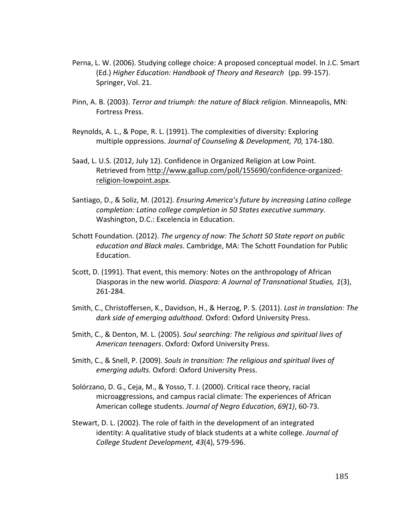- Perna, L. W. (2006). Studying college choice: A proposed conceptual model. In J.C. Smart (Ed.) *Higher Education: Handbook of Theory and Research* (pp. 99-157). Springer, Vol. 21.
- Pinn, A. B. (2003). *Terror and triumph: the nature of Black religion*. Minneapolis, MN: Fortress Press.
- Reynolds, A. L., & Pope, R. L. (1991). The complexities of diversity: Exploring multiple oppressions. *Journal of Counseling & Development, 70,* 174-180.
- Saad, L. U.S. (2012, July 12). Confidence in Organized Religion at Low Point. Retrieved from http://www.gallup.com/poll/155690/confidence-organizedreligion-lowpoint.aspx.
- Santiago, D., & Soliz, M. (2012). *Ensuring America's future by increasing Latino college* completion: Latino college completion in 50 States executive summary. Washington, D.C.: Excelencia in Education.
- Schott Foundation. (2012). *The urgency of now: The Schott 50 State report on public* education and Black males. Cambridge, MA: The Schott Foundation for Public Education.
- Scott, D. (1991). That event, this memory: Notes on the anthropology of African Diasporas in the new world. *Diaspora:* A Journal of Transnational Studies, 1(3), 261-284.
- Smith, C., Christoffersen, K., Davidson, H., & Herzog, P. S. (2011). Lost in translation: The dark side of emerging adulthood. Oxford: Oxford University Press.
- Smith, C., & Denton, M. L. (2005). *Soul searching: The religious and spiritual lives of* American teenagers. Oxford: Oxford University Press.
- Smith, C., & Snell, P. (2009). Souls in transition: The religious and spiritual lives of emerging adults. Oxford: Oxford University Press.
- Solórzano, D. G., Ceja, M., & Yosso, T. J. (2000). Critical race theory, racial microaggressions, and campus racial climate: The experiences of African American college students. *Journal of Negro Education*, 69(1), 60-73.
- Stewart, D. L. (2002). The role of faith in the development of an integrated identity: A qualitative study of black students at a white college. *Journal of College Student Development, 43*(4), 579-596.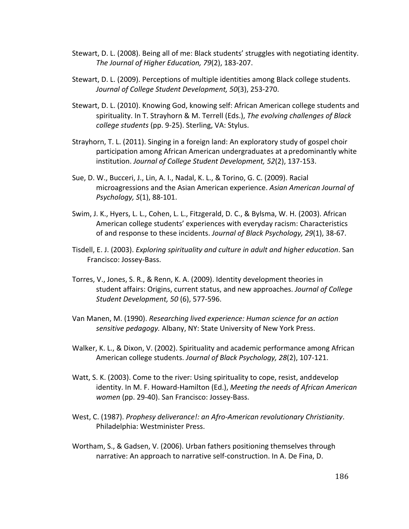- Stewart, D. L. (2008). Being all of me: Black students' struggles with negotiating identity. *The Journal of Higher Education, 79*(2), 183-207.
- Stewart, D. L. (2009). Perceptions of multiple identities among Black college students. Journal of College Student Development, 50(3), 253-270.
- Stewart, D. L. (2010). Knowing God, knowing self: African American college students and spirituality. In T. Strayhorn & M. Terrell (Eds.), *The evolving challenges of Black college students* (pp. 9-25). Sterling, VA: Stylus.
- Strayhorn, T. L. (2011). Singing in a foreign land: An exploratory study of gospel choir participation among African American undergraduates at a predominantly white institution. Journal of College Student Development, 52(2), 137-153.
- Sue, D. W., Bucceri, J., Lin, A. I., Nadal, K. L., & Torino, G. C. (2009). Racial microagressions and the Asian American experience. Asian American Journal of *Psychology, S*(1), 88-101.
- Swim, J. K., Hyers, L. L., Cohen, L. L., Fitzgerald, D. C., & Bylsma, W. H. (2003). African American college students' experiences with everyday racism: Characteristics of and response to these incidents. *Journal of Black Psychology, 29*(1), 38-67.
- Tisdell, E. J. (2003). *Exploring spirituality and culture in adult and higher education*. San Francisco: Jossey-Bass.
- Torres, V., Jones, S. R., & Renn, K. A. (2009). Identity development theories in student affairs: Origins, current status, and new approaches. *Journal of College Student Development, 50* (6), 577-596.
- Van Manen, M. (1990). *Researching lived experience: Human science for an action* sensitive pedagogy. Albany, NY: State University of New York Press.
- Walker, K. L., & Dixon, V. (2002). Spirituality and academic performance among African American college students. Journal of Black Psychology, 28(2), 107-121.
- Watt, S. K. (2003). Come to the river: Using spirituality to cope, resist, anddevelop identity. In M. F. Howard-Hamilton (Ed.), *Meeting the needs of African American women* (pp. 29-40). San Francisco: Jossey-Bass.
- West, C. (1987). *Prophesy deliverance!:* an Afro-American revolutionary Christianity. Philadelphia: Westminister Press.
- Wortham, S., & Gadsen, V. (2006). Urban fathers positioning themselves through narrative: An approach to narrative self-construction. In A. De Fina, D.